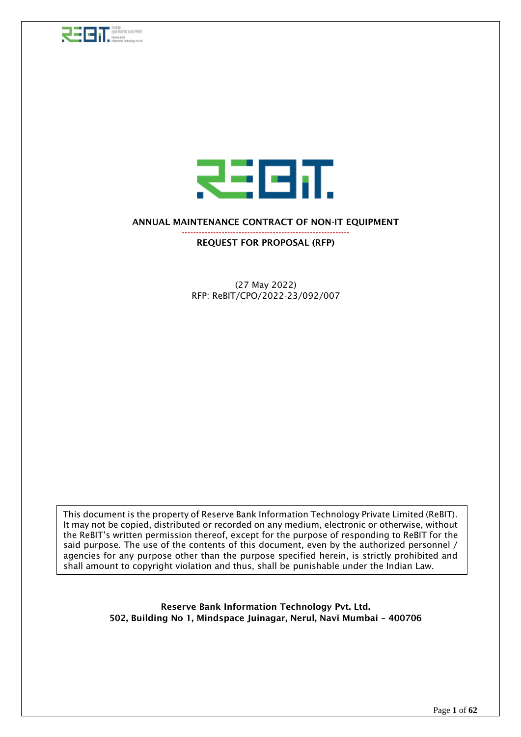



### ANNUAL MAINTENANCE CONTRACT OF NON-IT EQUIPMENT

-----------------------------------------------------------

REQUEST FOR PROPOSAL (RFP)

(27 May 2022) RFP: ReBIT/CPO/2022-23/092/007

This document is the property of Reserve Bank Information Technology Private Limited (ReBIT). It may not be copied, distributed or recorded on any medium, electronic or otherwise, without the ReBIT's written permission thereof, except for the purpose of responding to ReBIT for the said purpose. The use of the contents of this document, even by the authorized personnel / agencies for any purpose other than the purpose specified herein, is strictly prohibited and shall amount to copyright violation and thus, shall be punishable under the Indian Law.

> Reserve Bank Information Technology Pvt. Ltd. 502, Building No 1, Mindspace Juinagar, Nerul, Navi Mumbai – 400706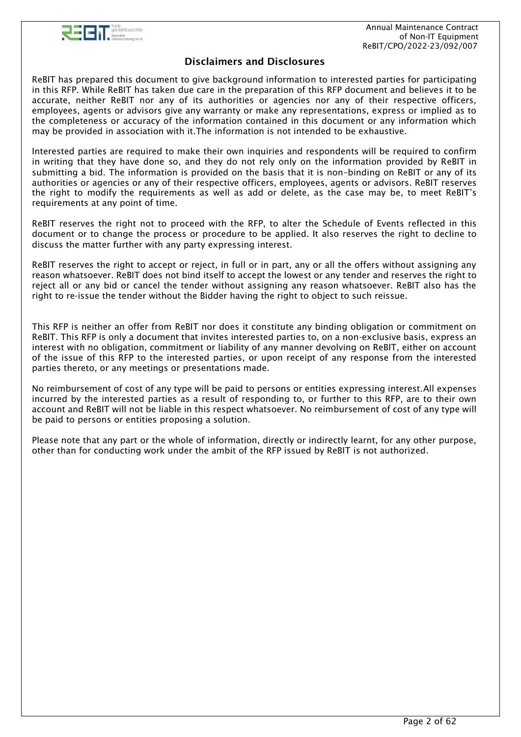

## Disclaimers and Disclosures

ReBIT has prepared this document to give background information to interested parties for participating in this RFP. While ReBIT has taken due care in the preparation of this RFP document and believes it to be accurate, neither ReBIT nor any of its authorities or agencies nor any of their respective officers, employees, agents or advisors give any warranty or make any representations, express or implied as to the completeness or accuracy of the information contained in this document or any information which may be provided in association with it.The information is not intended to be exhaustive.

Interested parties are required to make their own inquiries and respondents will be required to confirm in writing that they have done so, and they do not rely only on the information provided by ReBIT in submitting a bid. The information is provided on the basis that it is non–binding on ReBIT or any of its authorities or agencies or any of their respective officers, employees, agents or advisors. ReBIT reserves the right to modify the requirements as well as add or delete, as the case may be, to meet ReBIT's requirements at any point of time.

ReBIT reserves the right not to proceed with the RFP, to alter the Schedule of Events reflected in this document or to change the process or procedure to be applied. It also reserves the right to decline to discuss the matter further with any party expressing interest.

ReBIT reserves the right to accept or reject, in full or in part, any or all the offers without assigning any reason whatsoever. ReBIT does not bind itself to accept the lowest or any tender and reserves the right to reject all or any bid or cancel the tender without assigning any reason whatsoever. ReBIT also has the right to re-issue the tender without the Bidder having the right to object to such reissue.

This RFP is neither an offer from ReBIT nor does it constitute any binding obligation or commitment on ReBIT. This RFP is only a document that invites interested parties to, on a non-exclusive basis, express an interest with no obligation, commitment or liability of any manner devolving on ReBIT, either on account of the issue of this RFP to the interested parties, or upon receipt of any response from the interested parties thereto, or any meetings or presentations made.

No reimbursement of cost of any type will be paid to persons or entities expressing interest.All expenses incurred by the interested parties as a result of responding to, or further to this RFP, are to their own account and ReBIT will not be liable in this respect whatsoever. No reimbursement of cost of any type will be paid to persons or entities proposing a solution.

Please note that any part or the whole of information, directly or indirectly learnt, for any other purpose, other than for conducting work under the ambit of the RFP issued by ReBIT is not authorized.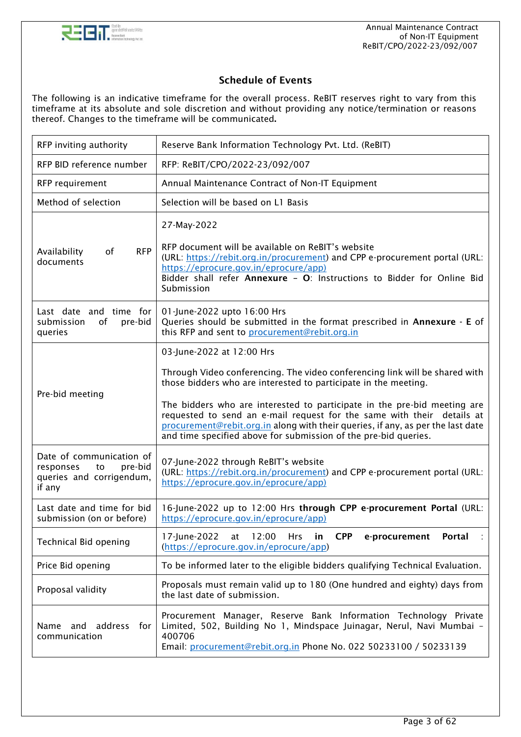

## Schedule of Events

The following is an indicative timeframe for the overall process. ReBIT reserves right to vary from this timeframe at its absolute and sole discretion and without providing any notice/termination or reasons thereof. Changes to the timeframe will be communicated.

| RFP inviting authority                                                                       | Reserve Bank Information Technology Pvt. Ltd. (ReBIT)                                                                                                                                                                                                                                                                                                                                                                                                                                   |  |  |
|----------------------------------------------------------------------------------------------|-----------------------------------------------------------------------------------------------------------------------------------------------------------------------------------------------------------------------------------------------------------------------------------------------------------------------------------------------------------------------------------------------------------------------------------------------------------------------------------------|--|--|
| RFP BID reference number                                                                     | RFP: ReBIT/CPO/2022-23/092/007                                                                                                                                                                                                                                                                                                                                                                                                                                                          |  |  |
| RFP requirement                                                                              | Annual Maintenance Contract of Non-IT Equipment                                                                                                                                                                                                                                                                                                                                                                                                                                         |  |  |
| Method of selection                                                                          | Selection will be based on L1 Basis                                                                                                                                                                                                                                                                                                                                                                                                                                                     |  |  |
| <b>RFP</b><br>Availability<br>of<br>documents                                                | 27-May-2022<br>RFP document will be available on ReBIT's website<br>(URL: https://rebit.org.in/procurement) and CPP e-procurement portal (URL:<br>https://eprocure.gov.in/eprocure/app)<br>Bidder shall refer Annexure - O: Instructions to Bidder for Online Bid<br>Submission                                                                                                                                                                                                         |  |  |
| Last date and time for<br>pre-bid<br>submission<br>of<br>queries                             | 01-June-2022 upto 16:00 Hrs<br>Queries should be submitted in the format prescribed in Annexure - E of<br>this RFP and sent to procurement@rebit.org.in                                                                                                                                                                                                                                                                                                                                 |  |  |
| Pre-bid meeting                                                                              | 03-June-2022 at 12:00 Hrs<br>Through Video conferencing. The video conferencing link will be shared with<br>those bidders who are interested to participate in the meeting.<br>The bidders who are interested to participate in the pre-bid meeting are<br>requested to send an e-mail request for the same with their details at<br>procurement@rebit.org.in along with their queries, if any, as per the last date<br>and time specified above for submission of the pre-bid queries. |  |  |
| Date of communication of<br>pre-bid<br>responses<br>to<br>queries and corrigendum,<br>if any | 07-June-2022 through ReBIT's website<br>(URL: https://rebit.org.in/procurement) and CPP e-procurement portal (URL:<br>https://eprocure.gov.in/eprocure/app)                                                                                                                                                                                                                                                                                                                             |  |  |
| Last date and time for bid<br>submission (on or before)                                      | 16-June-2022 up to 12:00 Hrs through CPP e-procurement Portal (URL:<br>https://eprocure.gov.in/eprocure/app)                                                                                                                                                                                                                                                                                                                                                                            |  |  |
| Technical Bid opening                                                                        | 17-June-2022<br>12:00<br>in<br><b>CPP</b><br>e-procurement<br>Portal<br>at<br><b>Hrs</b><br>(https://eprocure.gov.in/eprocure/app)                                                                                                                                                                                                                                                                                                                                                      |  |  |
| Price Bid opening                                                                            | To be informed later to the eligible bidders qualifying Technical Evaluation.                                                                                                                                                                                                                                                                                                                                                                                                           |  |  |
| Proposal validity                                                                            | Proposals must remain valid up to 180 (One hundred and eighty) days from<br>the last date of submission.                                                                                                                                                                                                                                                                                                                                                                                |  |  |
| and address for<br>Name<br>communication                                                     | Procurement Manager, Reserve Bank Information Technology Private<br>Limited, 502, Building No 1, Mindspace Juinagar, Nerul, Navi Mumbai -<br>400706<br>Email: procurement@rebit.org.in Phone No. 022 50233100 / 50233139                                                                                                                                                                                                                                                                |  |  |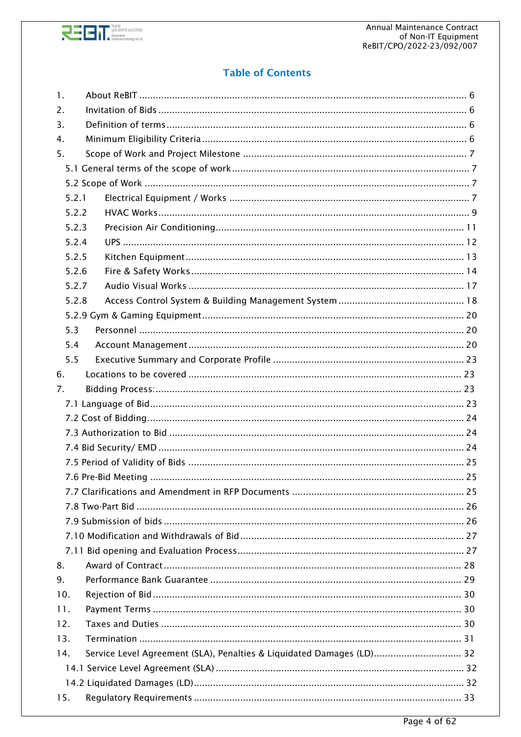

# **Table of Contents**

| $\mathbf{1}$ . |                                                                       |    |
|----------------|-----------------------------------------------------------------------|----|
| 2.             |                                                                       |    |
| 3.             |                                                                       |    |
| 4.             |                                                                       |    |
| 5.             |                                                                       |    |
|                |                                                                       |    |
|                |                                                                       |    |
| 5.2.1          |                                                                       |    |
| 5.2.2          |                                                                       |    |
| 5.2.3          |                                                                       |    |
| 5.2.4          |                                                                       |    |
| 5.2.5          |                                                                       |    |
| 5.2.6          |                                                                       |    |
| 5.2.7          |                                                                       |    |
| 5.2.8          |                                                                       |    |
|                |                                                                       |    |
| 5.3            |                                                                       |    |
| 5.4            |                                                                       |    |
| 5.5            |                                                                       |    |
| 6.             |                                                                       |    |
| 7.             |                                                                       |    |
|                |                                                                       |    |
|                |                                                                       |    |
|                |                                                                       |    |
|                |                                                                       |    |
|                |                                                                       |    |
|                | 7.6 Pre-Bid Meeting                                                   | 25 |
|                |                                                                       |    |
|                |                                                                       |    |
|                |                                                                       |    |
|                |                                                                       |    |
|                |                                                                       |    |
| 8.             |                                                                       |    |
| 9.             |                                                                       |    |
| 10.            |                                                                       |    |
| 11.            |                                                                       |    |
| 12.            |                                                                       |    |
|                |                                                                       |    |
| 13.            |                                                                       |    |
| 14.            | Service Level Agreement (SLA), Penalties & Liquidated Damages (LD) 32 |    |
|                |                                                                       |    |
|                |                                                                       |    |
| 15.            |                                                                       |    |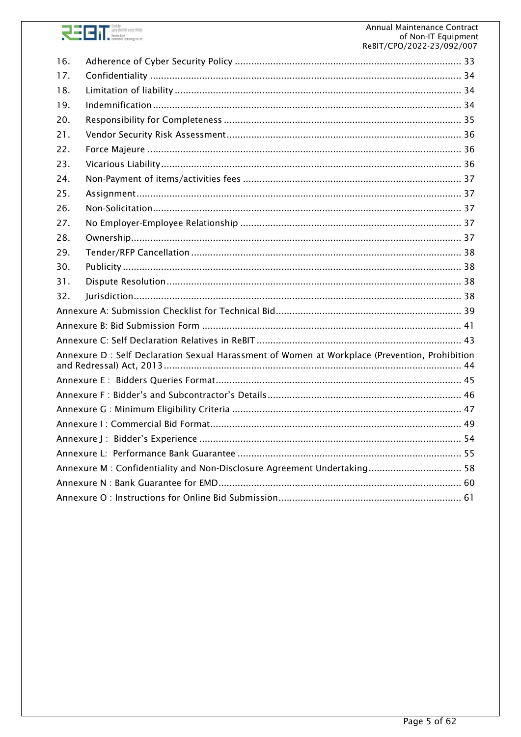

| 16.                                                                     |                                                                                                |  |  |  |
|-------------------------------------------------------------------------|------------------------------------------------------------------------------------------------|--|--|--|
| 17.                                                                     |                                                                                                |  |  |  |
| 18.                                                                     |                                                                                                |  |  |  |
| 19.                                                                     |                                                                                                |  |  |  |
| 20.                                                                     |                                                                                                |  |  |  |
| 21.                                                                     |                                                                                                |  |  |  |
| 22.                                                                     |                                                                                                |  |  |  |
| 23.                                                                     |                                                                                                |  |  |  |
| 24.                                                                     |                                                                                                |  |  |  |
| 25.                                                                     |                                                                                                |  |  |  |
| 26.                                                                     |                                                                                                |  |  |  |
| 27.                                                                     |                                                                                                |  |  |  |
| 28.                                                                     |                                                                                                |  |  |  |
| 29.                                                                     |                                                                                                |  |  |  |
| 30.                                                                     |                                                                                                |  |  |  |
| 31.                                                                     |                                                                                                |  |  |  |
| 32.                                                                     |                                                                                                |  |  |  |
|                                                                         |                                                                                                |  |  |  |
|                                                                         |                                                                                                |  |  |  |
|                                                                         |                                                                                                |  |  |  |
|                                                                         | Annexure D : Self Declaration Sexual Harassment of Women at Workplace (Prevention, Prohibition |  |  |  |
|                                                                         |                                                                                                |  |  |  |
|                                                                         |                                                                                                |  |  |  |
|                                                                         |                                                                                                |  |  |  |
|                                                                         |                                                                                                |  |  |  |
|                                                                         |                                                                                                |  |  |  |
|                                                                         |                                                                                                |  |  |  |
| Annexure M: Confidentiality and Non-Disclosure Agreement Undertaking 58 |                                                                                                |  |  |  |
|                                                                         |                                                                                                |  |  |  |
|                                                                         |                                                                                                |  |  |  |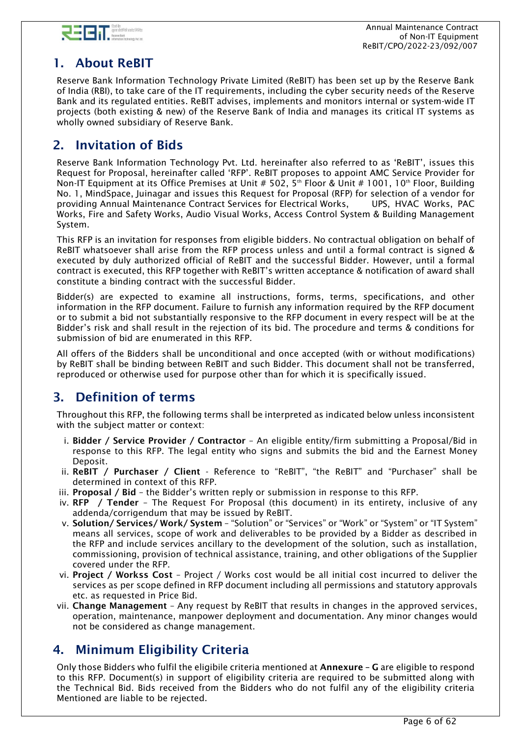

# <span id="page-5-0"></span>1. About ReBIT

Reserve Bank Information Technology Private Limited (ReBIT) has been set up by the Reserve Bank of India (RBI), to take care of the IT requirements, including the cyber security needs of the Reserve Bank and its regulated entities. ReBIT advises, implements and monitors internal or system-wide IT projects (both existing & new) of the Reserve Bank of India and manages its critical IT systems as wholly owned subsidiary of Reserve Bank.

# <span id="page-5-1"></span>2. Invitation of Bids

Reserve Bank Information Technology Pvt. Ltd. hereinafter also referred to as 'ReBIT', issues this Request for Proposal, hereinafter called 'RFP'. ReBIT proposes to appoint AMC Service Provider for Non-IT Equipment at its Office Premises at Unit # 502, 5<sup>th</sup> Floor & Unit # 1001, 10<sup>th</sup> Floor, Building No. 1, MindSpace, Juinagar and issues this Request for Proposal (RFP) for selection of a vendor for providing Annual Maintenance Contract Services for Electrical Works, UPS, HVAC Works, PAC Works, Fire and Safety Works, Audio Visual Works, Access Control System & Building Management System.

This RFP is an invitation for responses from eligible bidders. No contractual obligation on behalf of ReBIT whatsoever shall arise from the RFP process unless and until a formal contract is signed & executed by duly authorized official of ReBIT and the successful Bidder. However, until a formal contract is executed, this RFP together with ReBIT's written acceptance & notification of award shall constitute a binding contract with the successful Bidder.

Bidder(s) are expected to examine all instructions, forms, terms, specifications, and other information in the RFP document. Failure to furnish any information required by the RFP document or to submit a bid not substantially responsive to the RFP document in every respect will be at the Bidder's risk and shall result in the rejection of its bid. The procedure and terms & conditions for submission of bid are enumerated in this RFP.

All offers of the Bidders shall be unconditional and once accepted (with or without modifications) by ReBIT shall be binding between ReBIT and such Bidder. This document shall not be transferred, reproduced or otherwise used for purpose other than for which it is specifically issued.

# <span id="page-5-2"></span>3. Definition of terms

Throughout this RFP, the following terms shall be interpreted as indicated below unless inconsistent with the subject matter or context:

- i. Bidder / Service Provider / Contractor An eligible entity/firm submitting a Proposal/Bid in response to this RFP. The legal entity who signs and submits the bid and the Earnest Money Deposit.
- ii. ReBIT / Purchaser / Client Reference to "ReBIT", "the ReBIT" and "Purchaser" shall be determined in context of this RFP.
- iii. Proposal / Bid the Bidder's written reply or submission in response to this RFP.
- iv.  $RFP$  / Tender The Request For Proposal (this document) in its entirety, inclusive of any addenda/corrigendum that may be issued by ReBIT.
- v. Solution/ Services/ Work/ System "Solution" or "Services" or "Work" or "System" or "IT System" means all services, scope of work and deliverables to be provided by a Bidder as described in the RFP and include services ancillary to the development of the solution, such as installation, commissioning, provision of technical assistance, training, and other obligations of the Supplier covered under the RFP.
- vi. Project / Workss Cost Project / Works cost would be all initial cost incurred to deliver the services as per scope defined in RFP document including all permissions and statutory approvals etc. as requested in Price Bid.
- vii. Change Management Any request by ReBIT that results in changes in the approved services, operation, maintenance, manpower deployment and documentation. Any minor changes would not be considered as change management.

# <span id="page-5-3"></span>4. Minimum Eligibility Criteria

Only those Bidders who fulfil the eligibile criteria mentioned at Annexure – G are eligible to respond to this RFP. Document(s) in support of eligibility criteria are required to be submitted along with the Technical Bid. Bids received from the Bidders who do not fulfil any of the eligibility criteria Mentioned are liable to be rejected.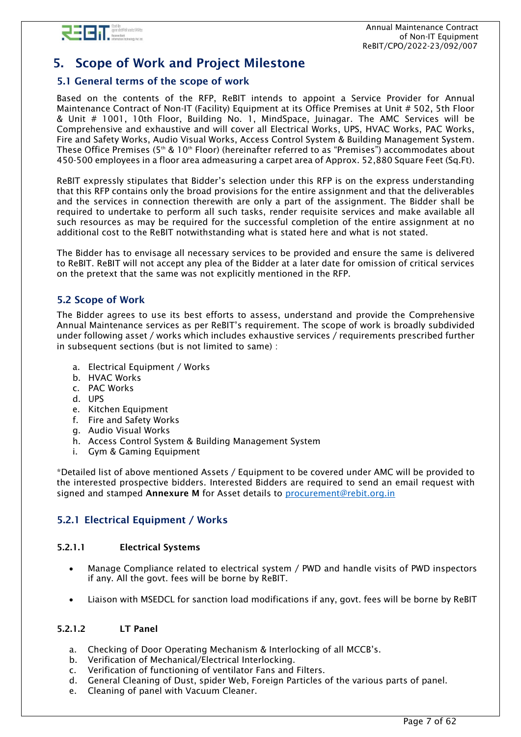

# <span id="page-6-0"></span>5. Scope of Work and Project Milestone

## <span id="page-6-1"></span>5.1 General terms of the scope of work

Based on the contents of the RFP, ReBIT intends to appoint a Service Provider for Annual Maintenance Contract of Non-IT (Facility) Equipment at its Office Premises at Unit # 502, 5th Floor & Unit # 1001, 10th Floor, Building No. 1, MindSpace, Juinagar. The AMC Services will be Comprehensive and exhaustive and will cover all Electrical Works, UPS, HVAC Works, PAC Works, Fire and Safety Works, Audio Visual Works, Access Control System & Building Management System. These Office Premises (5<sup>th</sup> & 10<sup>th</sup> Floor) (hereinafter referred to as "Premises") accommodates about 450-500 employees in a floor area admeasuring a carpet area of Approx. 52,880 Square Feet (Sq.Ft).

ReBIT expressly stipulates that Bidder's selection under this RFP is on the express understanding that this RFP contains only the broad provisions for the entire assignment and that the deliverables and the services in connection therewith are only a part of the assignment. The Bidder shall be required to undertake to perform all such tasks, render requisite services and make available all such resources as may be required for the successful completion of the entire assignment at no additional cost to the ReBIT notwithstanding what is stated here and what is not stated.

The Bidder has to envisage all necessary services to be provided and ensure the same is delivered to ReBIT. ReBIT will not accept any plea of the Bidder at a later date for omission of critical services on the pretext that the same was not explicitly mentioned in the RFP.

### <span id="page-6-2"></span>5.2 Scope of Work

The Bidder agrees to use its best efforts to assess, understand and provide the Comprehensive Annual Maintenance services as per ReBIT's requirement. The scope of work is broadly subdivided under following asset / works which includes exhaustive services / requirements prescribed further in subsequent sections (but is not limited to same) :

- a. Electrical Equipment / Works
- b. HVAC Works
- c. PAC Works
- d. UPS
- e. Kitchen Equipment
- f. Fire and Safety Works
- g. Audio Visual Works
- h. Access Control System & Building Management System
- i. Gym & Gaming Equipment

\*Detailed list of above mentioned Assets / Equipment to be covered under AMC will be provided to the interested prospective bidders. Interested Bidders are required to send an email request with signed and stamped Annexure M for Asset details to [procurement@rebit.org.in](mailto:procurement@rebit.org.in)

## <span id="page-6-3"></span>5.2.1 Electrical Equipment / Works

### 5.2.1.1 Electrical Systems

- Manage Compliance related to electrical system / PWD and handle visits of PWD inspectors if any. All the govt. fees will be borne by ReBIT.
- Liaison with MSEDCL for sanction load modifications if any, govt. fees will be borne by ReBIT

### 5.2.1.2 LT Panel

- a. Checking of Door Operating Mechanism & Interlocking of all MCCB's.
- b. Verification of Mechanical/Electrical Interlocking.
- c. Verification of functioning of ventilator Fans and Filters.
- d. General Cleaning of Dust, spider Web, Foreign Particles of the various parts of panel.
- e. Cleaning of panel with Vacuum Cleaner.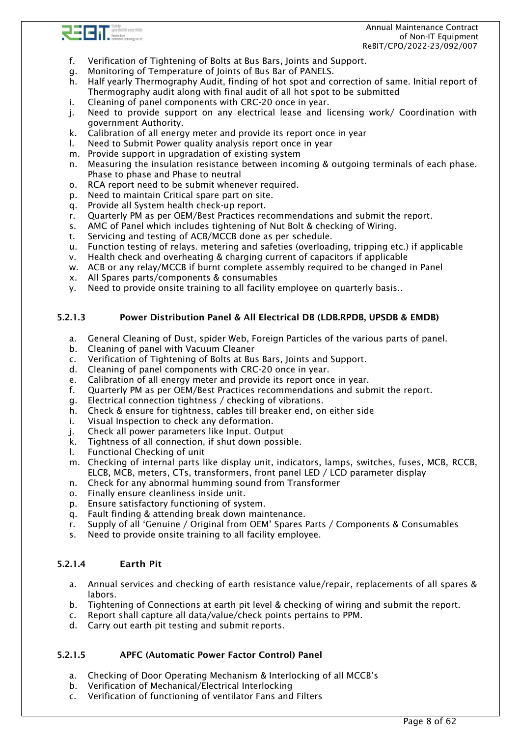

- f. Verification of Tightening of Bolts at Bus Bars, Joints and Support.
- g. Monitoring of Temperature of Joints of Bus Bar of PANELS.
- h. Half yearly Thermography Audit, finding of hot spot and correction of same. Initial report of Thermography audit along with final audit of all hot spot to be submitted
- i. Cleaning of panel components with CRC-20 once in year.
- j. Need to provide support on any electrical lease and licensing work/ Coordination with government Authority.
- k. Calibration of all energy meter and provide its report once in year
- l. Need to Submit Power quality analysis report once in year
- m. Provide support in upgradation of existing system
- n. Measuring the insulation resistance between incoming & outgoing terminals of each phase. Phase to phase and Phase to neutral
- o. RCA report need to be submit whenever required.
- p. Need to maintain Critical spare part on site.
- q. Provide all System health check-up report.
- r. Quarterly PM as per OEM/Best Practices recommendations and submit the report.
- s. AMC of Panel which includes tightening of Nut Bolt & checking of Wiring.
- t. Servicing and testing of ACB/MCCB done as per schedule.
- u. Function testing of relays. metering and safeties (overloading, tripping etc.) if applicable
- v. Health check and overheating & charging current of capacitors if applicable
- w. ACB or any relay/MCCB if burnt complete assembly required to be changed in Panel
- x. All Spares parts/components & consumables
- y. Need to provide onsite training to all facility employee on quarterly basis..

#### 5.2.1.3 Power Distribution Panel & All Electrical DB (LDB.RPDB, UPSDB & EMDB)

- a. General Cleaning of Dust, spider Web, Foreign Particles of the various parts of panel.
- b. Cleaning of panel with Vacuum Cleaner
- c. Verification of Tightening of Bolts at Bus Bars, Joints and Support.
- d. Cleaning of panel components with CRC-20 once in year.
- e. Calibration of all energy meter and provide its report once in year.
- f. Quarterly PM as per OEM/Best Practices recommendations and submit the report.
- g. Electrical connection tightness / checking of vibrations.
- h. Check & ensure for tightness, cables till breaker end, on either side
- i. Visual Inspection to check any deformation.
- j. Check all power parameters like Input. Output
- k. Tightness of all connection, if shut down possible.
- l. Functional Checking of unit
- m. Checking of internal parts like display unit, indicators, lamps, switches, fuses, MCB, RCCB, ELCB, MCB, meters, CTs, transformers, front panel LED / LCD parameter display
- n. Check for any abnormal humming sound from Transformer
- o. Finally ensure cleanliness inside unit.
- p. Ensure satisfactory functioning of system.
- q. Fault finding & attending break down maintenance.
- r. Supply of all 'Genuine / Original from OEM' Spares Parts / Components & Consumables
- s. Need to provide onsite training to all facility employee.

#### 5.2.1.4 Earth Pit

- a. Annual services and checking of earth resistance value/repair, replacements of all spares & labors.
- b. Tightening of Connections at earth pit level & checking of wiring and submit the report.
- c. Report shall capture all data/value/check points pertains to PPM.
- d. Carry out earth pit testing and submit reports.

#### 5.2.1.5 APFC (Automatic Power Factor Control) Panel

- a. Checking of Door Operating Mechanism & Interlocking of all MCCB's
- b. Verification of Mechanical/Electrical Interlocking
- c. Verification of functioning of ventilator Fans and Filters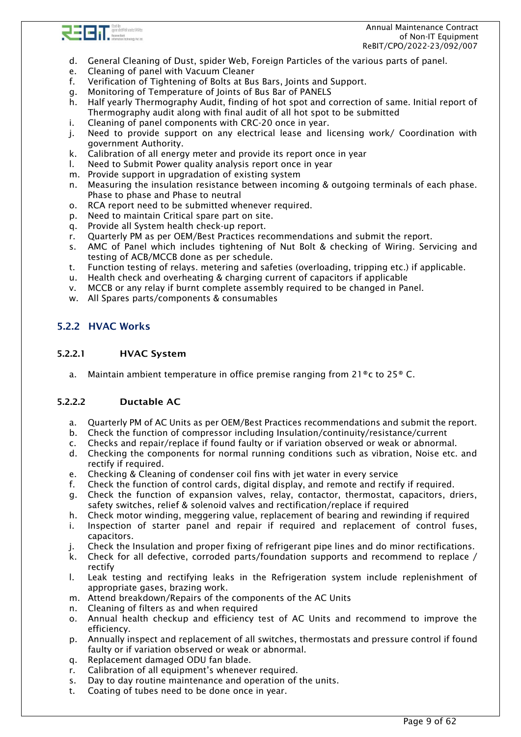

 Annual Maintenance Contract of Non-IT Equipment ReBIT/CPO/2022-23/092/007

- d. General Cleaning of Dust, spider Web, Foreign Particles of the various parts of panel.
- e. Cleaning of panel with Vacuum Cleaner
- f. Verification of Tightening of Bolts at Bus Bars, Joints and Support.
- g. Monitoring of Temperature of Joints of Bus Bar of PANELS
- h. Half yearly Thermography Audit, finding of hot spot and correction of same. Initial report of Thermography audit along with final audit of all hot spot to be submitted
- i. Cleaning of panel components with CRC-20 once in year.
- j. Need to provide support on any electrical lease and licensing work/ Coordination with government Authority.
- k. Calibration of all energy meter and provide its report once in year
- l. Need to Submit Power quality analysis report once in year
- m. Provide support in upgradation of existing system
- n. Measuring the insulation resistance between incoming & outgoing terminals of each phase. Phase to phase and Phase to neutral
- o. RCA report need to be submitted whenever required.
- p. Need to maintain Critical spare part on site.
- q. Provide all System health check-up report.
- r. Quarterly PM as per OEM/Best Practices recommendations and submit the report.
- s. AMC of Panel which includes tightening of Nut Bolt & checking of Wiring. Servicing and testing of ACB/MCCB done as per schedule.
- t. Function testing of relays. metering and safeties (overloading, tripping etc.) if applicable.
- u. Health check and overheating & charging current of capacitors if applicable
- v. MCCB or any relay if burnt complete assembly required to be changed in Panel.
- w. All Spares parts/components & consumables

## <span id="page-8-0"></span>5.2.2 HVAC Works

#### 5.2.2.1 HVAC System

a. Maintain ambient temperature in office premise ranging from 21 $\degree$ c to 25 $\degree$ C.

### 5.2.2.2 Ductable AC

- a. Quarterly PM of AC Units as per OEM/Best Practices recommendations and submit the report.
- b. Check the function of compressor including Insulation/continuity/resistance/current
- c. Checks and repair/replace if found faulty or if variation observed or weak or abnormal.
- d. Checking the components for normal running conditions such as vibration, Noise etc. and rectify if required.
- e. Checking & Cleaning of condenser coil fins with jet water in every service
- f. Check the function of control cards, digital display, and remote and rectify if required.
- g. Check the function of expansion valves, relay, contactor, thermostat, capacitors, driers, safety switches, relief & solenoid valves and rectification/replace if required
- h. Check motor winding, meggering value, replacement of bearing and rewinding if required
- i. Inspection of starter panel and repair if required and replacement of control fuses, capacitors.
- j. Check the Insulation and proper fixing of refrigerant pipe lines and do minor rectifications.
- k. Check for all defective, corroded parts/foundation supports and recommend to replace / rectify
- l. Leak testing and rectifying leaks in the Refrigeration system include replenishment of appropriate gases, brazing work.
- m. Attend breakdown/Repairs of the components of the AC Units
- n. Cleaning of filters as and when required
- o. Annual health checkup and efficiency test of AC Units and recommend to improve the efficiency.
- p. Annually inspect and replacement of all switches, thermostats and pressure control if found faulty or if variation observed or weak or abnormal.
- q. Replacement damaged ODU fan blade.
- r. Calibration of all equipment's whenever required.
- s. Day to day routine maintenance and operation of the units.
- t. Coating of tubes need to be done once in year.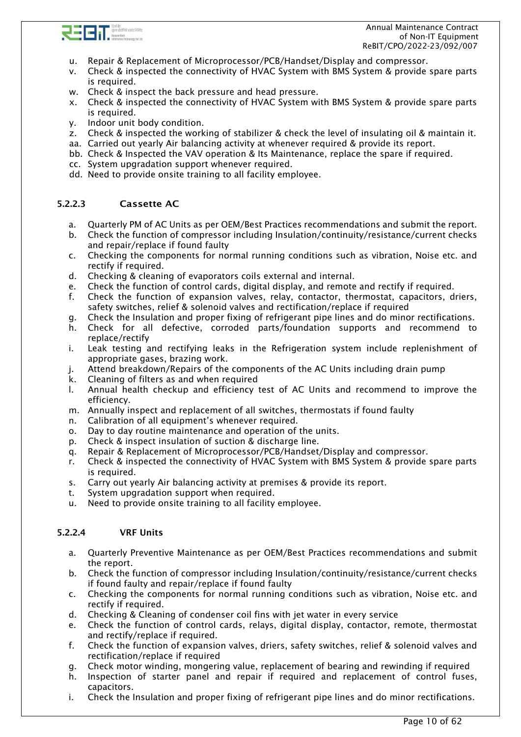

 Annual Maintenance Contract of Non-IT Equipment ReBIT/CPO/2022-23/092/007

- u. Repair & Replacement of Microprocessor/PCB/Handset/Display and compressor.
- v. Check & inspected the connectivity of HVAC System with BMS System & provide spare parts is required.
- w. Check & inspect the back pressure and head pressure.
- x. Check & inspected the connectivity of HVAC System with BMS System & provide spare parts is required.
- y. Indoor unit body condition.
- z. Check & inspected the working of stabilizer & check the level of insulating oil & maintain it.
- aa. Carried out yearly Air balancing activity at whenever required & provide its report.
- bb. Check & Inspected the VAV operation & Its Maintenance, replace the spare if required.
- cc. System upgradation support whenever required.
- dd. Need to provide onsite training to all facility employee.

### 5.2.2.3 Cassette AC

- a. Quarterly PM of AC Units as per OEM/Best Practices recommendations and submit the report.
- b. Check the function of compressor including Insulation/continuity/resistance/current checks and repair/replace if found faulty
- c. Checking the components for normal running conditions such as vibration, Noise etc. and rectify if required.
- d. Checking & cleaning of evaporators coils external and internal.
- e. Check the function of control cards, digital display, and remote and rectify if required.
- f. Check the function of expansion valves, relay, contactor, thermostat, capacitors, driers, safety switches, relief & solenoid valves and rectification/replace if required
- g. Check the Insulation and proper fixing of refrigerant pipe lines and do minor rectifications.
- h. Check for all defective, corroded parts/foundation supports and recommend to replace/rectify
- i. Leak testing and rectifying leaks in the Refrigeration system include replenishment of appropriate gases, brazing work.
- j. Attend breakdown/Repairs of the components of the AC Units including drain pump
- k. Cleaning of filters as and when required
- l. Annual health checkup and efficiency test of AC Units and recommend to improve the efficiency.
- m. Annually inspect and replacement of all switches, thermostats if found faulty
- n. Calibration of all equipment's whenever required.
- o. Day to day routine maintenance and operation of the units.
- p. Check & inspect insulation of suction & discharge line.
- q. Repair & Replacement of Microprocessor/PCB/Handset/Display and compressor.
- r. Check & inspected the connectivity of HVAC System with BMS System & provide spare parts is required.
- s. Carry out yearly Air balancing activity at premises & provide its report.
- t. System upgradation support when required.
- u. Need to provide onsite training to all facility employee.

#### 5.2.2.4 VRF Units

- a. Quarterly Preventive Maintenance as per OEM/Best Practices recommendations and submit the report.
- b. Check the function of compressor including Insulation/continuity/resistance/current checks if found faulty and repair/replace if found faulty
- c. Checking the components for normal running conditions such as vibration, Noise etc. and rectify if required.
- d. Checking & Cleaning of condenser coil fins with jet water in every service
- e. Check the function of control cards, relays, digital display, contactor, remote, thermostat and rectify/replace if required.
- f. Check the function of expansion valves, driers, safety switches, relief & solenoid valves and rectification/replace if required
- g. Check motor winding, mongering value, replacement of bearing and rewinding if required
- h. Inspection of starter panel and repair if required and replacement of control fuses, capacitors.
- i. Check the Insulation and proper fixing of refrigerant pipe lines and do minor rectifications.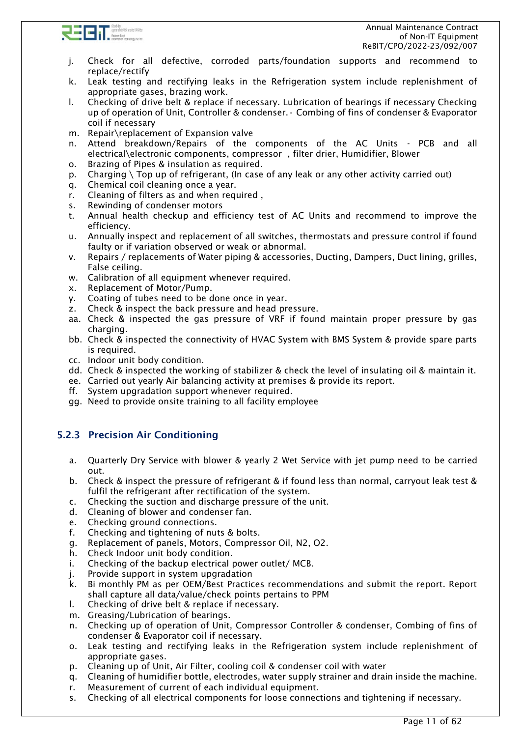

- j. Check for all defective, corroded parts/foundation supports and recommend to replace/rectify
- k. Leak testing and rectifying leaks in the Refrigeration system include replenishment of appropriate gases, brazing work.
- l. Checking of drive belt & replace if necessary. Lubrication of bearings if necessary Checking up of operation of Unit, Controller & condenser.• Combing of fins of condenser & Evaporator coil if necessary
- m. Repair\replacement of Expansion valve
- n. Attend breakdown/Repairs of the components of the AC Units PCB and all electrical\electronic components, compressor , filter drier, Humidifier, Blower
- o. Brazing of Pipes & insulation as required.
- p. Charging \ Top up of refrigerant, (In case of any leak or any other activity carried out)
- q. Chemical coil cleaning once a year.
- r. Cleaning of filters as and when required ,
- s. Rewinding of condenser motors
- t. Annual health checkup and efficiency test of AC Units and recommend to improve the efficiency.
- u. Annually inspect and replacement of all switches, thermostats and pressure control if found faulty or if variation observed or weak or abnormal.
- v. Repairs / replacements of Water piping & accessories, Ducting, Dampers, Duct lining, grilles, False ceiling.
- w. Calibration of all equipment whenever required.
- x. Replacement of Motor/Pump.
- y. Coating of tubes need to be done once in year.
- z. Check & inspect the back pressure and head pressure.
- aa. Check & inspected the gas pressure of VRF if found maintain proper pressure by gas charging.
- bb. Check & inspected the connectivity of HVAC System with BMS System & provide spare parts is required.
- cc. Indoor unit body condition.
- dd. Check & inspected the working of stabilizer & check the level of insulating oil & maintain it.
- ee. Carried out yearly Air balancing activity at premises & provide its report.
- ff. System upgradation support whenever required.
- gg. Need to provide onsite training to all facility employee

# <span id="page-10-0"></span>5.2.3 Precision Air Conditioning

- a. Quarterly Dry Service with blower & yearly 2 Wet Service with jet pump need to be carried out.
- b. Check & inspect the pressure of refrigerant & if found less than normal, carryout leak test & fulfil the refrigerant after rectification of the system.
- c. Checking the suction and discharge pressure of the unit.
- d. Cleaning of blower and condenser fan.
- e. Checking ground connections.
- f. Checking and tightening of nuts & bolts.
- g. Replacement of panels, Motors, Compressor Oil, N2, O2.
- h. Check Indoor unit body condition.
- i. Checking of the backup electrical power outlet/ MCB.
- j. Provide support in system upgradation
- k. Bi monthly PM as per OEM/Best Practices recommendations and submit the report. Report shall capture all data/value/check points pertains to PPM
- l. Checking of drive belt & replace if necessary.
- m. Greasing/Lubrication of bearings.
- n. Checking up of operation of Unit, Compressor Controller & condenser, Combing of fins of condenser & Evaporator coil if necessary.
- o. Leak testing and rectifying leaks in the Refrigeration system include replenishment of appropriate gases.
- p. Cleaning up of Unit, Air Filter, cooling coil & condenser coil with water
- q. Cleaning of humidifier bottle, electrodes, water supply strainer and drain inside the machine.
- r. Measurement of current of each individual equipment.
- s. Checking of all electrical components for loose connections and tightening if necessary.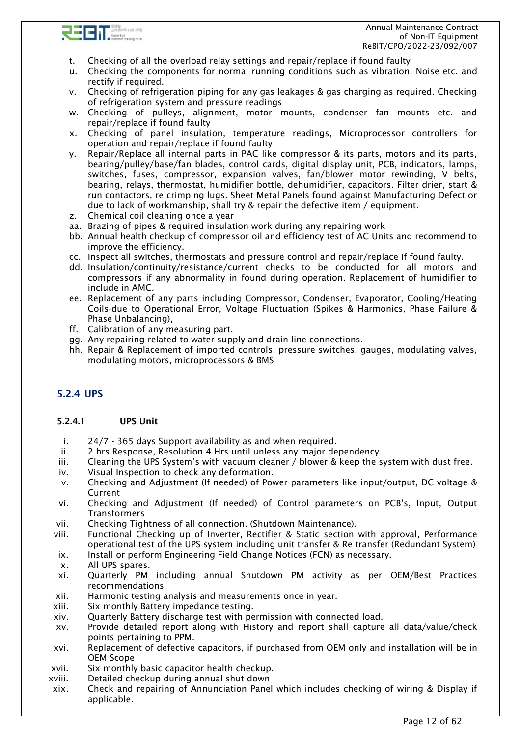

- t. Checking of all the overload relay settings and repair/replace if found faulty
- u. Checking the components for normal running conditions such as vibration, Noise etc. and rectify if required.
- v. Checking of refrigeration piping for any gas leakages & gas charging as required. Checking of refrigeration system and pressure readings
- w. Checking of pulleys, alignment, motor mounts, condenser fan mounts etc. and repair/replace if found faulty
- x. Checking of panel insulation, temperature readings, Microprocessor controllers for operation and repair/replace if found faulty
- y. Repair/Replace all internal parts in PAC like compressor & its parts, motors and its parts, bearing/pulley/base/fan blades, control cards, digital display unit, PCB, indicators, lamps, switches, fuses, compressor, expansion valves, fan/blower motor rewinding, V belts, bearing, relays, thermostat, humidifier bottle, dehumidifier, capacitors. Filter drier, start & run contactors, re crimping lugs. Sheet Metal Panels found against Manufacturing Defect or due to lack of workmanship, shall try & repair the defective item / equipment.
- z. Chemical coil cleaning once a year
- aa. Brazing of pipes & required insulation work during any repairing work
- bb. Annual health checkup of compressor oil and efficiency test of AC Units and recommend to improve the efficiency.
- cc. Inspect all switches, thermostats and pressure control and repair/replace if found faulty.
- dd. Insulation/continuity/resistance/current checks to be conducted for all motors and compressors if any abnormality in found during operation. Replacement of humidifier to include in AMC.
- ee. Replacement of any parts including Compressor, Condenser, Evaporator, Cooling/Heating Coils-due to Operational Error, Voltage Fluctuation (Spikes & Harmonics, Phase Failure & Phase Unbalancing),
- ff. Calibration of any measuring part.
- gg. Any repairing related to water supply and drain line connections.
- hh. Repair & Replacement of imported controls, pressure switches, gauges, modulating valves, modulating motors, microprocessors & BMS

# <span id="page-11-0"></span>5.2.4 UPS

### 5.2.4.1 UPS Unit

- i. 24/7 365 days Support availability as and when required.
- ii. 2 hrs Response, Resolution 4 Hrs until unless any major dependency.
- iii. Cleaning the UPS System's with vacuum cleaner / blower & keep the system with dust free.
- iv. Visual Inspection to check any deformation.
- v. Checking and Adjustment (If needed) of Power parameters like input/output, DC voltage & Current
- vi. Checking and Adjustment (If needed) of Control parameters on PCB's, Input, Output **Transformers**
- vii. Checking Tightness of all connection. (Shutdown Maintenance).
- viii. Functional Checking up of Inverter, Rectifier & Static section with approval, Performance operational test of the UPS system including unit transfer & Re transfer (Redundant System)
- ix. Install or perform Engineering Field Change Notices (FCN) as necessary.
- x. All UPS spares.
- xi. Quarterly PM including annual Shutdown PM activity as per OEM/Best Practices recommendations
- xii. Harmonic testing analysis and measurements once in year.
- xiii. Six monthly Battery impedance testing.
- xiv. Quarterly Battery discharge test with permission with connected load.
- xv. Provide detailed report along with History and report shall capture all data/value/check points pertaining to PPM.
- xvi. Replacement of defective capacitors, if purchased from OEM only and installation will be in OEM Scope
- xvii. Six monthly basic capacitor health checkup.
- xviii. Detailed checkup during annual shut down
- xix. Check and repairing of Annunciation Panel which includes checking of wiring & Display if applicable.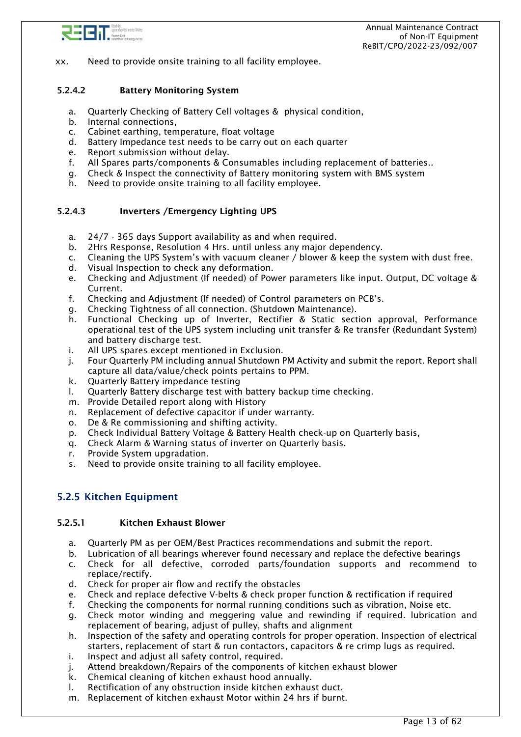

xx. Need to provide onsite training to all facility employee.

### 5.2.4.2 Battery Monitoring System

- a. Quarterly Checking of Battery Cell voltages & physical condition,
- b. Internal connections,
- c. Cabinet earthing, temperature, float voltage
- d. Battery Impedance test needs to be carry out on each quarter
- e. Report submission without delay.
- f. All Spares parts/components & Consumables including replacement of batteries..
- g. Check & Inspect the connectivity of Battery monitoring system with BMS system
- h. Need to provide onsite training to all facility employee.

#### 5.2.4.3 Inverters /Emergency Lighting UPS

- a. 24/7 365 days Support availability as and when required.
- b. 2Hrs Response, Resolution 4 Hrs. until unless any major dependency.
- c. Cleaning the UPS System's with vacuum cleaner / blower & keep the system with dust free.
- d. Visual Inspection to check any deformation.
- e. Checking and Adjustment (If needed) of Power parameters like input. Output, DC voltage & Current.
- f. Checking and Adjustment (If needed) of Control parameters on PCB's.
- g. Checking Tightness of all connection. (Shutdown Maintenance).
- h. Functional Checking up of Inverter, Rectifier & Static section approval, Performance operational test of the UPS system including unit transfer & Re transfer (Redundant System) and battery discharge test.
- i. All UPS spares except mentioned in Exclusion.
- j. Four Quarterly PM including annual Shutdown PM Activity and submit the report. Report shall capture all data/value/check points pertains to PPM.
- k. Quarterly Battery impedance testing
- l. Quarterly Battery discharge test with battery backup time checking.
- m. Provide Detailed report along with History
- n. Replacement of defective capacitor if under warranty.
- o. De & Re commissioning and shifting activity.
- p. Check Individual Battery Voltage & Battery Health check-up on Quarterly basis,
- q. Check Alarm & Warning status of inverter on Quarterly basis.
- r. Provide System upgradation.
- s. Need to provide onsite training to all facility employee.

## <span id="page-12-0"></span>5.2.5 Kitchen Equipment

#### 5.2.5.1 Kitchen Exhaust Blower

- a. Quarterly PM as per OEM/Best Practices recommendations and submit the report.
- b. Lubrication of all bearings wherever found necessary and replace the defective bearings
- c. Check for all defective, corroded parts/foundation supports and recommend to replace/rectify.
- d. Check for proper air flow and rectify the obstacles
- e. Check and replace defective V-belts & check proper function & rectification if required
- f. Checking the components for normal running conditions such as vibration, Noise etc.
- g. Check motor winding and meggering value and rewinding if required. lubrication and replacement of bearing, adjust of pulley, shafts and alignment
- h. Inspection of the safety and operating controls for proper operation. Inspection of electrical starters, replacement of start & run contactors, capacitors & re crimp lugs as required.
- i. Inspect and adjust all safety control, required.
- j. Attend breakdown/Repairs of the components of kitchen exhaust blower
- k. Chemical cleaning of kitchen exhaust hood annually.
- l. Rectification of any obstruction inside kitchen exhaust duct.
- m. Replacement of kitchen exhaust Motor within 24 hrs if burnt.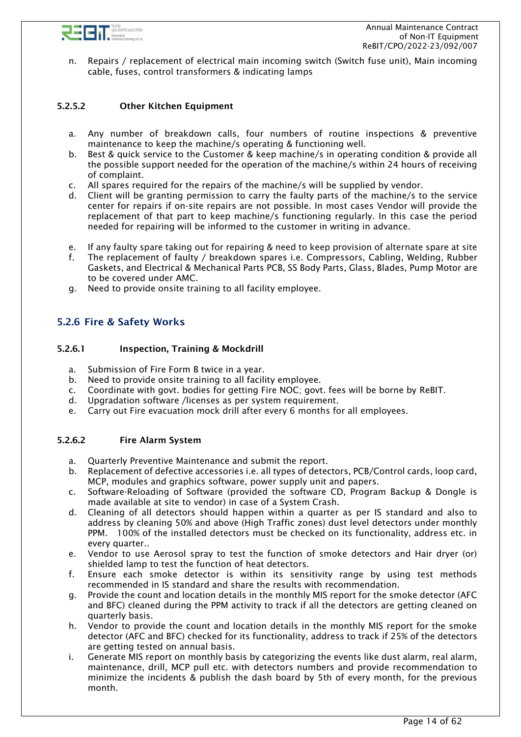

n. Repairs / replacement of electrical main incoming switch (Switch fuse unit), Main incoming cable, fuses, control transformers & indicating lamps

### 5.2.5.2 Other Kitchen Equipment

- a. Any number of breakdown calls, four numbers of routine inspections & preventive maintenance to keep the machine/s operating & functioning well.
- b. Best & quick service to the Customer & keep machine/s in operating condition & provide all the possible support needed for the operation of the machine/s within 24 hours of receiving of complaint.
- c. All spares required for the repairs of the machine/s will be supplied by vendor.
- d. Client will be granting permission to carry the faulty parts of the machine/s to the service center for repairs if on-site repairs are not possible. In most cases Vendor will provide the replacement of that part to keep machine/s functioning regularly. In this case the period needed for repairing will be informed to the customer in writing in advance.
- e. If any faulty spare taking out for repairing & need to keep provision of alternate spare at site
- f. The replacement of faulty / breakdown spares i.e. Compressors, Cabling, Welding, Rubber Gaskets, and Electrical & Mechanical Parts PCB, SS Body Parts, Glass, Blades, Pump Motor are to be covered under AMC.
- g. Need to provide onsite training to all facility employee.

## <span id="page-13-0"></span>5.2.6 Fire & Safety Works

#### 5.2.6.1 Inspection, Training & Mockdrill

- a. Submission of Fire Form B twice in a year.
- b. Need to provide onsite training to all facility employee.
- c. Coordinate with govt. bodies for getting Fire NOC; govt. fees will be borne by ReBIT.
- d. Upgradation software /licenses as per system requirement.
- e. Carry out Fire evacuation mock drill after every 6 months for all employees.

#### 5.2.6.2 Fire Alarm System

- a. Quarterly Preventive Maintenance and submit the report.
- b. Replacement of defective accessories i.e. all types of detectors, PCB/Control cards, loop card, MCP, modules and graphics software, power supply unit and papers.
- c. Software-Reloading of Software (provided the software CD, Program Backup & Dongle is made available at site to vendor) in case of a System Crash.
- d. Cleaning of all detectors should happen within a quarter as per IS standard and also to address by cleaning 50% and above (High Traffic zones) dust level detectors under monthly PPM. 100% of the installed detectors must be checked on its functionality, address etc. in every quarter..
- e. Vendor to use Aerosol spray to test the function of smoke detectors and Hair dryer (or) shielded lamp to test the function of heat detectors.
- f. Ensure each smoke detector is within its sensitivity range by using test methods recommended in IS standard and share the results with recommendation.
- g. Provide the count and location details in the monthly MIS report for the smoke detector (AFC and BFC) cleaned during the PPM activity to track if all the detectors are getting cleaned on quarterly basis.
- h. Vendor to provide the count and location details in the monthly MIS report for the smoke detector (AFC and BFC) checked for its functionality, address to track if 25% of the detectors are getting tested on annual basis.
- i. Generate MIS report on monthly basis by categorizing the events like dust alarm, real alarm, maintenance, drill, MCP pull etc. with detectors numbers and provide recommendation to minimize the incidents & publish the dash board by 5th of every month, for the previous month.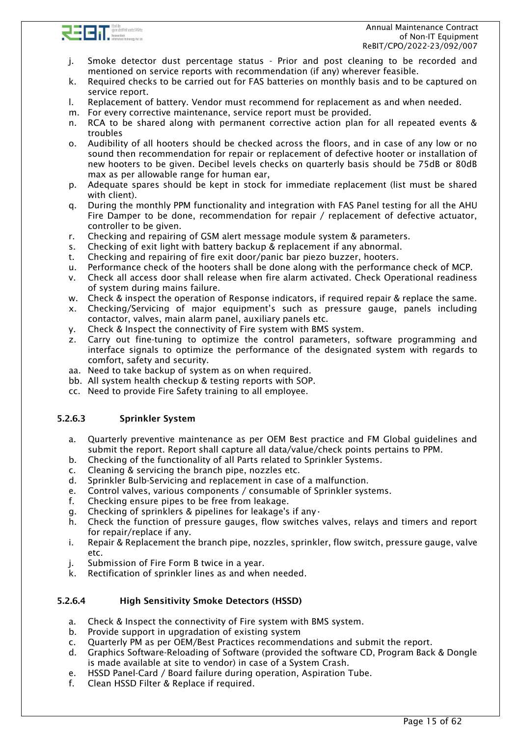

- j. Smoke detector dust percentage status Prior and post cleaning to be recorded and mentioned on service reports with recommendation (if any) wherever feasible.
- k. Required checks to be carried out for FAS batteries on monthly basis and to be captured on service report.
- l. Replacement of battery. Vendor must recommend for replacement as and when needed.
- m. For every corrective maintenance, service report must be provided.
- n. RCA to be shared along with permanent corrective action plan for all repeated events & troubles
- o. Audibility of all hooters should be checked across the floors, and in case of any low or no sound then recommendation for repair or replacement of defective hooter or installation of new hooters to be given. Decibel levels checks on quarterly basis should be 75dB or 80dB max as per allowable range for human ear,
- p. Adequate spares should be kept in stock for immediate replacement (list must be shared with client).
- q. During the monthly PPM functionality and integration with FAS Panel testing for all the AHU Fire Damper to be done, recommendation for repair / replacement of defective actuator, controller to be given.
- r. Checking and repairing of GSM alert message module system & parameters.
- s. Checking of exit light with battery backup & replacement if any abnormal.
- t. Checking and repairing of fire exit door/panic bar piezo buzzer, hooters.
- u. Performance check of the hooters shall be done along with the performance check of MCP.
- v. Check all access door shall release when fire alarm activated. Check Operational readiness of system during mains failure.
- w. Check & inspect the operation of Response indicators, if required repair & replace the same.
- x. Checking/Servicing of major equipment's such as pressure gauge, panels including contactor, valves, main alarm panel, auxiliary panels etc.
- y. Check & Inspect the connectivity of Fire system with BMS system.
- z. Carry out fine-tuning to optimize the control parameters, software programming and interface signals to optimize the performance of the designated system with regards to comfort, safety and security.
- aa. Need to take backup of system as on when required.
- bb. All system health checkup & testing reports with SOP.
- cc. Need to provide Fire Safety training to all employee.

### 5.2.6.3 Sprinkler System

- a. Quarterly preventive maintenance as per OEM Best practice and FM Global guidelines and submit the report. Report shall capture all data/value/check points pertains to PPM.
- b. Checking of the functionality of all Parts related to Sprinkler Systems.
- c. Cleaning & servicing the branch pipe, nozzles etc.
- d. Sprinkler Bulb-Servicing and replacement in case of a malfunction.
- e. Control valves, various components / consumable of Sprinkler systems.
- f. Checking ensure pipes to be free from leakage.
- g. Checking of sprinklers & pipelines for leakage's if any•
- h. Check the function of pressure gauges, flow switches valves, relays and timers and report for repair/replace if any.
- i. Repair & Replacement the branch pipe, nozzles, sprinkler, flow switch, pressure gauge, valve etc.
- j. Submission of Fire Form B twice in a year.
- k. Rectification of sprinkler lines as and when needed.

### 5.2.6.4 High Sensitivity Smoke Detectors (HSSD)

- a. Check & Inspect the connectivity of Fire system with BMS system.
- b. Provide support in upgradation of existing system
- c. Quarterly PM as per OEM/Best Practices recommendations and submit the report.
- d. Graphics Software-Reloading of Software (provided the software CD, Program Back & Dongle is made available at site to vendor) in case of a System Crash.
- e. HSSD Panel-Card / Board failure during operation, Aspiration Tube.
- f. Clean HSSD Filter & Replace if required.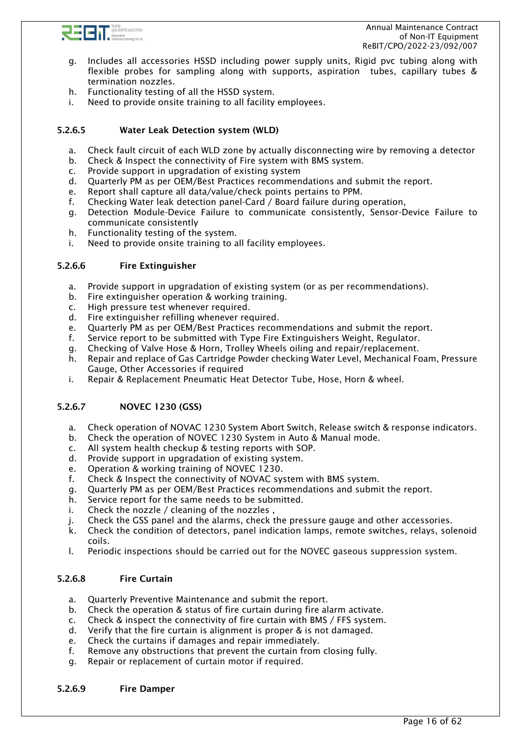

- g. Includes all accessories HSSD including power supply units, Rigid pvc tubing along with flexible probes for sampling along with supports, aspiration tubes, capillary tubes & termination nozzles.
- h. Functionality testing of all the HSSD system.
- i. Need to provide onsite training to all facility employees.

### 5.2.6.5 Water Leak Detection system (WLD)

- a. Check fault circuit of each WLD zone by actually disconnecting wire by removing a detector
- b. Check & Inspect the connectivity of Fire system with BMS system.
- c. Provide support in upgradation of existing system
- d. Quarterly PM as per OEM/Best Practices recommendations and submit the report.
- e. Report shall capture all data/value/check points pertains to PPM.
- f. Checking Water leak detection panel-Card / Board failure during operation,
- g. Detection Module-Device Failure to communicate consistently, Sensor-Device Failure to communicate consistently
- h. Functionality testing of the system.
- i. Need to provide onsite training to all facility employees.

#### 5.2.6.6 Fire Extinguisher

- a. Provide support in upgradation of existing system (or as per recommendations).
- b. Fire extinguisher operation & working training.
- c. High pressure test whenever required.
- d. Fire extinguisher refilling whenever required.
- e. Quarterly PM as per OEM/Best Practices recommendations and submit the report.
- f. Service report to be submitted with Type Fire Extinguishers Weight, Regulator.
- g. Checking of Valve Hose & Horn, Trolley Wheels oiling and repair/replacement.
- h. Repair and replace of Gas Cartridge Powder checking Water Level, Mechanical Foam, Pressure Gauge, Other Accessories if required
- i. Repair & Replacement Pneumatic Heat Detector Tube, Hose, Horn & wheel.

#### 5.2.6.7 NOVEC 1230 (GSS)

- a. Check operation of NOVAC 1230 System Abort Switch, Release switch & response indicators.
- b. Check the operation of NOVEC 1230 System in Auto & Manual mode.
- c. All system health checkup & testing reports with SOP.
- d. Provide support in upgradation of existing system.
- e. Operation & working training of NOVEC 1230.
- f. Check & Inspect the connectivity of NOVAC system with BMS system.
- g. Quarterly PM as per OEM/Best Practices recommendations and submit the report.
- h. Service report for the same needs to be submitted.
- i. Check the nozzle / cleaning of the nozzles ,
- j. Check the GSS panel and the alarms, check the pressure gauge and other accessories.
- k. Check the condition of detectors, panel indication lamps, remote switches, relays, solenoid coils.
- l. Periodic inspections should be carried out for the NOVEC gaseous suppression system.

### 5.2.6.8 Fire Curtain

- a. Quarterly Preventive Maintenance and submit the report.
- b. Check the operation & status of fire curtain during fire alarm activate.
- c. Check & inspect the connectivity of fire curtain with BMS / FFS system.
- d. Verify that the fire curtain is alignment is proper & is not damaged.
- e. Check the curtains if damages and repair immediately.
- f. Remove any obstructions that prevent the curtain from closing fully.
- g. Repair or replacement of curtain motor if required.

#### 5.2.6.9 Fire Damper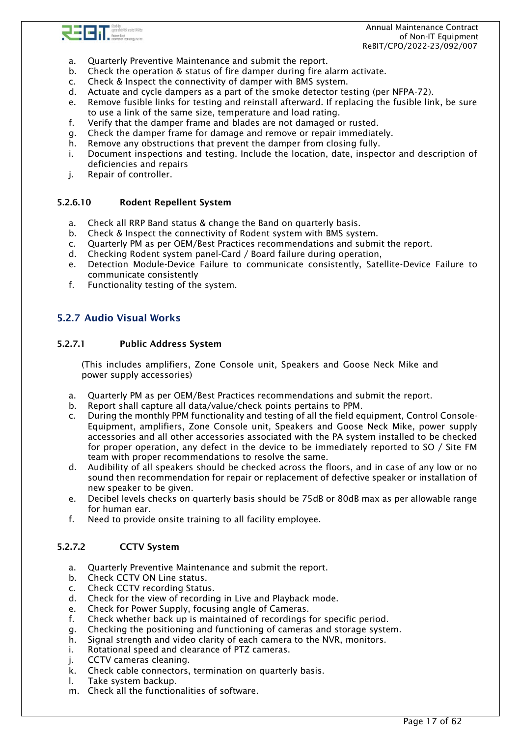

- a. Quarterly Preventive Maintenance and submit the report.
- b. Check the operation & status of fire damper during fire alarm activate.
- c. Check & Inspect the connectivity of damper with BMS system.
- d. Actuate and cycle dampers as a part of the smoke detector testing (per NFPA-72).
- e. Remove fusible links for testing and reinstall afterward. If replacing the fusible link, be sure to use a link of the same size, temperature and load rating.
- f. Verify that the damper frame and blades are not damaged or rusted.
- g. Check the damper frame for damage and remove or repair immediately.
- h. Remove any obstructions that prevent the damper from closing fully.
- i. Document inspections and testing. Include the location, date, inspector and description of deficiencies and repairs
- j. Repair of controller.

#### 5.2.6.10 Rodent Repellent System

- a. Check all RRP Band status & change the Band on quarterly basis.
- b. Check & Inspect the connectivity of Rodent system with BMS system.
- c. Quarterly PM as per OEM/Best Practices recommendations and submit the report.
- d. Checking Rodent system panel-Card / Board failure during operation,
- e. Detection Module-Device Failure to communicate consistently, Satellite-Device Failure to communicate consistently
- f. Functionality testing of the system.

## <span id="page-16-0"></span>5.2.7 Audio Visual Works

#### 5.2.7.1 Public Address System

(This includes amplifiers, Zone Console unit, Speakers and Goose Neck Mike and power supply accessories)

- a. Quarterly PM as per OEM/Best Practices recommendations and submit the report.
- b. Report shall capture all data/value/check points pertains to PPM.
- c. During the monthly PPM functionality and testing of all the field equipment, Control Console-Equipment, amplifiers, Zone Console unit, Speakers and Goose Neck Mike, power supply accessories and all other accessories associated with the PA system installed to be checked for proper operation, any defect in the device to be immediately reported to SO / Site FM team with proper recommendations to resolve the same.
- d. Audibility of all speakers should be checked across the floors, and in case of any low or no sound then recommendation for repair or replacement of defective speaker or installation of new speaker to be given.
- e. Decibel levels checks on quarterly basis should be 75dB or 80dB max as per allowable range for human ear.
- f. Need to provide onsite training to all facility employee.

#### 5.2.7.2 CCTV System

- a. Quarterly Preventive Maintenance and submit the report.
- b. Check CCTV ON Line status.
- c. Check CCTV recording Status.
- d. Check for the view of recording in Live and Playback mode.
- e. Check for Power Supply, focusing angle of Cameras.
- f. Check whether back up is maintained of recordings for specific period.
- g. Checking the positioning and functioning of cameras and storage system.
- h. Signal strength and video clarity of each camera to the NVR, monitors.
- i. Rotational speed and clearance of PTZ cameras.
- j. CCTV cameras cleaning.
- k. Check cable connectors, termination on quarterly basis.
- l. Take system backup.
- m. Check all the functionalities of software.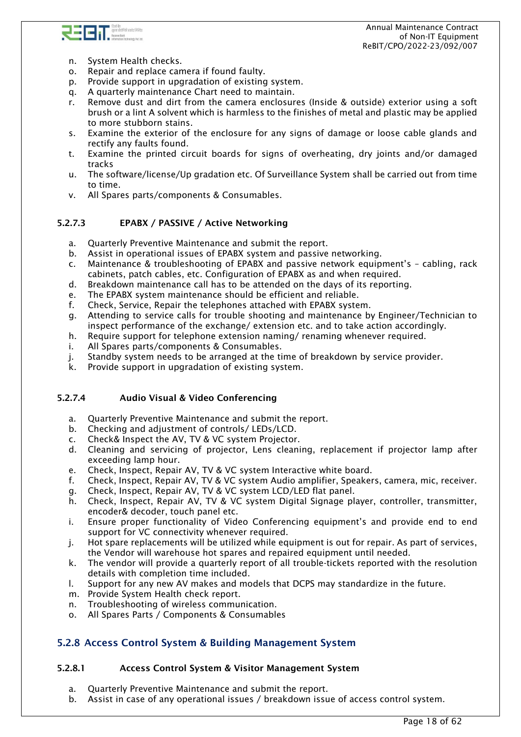

- n. System Health checks.
- o. Repair and replace camera if found faulty.
- p. Provide support in upgradation of existing system.
- q. A quarterly maintenance Chart need to maintain.
- r. Remove dust and dirt from the camera enclosures (Inside & outside) exterior using a soft brush or a lint A solvent which is harmless to the finishes of metal and plastic may be applied to more stubborn stains.
- s. Examine the exterior of the enclosure for any signs of damage or loose cable glands and rectify any faults found.
- t. Examine the printed circuit boards for signs of overheating, dry joints and/or damaged tracks
- u. The software/license/Up gradation etc. Of Surveillance System shall be carried out from time to time.
- v. All Spares parts/components & Consumables.

### 5.2.7.3 EPABX / PASSIVE / Active Networking

- a. Quarterly Preventive Maintenance and submit the report.
- b. Assist in operational issues of EPABX system and passive networking.
- c. Maintenance & troubleshooting of EPABX and passive network equipment's cabling, rack cabinets, patch cables, etc. Configuration of EPABX as and when required.
- d. Breakdown maintenance call has to be attended on the days of its reporting.
- e. The EPABX system maintenance should be efficient and reliable.
- f. Check, Service, Repair the telephones attached with EPABX system.
- g. Attending to service calls for trouble shooting and maintenance by Engineer/Technician to inspect performance of the exchange/ extension etc. and to take action accordingly.
- h. Require support for telephone extension naming/ renaming whenever required.
- i. All Spares parts/components & Consumables.
- j. Standby system needs to be arranged at the time of breakdown by service provider.
- k. Provide support in upgradation of existing system.

### 5.2.7.4 Audio Visual & Video Conferencing

- a. Quarterly Preventive Maintenance and submit the report.
- b. Checking and adjustment of controls/ LEDs/LCD.
- c. Check& Inspect the AV, TV & VC system Projector.
- d. Cleaning and servicing of projector, Lens cleaning, replacement if projector lamp after exceeding lamp hour.
- e. Check, Inspect, Repair AV, TV & VC system Interactive white board.
- f. Check, Inspect, Repair AV, TV & VC system Audio amplifier, Speakers, camera, mic, receiver.
- g. Check, Inspect, Repair AV, TV & VC system LCD/LED flat panel.
- h. Check, Inspect, Repair AV, TV & VC system Digital Signage player, controller, transmitter, encoder& decoder, touch panel etc.
- i. Ensure proper functionality of Video Conferencing equipment's and provide end to end support for VC connectivity whenever required.
- j. Hot spare replacements will be utilized while equipment is out for repair. As part of services, the Vendor will warehouse hot spares and repaired equipment until needed.
- k. The vendor will provide a quarterly report of all trouble-tickets reported with the resolution details with completion time included.
- l. Support for any new AV makes and models that DCPS may standardize in the future.
- m. Provide System Health check report.
- n. Troubleshooting of wireless communication.
- o. All Spares Parts / Components & Consumables

## <span id="page-17-0"></span>5.2.8 Access Control System & Building Management System

### 5.2.8.1 Access Control System & Visitor Management System

- a. Quarterly Preventive Maintenance and submit the report.
- b. Assist in case of any operational issues / breakdown issue of access control system.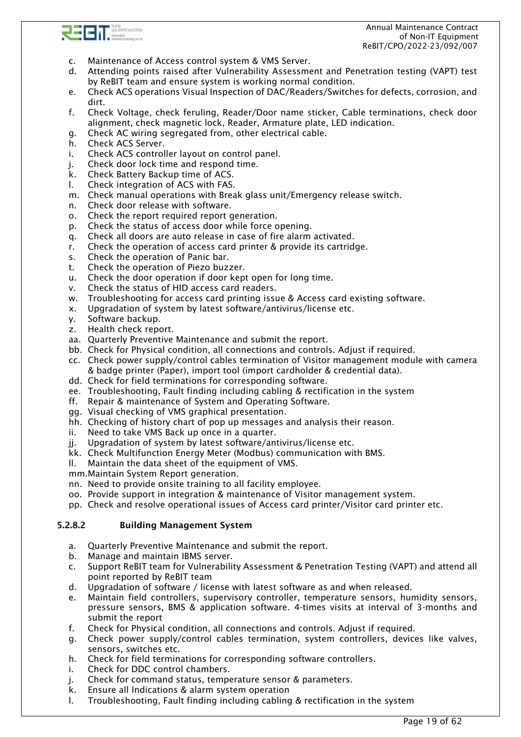

- c. Maintenance of Access control system & VMS Server.
- d. Attending points raised after Vulnerability Assessment and Penetration testing (VAPT) test by ReBIT team and ensure system is working normal condition.
- e. Check ACS operations Visual Inspection of DAC/Readers/Switches for defects, corrosion, and dirt.
- f. Check Voltage, check feruling, Reader/Door name sticker, Cable terminations, check door alignment, check magnetic lock, Reader, Armature plate, LED indication.
- g. Check AC wiring segregated from, other electrical cable.
- h. Check ACS Server.
- i. Check ACS controller layout on control panel.
- j. Check door lock time and respond time.
- k. Check Battery Backup time of ACS.
- l. Check integration of ACS with FAS.
- m. Check manual operations with Break glass unit/Emergency release switch.
- n. Check door release with software.
- o. Check the report required report generation.
- p. Check the status of access door while force opening.
- q. Check all doors are auto release in case of fire alarm activated.
- r. Check the operation of access card printer & provide its cartridge.
- s. Check the operation of Panic bar.
- t. Check the operation of Piezo buzzer.
- u. Check the door operation if door kept open for long time.
- v. Check the status of HID access card readers.
- w. Troubleshooting for access card printing issue & Access card existing software.
- x. Upgradation of system by latest software/antivirus/license etc.
- y. Software backup.
- z. Health check report.
- aa. Quarterly Preventive Maintenance and submit the report.
- bb. Check for Physical condition, all connections and controls. Adjust if required.
- cc. Check power supply/control cables termination of Visitor management module with camera & badge printer (Paper), import tool (import cardholder & credential data).
- dd. Check for field terminations for corresponding software.
- ee. Troubleshooting, Fault finding including cabling & rectification in the system
- ff. Repair & maintenance of System and Operating Software.
- gg. Visual checking of VMS graphical presentation.
- hh. Checking of history chart of pop up messages and analysis their reason.
- ii. Need to take VMS Back up once in a quarter.
- jj. Upgradation of system by latest software/antivirus/license etc.
- kk. Check Multifunction Energy Meter (Modbus) communication with BMS.
- ll. Maintain the data sheet of the equipment of VMS.
- mm.Maintain System Report generation.
- nn. Need to provide onsite training to all facility employee.
- oo. Provide support in integration & maintenance of Visitor management system.
- pp. Check and resolve operational issues of Access card printer/Visitor card printer etc.

#### 5.2.8.2 Building Management System

- a. Quarterly Preventive Maintenance and submit the report.
- b. Manage and maintain IBMS server.
- c. Support ReBIT team for Vulnerability Assessment & Penetration Testing (VAPT) and attend all point reported by ReBIT team
- d. Upgradation of software / license with latest software as and when released.
- e. Maintain field controllers, supervisory controller, temperature sensors, humidity sensors, pressure sensors, BMS & application software. 4-times visits at interval of 3-months and submit the report
- f. Check for Physical condition, all connections and controls. Adjust if required.
- g. Check power supply/control cables termination, system controllers, devices like valves, sensors, switches etc.
- h. Check for field terminations for corresponding software controllers.
- i. Check for DDC control chambers.
- j. Check for command status, temperature sensor & parameters.
- k. Ensure all Indications & alarm system operation
- l. Troubleshooting, Fault finding including cabling & rectification in the system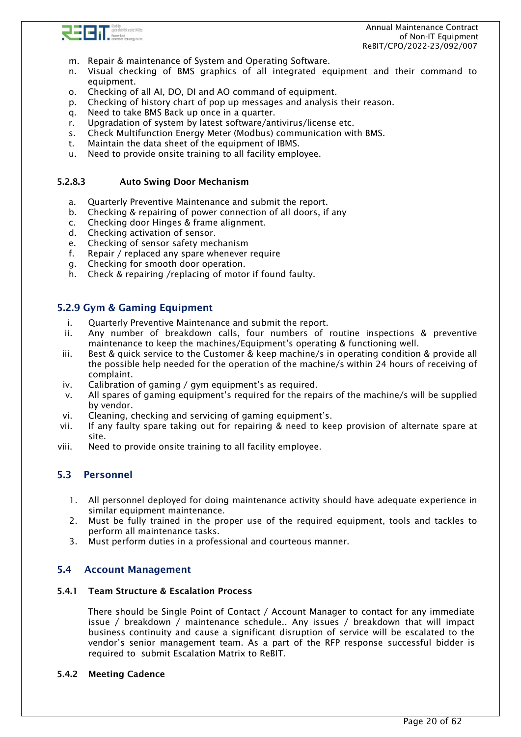

- m. Repair & maintenance of System and Operating Software.
- n. Visual checking of BMS graphics of all integrated equipment and their command to equipment.
- o. Checking of all AI, DO, DI and AO command of equipment.
- p. Checking of history chart of pop up messages and analysis their reason.
- q. Need to take BMS Back up once in a quarter.
- r. Upgradation of system by latest software/antivirus/license etc.
- s. Check Multifunction Energy Meter (Modbus) communication with BMS.
- t. Maintain the data sheet of the equipment of IBMS.
- u. Need to provide onsite training to all facility employee.

#### 5.2.8.3 Auto Swing Door Mechanism

- a. Quarterly Preventive Maintenance and submit the report.
- b. Checking & repairing of power connection of all doors, if any
- c. Checking door Hinges & frame alignment.
- d. Checking activation of sensor.
- e. Checking of sensor safety mechanism
- f. Repair / replaced any spare whenever require
- g. Checking for smooth door operation.
- h. Check & repairing /replacing of motor if found faulty.

### <span id="page-19-0"></span>5.2.9 Gym & Gaming Equipment

- i. Quarterly Preventive Maintenance and submit the report.
- ii. Any number of breakdown calls, four numbers of routine inspections & preventive maintenance to keep the machines/Equipment's operating & functioning well.
- iii. Best & quick service to the Customer & keep machine/s in operating condition & provide all the possible help needed for the operation of the machine/s within 24 hours of receiving of complaint.
- iv. Calibration of gaming / gym equipment's as required.
- v. All spares of gaming equipment's required for the repairs of the machine/s will be supplied by vendor.
- vi. Cleaning, checking and servicing of gaming equipment's.
- vii. If any faulty spare taking out for repairing & need to keep provision of alternate spare at site.
- viii. Need to provide onsite training to all facility employee.

### <span id="page-19-1"></span>5.3 Personnel

- 1. All personnel deployed for doing maintenance activity should have adequate experience in similar equipment maintenance.
- 2. Must be fully trained in the proper use of the required equipment, tools and tackles to perform all maintenance tasks.
- 3. Must perform duties in a professional and courteous manner.

### <span id="page-19-2"></span>5.4 Account Management

#### 5.4.1 Team Structure & Escalation Process

There should be Single Point of Contact / Account Manager to contact for any immediate issue / breakdown / maintenance schedule.. Any issues / breakdown that will impact business continuity and cause a significant disruption of service will be escalated to the vendor's senior management team. As a part of the RFP response successful bidder is required to submit Escalation Matrix to ReBIT.

#### 5.4.2 Meeting Cadence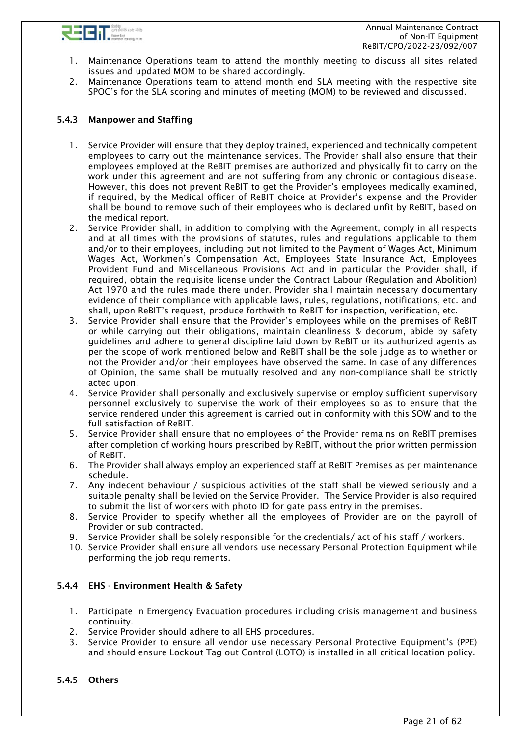

- 1. Maintenance Operations team to attend the monthly meeting to discuss all sites related issues and updated MOM to be shared accordingly.
- 2. Maintenance Operations team to attend month end SLA meeting with the respective site SPOC's for the SLA scoring and minutes of meeting (MOM) to be reviewed and discussed.

### 5.4.3 Manpower and Staffing

- 1. Service Provider will ensure that they deploy trained, experienced and technically competent employees to carry out the maintenance services. The Provider shall also ensure that their employees employed at the ReBIT premises are authorized and physically fit to carry on the work under this agreement and are not suffering from any chronic or contagious disease. However, this does not prevent ReBIT to get the Provider's employees medically examined, if required, by the Medical officer of ReBIT choice at Provider's expense and the Provider shall be bound to remove such of their employees who is declared unfit by ReBIT, based on the medical report.
- 2. Service Provider shall, in addition to complying with the Agreement, comply in all respects and at all times with the provisions of statutes, rules and regulations applicable to them and/or to their employees, including but not limited to the Payment of Wages Act, Minimum Wages Act, Workmen's Compensation Act, Employees State Insurance Act, Employees Provident Fund and Miscellaneous Provisions Act and in particular the Provider shall, if required, obtain the requisite license under the Contract Labour (Regulation and Abolition) Act 1970 and the rules made there under. Provider shall maintain necessary documentary evidence of their compliance with applicable laws, rules, regulations, notifications, etc. and shall, upon ReBIT's request, produce forthwith to ReBIT for inspection, verification, etc.
- 3. Service Provider shall ensure that the Provider's employees while on the premises of ReBIT or while carrying out their obligations, maintain cleanliness & decorum, abide by safety guidelines and adhere to general discipline laid down by ReBIT or its authorized agents as per the scope of work mentioned below and ReBIT shall be the sole judge as to whether or not the Provider and/or their employees have observed the same. In case of any differences of Opinion, the same shall be mutually resolved and any non-compliance shall be strictly acted upon.
- 4. Service Provider shall personally and exclusively supervise or employ sufficient supervisory personnel exclusively to supervise the work of their employees so as to ensure that the service rendered under this agreement is carried out in conformity with this SOW and to the full satisfaction of ReBIT.
- 5. Service Provider shall ensure that no employees of the Provider remains on ReBIT premises after completion of working hours prescribed by ReBIT, without the prior written permission of ReBIT.
- 6. The Provider shall always employ an experienced staff at ReBIT Premises as per maintenance schedule.
- 7. Any indecent behaviour / suspicious activities of the staff shall be viewed seriously and a suitable penalty shall be levied on the Service Provider. The Service Provider is also required to submit the list of workers with photo ID for gate pass entry in the premises.
- 8. Service Provider to specify whether all the employees of Provider are on the payroll of Provider or sub contracted.
- 9. Service Provider shall be solely responsible for the credentials/ act of his staff / workers.
- 10. Service Provider shall ensure all vendors use necessary Personal Protection Equipment while performing the job requirements.

#### 5.4.4 EHS - Environment Health & Safety

- 1. Participate in Emergency Evacuation procedures including crisis management and business continuity.
- 2. Service Provider should adhere to all EHS procedures.
- 3. Service Provider to ensure all vendor use necessary Personal Protective Equipment's (PPE) and should ensure Lockout Tag out Control (LOTO) is installed in all critical location policy.

#### 5.4.5 Others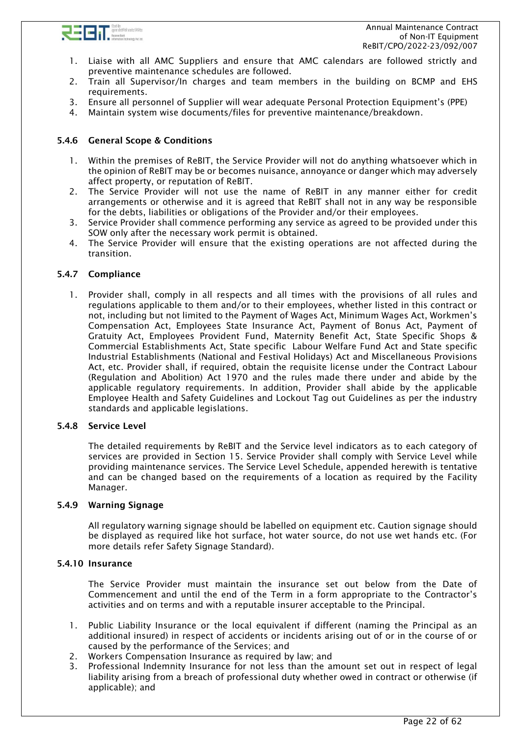

- 1. Liaise with all AMC Suppliers and ensure that AMC calendars are followed strictly and preventive maintenance schedules are followed.
- 2. Train all Supervisor/In charges and team members in the building on BCMP and EHS requirements.
- 3. Ensure all personnel of Supplier will wear adequate Personal Protection Equipment's (PPE)
- 4. Maintain system wise documents/files for preventive maintenance/breakdown.

### 5.4.6 General Scope & Conditions

- 1. Within the premises of ReBIT, the Service Provider will not do anything whatsoever which in the opinion of ReBIT may be or becomes nuisance, annoyance or danger which may adversely affect property, or reputation of ReBIT.
- 2. The Service Provider will not use the name of ReBIT in any manner either for credit arrangements or otherwise and it is agreed that ReBIT shall not in any way be responsible for the debts, liabilities or obligations of the Provider and/or their employees.
- 3. Service Provider shall commence performing any service as agreed to be provided under this SOW only after the necessary work permit is obtained.
- 4. The Service Provider will ensure that the existing operations are not affected during the transition.

#### 5.4.7 Compliance

1. Provider shall, comply in all respects and all times with the provisions of all rules and regulations applicable to them and/or to their employees, whether listed in this contract or not, including but not limited to the Payment of Wages Act, Minimum Wages Act, Workmen's Compensation Act, Employees State Insurance Act, Payment of Bonus Act, Payment of Gratuity Act, Employees Provident Fund, Maternity Benefit Act, State Specific Shops & Commercial Establishments Act, State specific Labour Welfare Fund Act and State specific Industrial Establishments (National and Festival Holidays) Act and Miscellaneous Provisions Act, etc. Provider shall, if required, obtain the requisite license under the Contract Labour (Regulation and Abolition) Act 1970 and the rules made there under and abide by the applicable regulatory requirements. In addition, Provider shall abide by the applicable Employee Health and Safety Guidelines and Lockout Tag out Guidelines as per the industry standards and applicable legislations.

#### 5.4.8 Service Level

The detailed requirements by ReBIT and the Service level indicators as to each category of services are provided in Section 15. Service Provider shall comply with Service Level while providing maintenance services. The Service Level Schedule, appended herewith is tentative and can be changed based on the requirements of a location as required by the Facility Manager.

#### 5.4.9 Warning Signage

All regulatory warning signage should be labelled on equipment etc. Caution signage should be displayed as required like hot surface, hot water source, do not use wet hands etc. (For more details refer Safety Signage Standard).

#### 5.4.10 Insurance

The Service Provider must maintain the insurance set out below from the Date of Commencement and until the end of the Term in a form appropriate to the Contractor's activities and on terms and with a reputable insurer acceptable to the Principal.

- 1. Public Liability Insurance or the local equivalent if different (naming the Principal as an additional insured) in respect of accidents or incidents arising out of or in the course of or caused by the performance of the Services; and
- 2. Workers Compensation Insurance as required by law; and
- 3. Professional Indemnity Insurance for not less than the amount set out in respect of legal liability arising from a breach of professional duty whether owed in contract or otherwise (if applicable); and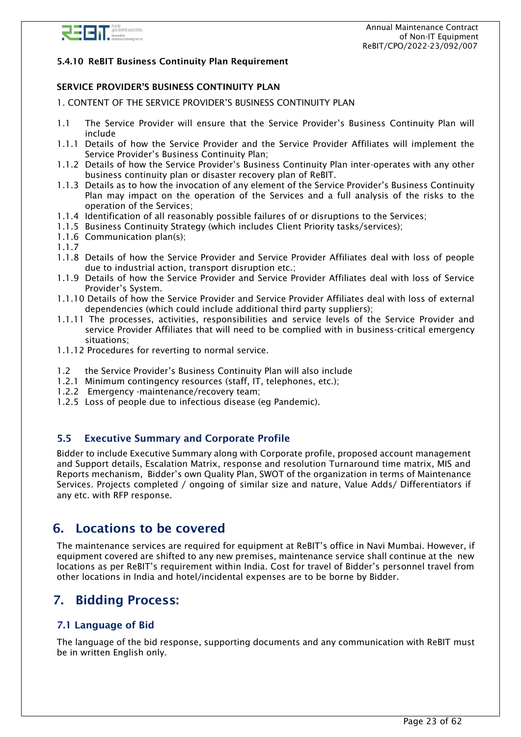

#### 5.4.10 ReBIT Business Continuity Plan Requirement

#### SERVICE PROVIDER'S BUSINESS CONTINUITY PLAN

1. CONTENT OF THE SERVICE PROVIDER'S BUSINESS CONTINUITY PLAN

- 1.1 The Service Provider will ensure that the Service Provider's Business Continuity Plan will include
- 1.1.1 Details of how the Service Provider and the Service Provider Affiliates will implement the Service Provider's Business Continuity Plan;
- 1.1.2 Details of how the Service Provider's Business Continuity Plan inter-operates with any other business continuity plan or disaster recovery plan of ReBIT.
- 1.1.3 Details as to how the invocation of any element of the Service Provider's Business Continuity Plan may impact on the operation of the Services and a full analysis of the risks to the operation of the Services;
- 1.1.4 Identification of all reasonably possible failures of or disruptions to the Services;
- 1.1.5 Business Continuity Strategy (which includes Client Priority tasks/services);
- 1.1.6 Communication plan(s);
- 1.1.7
- 1.1.8 Details of how the Service Provider and Service Provider Affiliates deal with loss of people due to industrial action, transport disruption etc.;
- 1.1.9 Details of how the Service Provider and Service Provider Affiliates deal with loss of Service Provider's System.
- 1.1.10 Details of how the Service Provider and Service Provider Affiliates deal with loss of external dependencies (which could include additional third party suppliers);
- 1.1.11 The processes, activities, responsibilities and service levels of the Service Provider and service Provider Affiliates that will need to be complied with in business-critical emergency situations;
- 1.1.12 Procedures for reverting to normal service.
- 1.2 the Service Provider's Business Continuity Plan will also include
- 1.2.1 Minimum contingency resources (staff, IT, telephones, etc.);
- 1.2.2 Emergency -maintenance/recovery team;
- 1.2.5 Loss of people due to infectious disease (eg Pandemic).

## <span id="page-22-0"></span>5.5 Executive Summary and Corporate Profile

Bidder to include Executive Summary along with Corporate profile, proposed account management and Support details, Escalation Matrix, response and resolution Turnaround time matrix, MIS and Reports mechanism, Bidder's own Quality Plan, SWOT of the organization in terms of Maintenance Services. Projects completed / ongoing of similar size and nature, Value Adds/ Differentiators if any etc. with RFP response.

# <span id="page-22-1"></span>6. Locations to be covered

The maintenance services are required for equipment at ReBIT's office in Navi Mumbai. However, if equipment covered are shifted to any new premises, maintenance service shall continue at the new locations as per ReBIT's requirement within India. Cost for travel of Bidder's personnel travel from other locations in India and hotel/incidental expenses are to be borne by Bidder.

# <span id="page-22-2"></span>7. Bidding Process:

### <span id="page-22-3"></span>7.1 Language of Bid

The language of the bid response, supporting documents and any communication with ReBIT must be in written English only.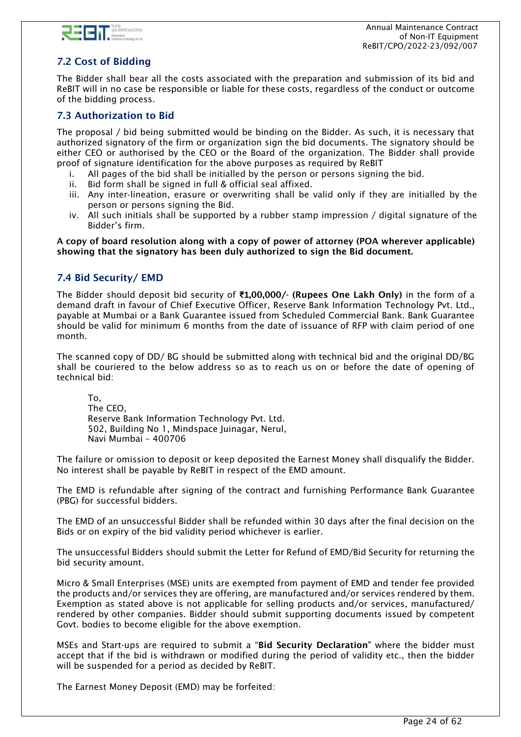

# <span id="page-23-0"></span>7.2 Cost of Bidding

The Bidder shall bear all the costs associated with the preparation and submission of its bid and ReBIT will in no case be responsible or liable for these costs, regardless of the conduct or outcome of the bidding process.

## <span id="page-23-1"></span>7.3 Authorization to Bid

The proposal / bid being submitted would be binding on the Bidder. As such, it is necessary that authorized signatory of the firm or organization sign the bid documents. The signatory should be either CEO or authorised by the CEO or the Board of the organization. The Bidder shall provide proof of signature identification for the above purposes as required by ReBIT

- i. All pages of the bid shall be initialled by the person or persons signing the bid.
- ii. Bid form shall be signed in full & official seal affixed.
- iii. Any inter-lineation, erasure or overwriting shall be valid only if they are initialled by the person or persons signing the Bid.
- iv. All such initials shall be supported by a rubber stamp impression / digital signature of the Bidder's firm.

#### A copy of board resolution along with a copy of power of attorney (POA wherever applicable) showing that the signatory has been duly authorized to sign the Bid document.

### <span id="page-23-2"></span>7.4 Bid Security/ EMD

The Bidder should deposit bid security of **₹1**,00,000/- (Rupees One Lakh Only) in the form of a demand draft in favour of Chief Executive Officer, Reserve Bank Information Technology Pvt. Ltd., payable at Mumbai or a Bank Guarantee issued from Scheduled Commercial Bank. Bank Guarantee should be valid for minimum 6 months from the date of issuance of RFP with claim period of one month.

The scanned copy of DD/ BG should be submitted along with technical bid and the original DD/BG shall be couriered to the below address so as to reach us on or before the date of opening of technical bid:

To, The CEO, Reserve Bank Information Technology Pvt. Ltd. 502, Building No 1, Mindspace Juinagar, Nerul, Navi Mumbai – 400706

The failure or omission to deposit or keep deposited the Earnest Money shall disqualify the Bidder. No interest shall be payable by ReBIT in respect of the EMD amount.

The EMD is refundable after signing of the contract and furnishing Performance Bank Guarantee (PBG) for successful bidders.

The EMD of an unsuccessful Bidder shall be refunded within 30 days after the final decision on the Bids or on expiry of the bid validity period whichever is earlier.

The unsuccessful Bidders should submit the Letter for Refund of EMD/Bid Security for returning the bid security amount.

Micro & Small Enterprises (MSE) units are exempted from payment of EMD and tender fee provided the products and/or services they are offering, are manufactured and/or services rendered by them. Exemption as stated above is not applicable for selling products and/or services, manufactured/ rendered by other companies. Bidder should submit supporting documents issued by competent Govt. bodies to become eligible for the above exemption.

MSEs and Start-ups are required to submit a "Bid Security Declaration" where the bidder must accept that if the bid is withdrawn or modified during the period of validity etc., then the bidder will be suspended for a period as decided by ReBIT.

The Earnest Money Deposit (EMD) may be forfeited: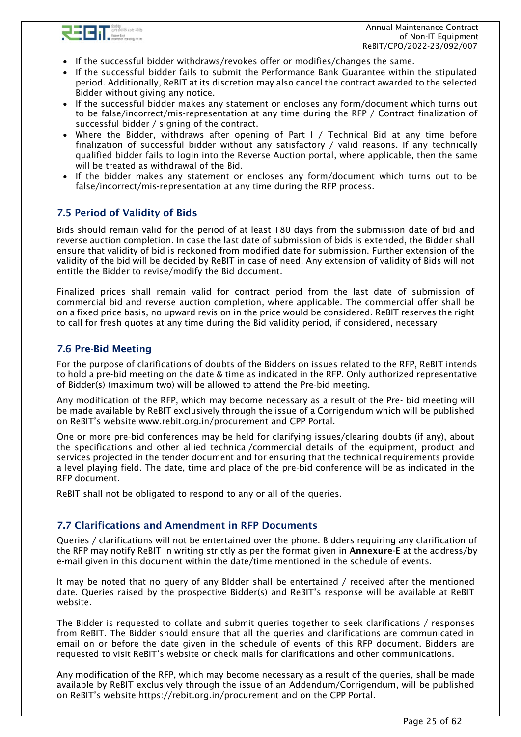

- If the successful bidder withdraws/revokes offer or modifies/changes the same.
- If the successful bidder fails to submit the Performance Bank Guarantee within the stipulated period. Additionally, ReBIT at its discretion may also cancel the contract awarded to the selected Bidder without giving any notice.
- If the successful bidder makes any statement or encloses any form/document which turns out to be false/incorrect/mis-representation at any time during the RFP / Contract finalization of successful bidder / signing of the contract.
- Where the Bidder, withdraws after opening of Part I / Technical Bid at any time before finalization of successful bidder without any satisfactory / valid reasons. If any technically qualified bidder fails to login into the Reverse Auction portal, where applicable, then the same will be treated as withdrawal of the Bid.
- If the bidder makes any statement or encloses any form/document which turns out to be false/incorrect/mis-representation at any time during the RFP process.

## <span id="page-24-0"></span>7.5 Period of Validity of Bids

Bids should remain valid for the period of at least 180 days from the submission date of bid and reverse auction completion. In case the last date of submission of bids is extended, the Bidder shall ensure that validity of bid is reckoned from modified date for submission. Further extension of the validity of the bid will be decided by ReBIT in case of need. Any extension of validity of Bids will not entitle the Bidder to revise/modify the Bid document.

Finalized prices shall remain valid for contract period from the last date of submission of commercial bid and reverse auction completion, where applicable. The commercial offer shall be on a fixed price basis, no upward revision in the price would be considered. ReBIT reserves the right to call for fresh quotes at any time during the Bid validity period, if considered, necessary

### <span id="page-24-1"></span>7.6 Pre-Bid Meeting

For the purpose of clarifications of doubts of the Bidders on issues related to the RFP, ReBIT intends to hold a pre-bid meeting on the date & time as indicated in the RFP. Only authorized representative of Bidder(s) (maximum two) will be allowed to attend the Pre-bid meeting.

Any modification of the RFP, which may become necessary as a result of the Pre- bid meeting will be made available by ReBIT exclusively through the issue of a Corrigendum which will be published on ReBIT's website [www.rebit.org.in/procurement](http://www.rebit.org.in/procurement) and CPP Portal.

One or more pre-bid conferences may be held for clarifying issues/clearing doubts (if any), about the specifications and other allied technical/commercial details of the equipment, product and services projected in the tender document and for ensuring that the technical requirements provide a level playing field. The date, time and place of the pre-bid conference will be as indicated in the RFP document.

ReBIT shall not be obligated to respond to any or all of the queries.

### <span id="page-24-2"></span>7.7 Clarifications and Amendment in RFP Documents

Queries / clarifications will not be entertained over the phone. Bidders requiring any clarification of the RFP may notify ReBIT in writing strictly as per the format given in Annexure-E at the address/by e-mail given in this document within the date/time mentioned in the schedule of events.

It may be noted that no query of any BIdder shall be entertained / received after the mentioned date. Queries raised by the prospective Bidder(s) and ReBIT's response will be available at ReBIT website.

The Bidder is requested to collate and submit queries together to seek clarifications / responses from ReBIT. The Bidder should ensure that all the queries and clarifications are communicated in email on or before the date given in the schedule of events of this RFP document. Bidders are requested to visit ReBIT's website or check mails for clarifications and other communications.

Any modification of the RFP, which may become necessary as a result of the queries, shall be made available by ReBIT exclusively through the issue of an Addendum/Corrigendum, will be published on ReBIT's website <https://rebit.org.in/procurement> and on the CPP Portal.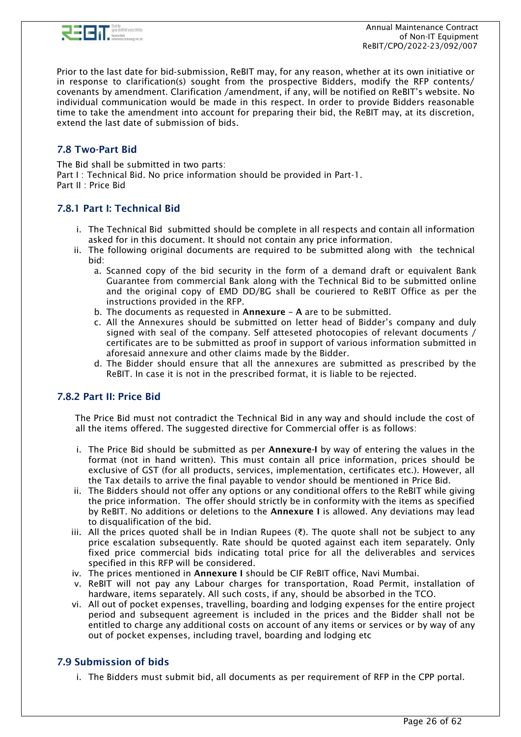

Prior to the last date for bid‐submission, ReBIT may, for any reason, whether at its own initiative or in response to clarification(s) sought from the prospective Bidders, modify the RFP contents/ covenants by amendment. Clarification /amendment, if any, will be notified on ReBIT's website. No individual communication would be made in this respect. In order to provide Bidders reasonable time to take the amendment into account for preparing their bid, the ReBIT may, at its discretion, extend the last date of submission of bids.

## <span id="page-25-0"></span>7.8 Two-Part Bid

The Bid shall be submitted in two parts: Part I : Technical Bid. No price information should be provided in Part-1. Part II : Price Bid

## 7.8.1 Part I: Technical Bid

- i. The Technical Bid submitted should be complete in all respects and contain all information asked for in this document. It should not contain any price information.
- ii. The following original documents are required to be submitted along with the technical bid:
	- a. Scanned copy of the bid security in the form of a demand draft or equivalent Bank Guarantee from commercial Bank along with the Technical Bid to be submitted online and the original copy of EMD DD/BG shall be couriered to ReBIT Office as per the instructions provided in the RFP.
	- b. The documents as requested in Annexure A are to be submitted.
	- c. All the Annexures should be submitted on letter head of Bidder's company and duly signed with seal of the company. Self atteseted photocopies of relevant documents / certificates are to be submitted as proof in support of various information submitted in aforesaid annexure and other claims made by the Bidder.
	- d. The Bidder should ensure that all the annexures are submitted as prescribed by the ReBIT. In case it is not in the prescribed format, it is liable to be rejected.

### 7.8.2 Part II: Price Bid

The Price Bid must not contradict the Technical Bid in any way and should include the cost of all the items offered. The suggested directive for Commercial offer is as follows:

- i. The Price Bid should be submitted as per Annexure-I by way of entering the values in the format (not in hand written). This must contain all price information, prices should be exclusive of GST (for all products, services, implementation, certificates etc.). However, all the Tax details to arrive the final payable to vendor should be mentioned in Price Bid.
- ii. The Bidders should not offer any options or any conditional offers to the ReBIT while giving the price information. The offer should strictly be in conformity with the items as specified by ReBIT. No additions or deletions to the Annexure I is allowed. Any deviations may lead to disqualification of the bid.
- iii. All the prices quoted shall be in Indian Rupees (₹). The quote shall not be subject to any price escalation subsequently. Rate should be quoted against each item separately. Only fixed price commercial bids indicating total price for all the deliverables and services specified in this RFP will be considered.
- iv. The prices mentioned in Annexure I should be CIF ReBIT office, Navi Mumbai.
- v. ReBIT will not pay any Labour charges for transportation, Road Permit, installation of hardware, items separately. All such costs, if any, should be absorbed in the TCO.
- vi. All out of pocket expenses, travelling, boarding and lodging expenses for the entire project period and subsequent agreement is included in the prices and the Bidder shall not be entitled to charge any additional costs on account of any items or services or by way of any out of pocket expenses, including travel, boarding and lodging etc

## <span id="page-25-1"></span>7.9 Submission of bids

i. The Bidders must submit bid, all documents as per requirement of RFP in the CPP portal.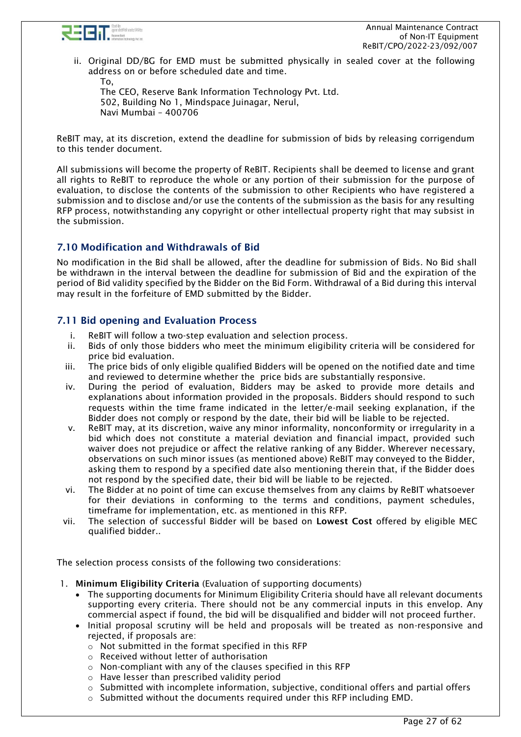

ii. Original DD/BG for EMD must be submitted physically in sealed cover at the following address on or before scheduled date and time.

To, The CEO, Reserve Bank Information Technology Pvt. Ltd. 502, Building No 1, Mindspace Juinagar, Nerul, Navi Mumbai – 400706

ReBIT may, at its discretion, extend the deadline for submission of bids by releasing corrigendum to this tender document.

All submissions will become the property of ReBIT. Recipients shall be deemed to license and grant all rights to ReBIT to reproduce the whole or any portion of their submission for the purpose of evaluation, to disclose the contents of the submission to other Recipients who have registered a submission and to disclose and/or use the contents of the submission as the basis for any resulting RFP process, notwithstanding any copyright or other intellectual property right that may subsist in the submission.

### <span id="page-26-0"></span>7.10 Modification and Withdrawals of Bid

No modification in the Bid shall be allowed, after the deadline for submission of Bids. No Bid shall be withdrawn in the interval between the deadline for submission of Bid and the expiration of the period of Bid validity specified by the Bidder on the Bid Form. Withdrawal of a Bid during this interval may result in the forfeiture of EMD submitted by the Bidder.

### <span id="page-26-1"></span>7.11 Bid opening and Evaluation Process

- i. ReBIT will follow a two-step evaluation and selection process.
- ii. Bids of only those bidders who meet the minimum eligibility criteria will be considered for price bid evaluation.
- iii. The price bids of only eligible qualified Bidders will be opened on the notified date and time and reviewed to determine whether the price bids are substantially responsive.
- iv. During the period of evaluation, Bidders may be asked to provide more details and explanations about information provided in the proposals. Bidders should respond to such requests within the time frame indicated in the letter/e-mail seeking explanation, if the Bidder does not comply or respond by the date, their bid will be liable to be rejected.
- v. ReBIT may, at its discretion, waive any minor informality, nonconformity or irregularity in a bid which does not constitute a material deviation and financial impact, provided such waiver does not prejudice or affect the relative ranking of any Bidder. Wherever necessary, observations on such minor issues (as mentioned above) ReBIT may conveyed to the Bidder, asking them to respond by a specified date also mentioning therein that, if the Bidder does not respond by the specified date, their bid will be liable to be rejected.
- vi. The Bidder at no point of time can excuse themselves from any claims by ReBIT whatsoever for their deviations in conforming to the terms and conditions, payment schedules, timeframe for implementation, etc. as mentioned in this RFP.
- vii. The selection of successful Bidder will be based on Lowest Cost offered by eligible MEC qualified bidder..

The selection process consists of the following two considerations:

- 1. Minimum Eligibility Criteria (Evaluation of supporting documents)
	- The supporting documents for Minimum Eligibility Criteria should have all relevant documents supporting every criteria. There should not be any commercial inputs in this envelop. Any commercial aspect if found, the bid will be disqualified and bidder will not proceed further.
	- Initial proposal scrutiny will be held and proposals will be treated as non-responsive and rejected, if proposals are:
		- o Not submitted in the format specified in this RFP
		- o Received without letter of authorisation
		- o Non-compliant with any of the clauses specified in this RFP
		- o Have lesser than prescribed validity period
		- $\circ$  Submitted with incomplete information, subiective, conditional offers and partial offers
		- $\circ$  Submitted without the documents required under this RFP including EMD.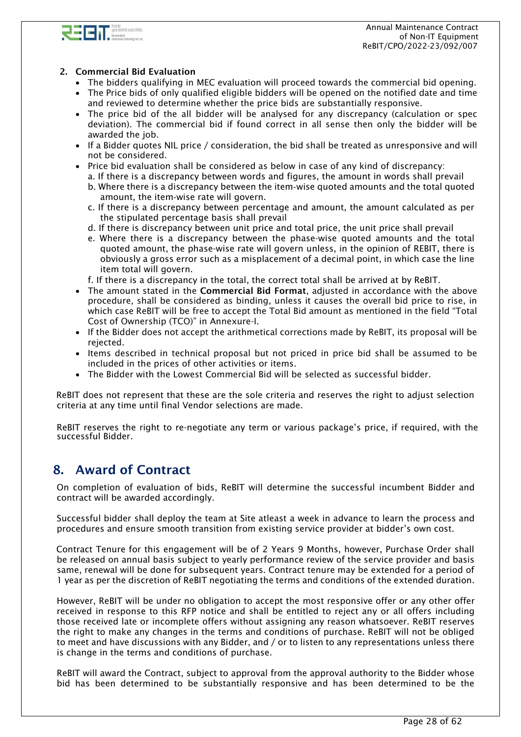



### 2. Commercial Bid Evaluation

- The bidders qualifying in MEC evaluation will proceed towards the commercial bid opening.
- The Price bids of only qualified eligible bidders will be opened on the notified date and time and reviewed to determine whether the price bids are substantially responsive.
- The price bid of the all bidder will be analysed for any discrepancy (calculation or spec deviation). The commercial bid if found correct in all sense then only the bidder will be awarded the job.
- If a Bidder quotes NIL price / consideration, the bid shall be treated as unresponsive and will not be considered.
- Price bid evaluation shall be considered as below in case of any kind of discrepancy:
- a. If there is a discrepancy between words and figures, the amount in words shall prevail
	- b. Where there is a discrepancy between the item‐wise quoted amounts and the total quoted amount, the item‐wise rate will govern.
	- c. If there is a discrepancy between percentage and amount, the amount calculated as per the stipulated percentage basis shall prevail
	- d. If there is discrepancy between unit price and total price, the unit price shall prevail
	- e. Where there is a discrepancy between the phase-wise quoted amounts and the total quoted amount, the phase-wise rate will govern unless, in the opinion of REBIT, there is obviously a gross error such as a misplacement of a decimal point, in which case the line item total will govern.
- f. If there is a discrepancy in the total, the correct total shall be arrived at by ReBIT.
- The amount stated in the Commercial Bid Format, adjusted in accordance with the above procedure, shall be considered as binding, unless it causes the overall bid price to rise, in which case ReBIT will be free to accept the Total Bid amount as mentioned in the field "Total Cost of Ownership (TCO)" in Annexure-I.
- If the Bidder does not accept the arithmetical corrections made by ReBIT, its proposal will be rejected.
- Items described in technical proposal but not priced in price bid shall be assumed to be included in the prices of other activities or items.
- The Bidder with the Lowest Commercial Bid will be selected as successful bidder.

ReBIT does not represent that these are the sole criteria and reserves the right to adjust selection criteria at any time until final Vendor selections are made.

ReBIT reserves the right to re-negotiate any term or various package's price, if required, with the successful Bidder.

# <span id="page-27-0"></span>8. Award of Contract

On completion of evaluation of bids, ReBIT will determine the successful incumbent Bidder and contract will be awarded accordingly.

Successful bidder shall deploy the team at Site atleast a week in advance to learn the process and procedures and ensure smooth transition from existing service provider at bidder's own cost.

Contract Tenure for this engagement will be of 2 Years 9 Months, however, Purchase Order shall be released on annual basis subject to yearly performance review of the service provider and basis same, renewal will be done for subsequent years. Contract tenure may be extended for a period of 1 year as per the discretion of ReBIT negotiating the terms and conditions of the extended duration.

However, ReBIT will be under no obligation to accept the most responsive offer or any other offer received in response to this RFP notice and shall be entitled to reject any or all offers including those received late or incomplete offers without assigning any reason whatsoever. ReBIT reserves the right to make any changes in the terms and conditions of purchase. ReBIT will not be obliged to meet and have discussions with any Bidder, and / or to listen to any representations unless there is change in the terms and conditions of purchase.

ReBIT will award the Contract, subject to approval from the approval authority to the Bidder whose bid has been determined to be substantially responsive and has been determined to be the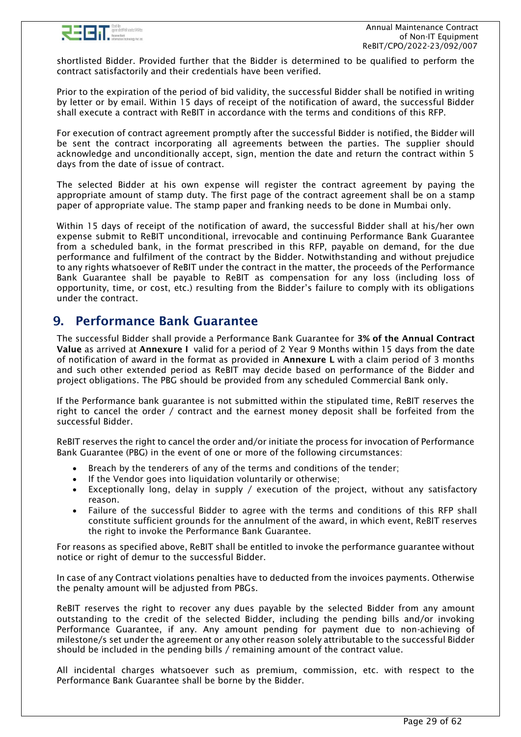

shortlisted Bidder. Provided further that the Bidder is determined to be qualified to perform the contract satisfactorily and their credentials have been verified.

Prior to the expiration of the period of bid validity, the successful Bidder shall be notified in writing by letter or by email. Within 15 days of receipt of the notification of award, the successful Bidder shall execute a contract with ReBIT in accordance with the terms and conditions of this RFP.

For execution of contract agreement promptly after the successful Bidder is notified, the Bidder will be sent the contract incorporating all agreements between the parties. The supplier should acknowledge and unconditionally accept, sign, mention the date and return the contract within 5 days from the date of issue of contract.

The selected Bidder at his own expense will register the contract agreement by paying the appropriate amount of stamp duty. The first page of the contract agreement shall be on a stamp paper of appropriate value. The stamp paper and franking needs to be done in Mumbai only.

Within 15 days of receipt of the notification of award, the successful Bidder shall at his/her own expense submit to ReBIT unconditional, irrevocable and continuing Performance Bank Guarantee from a scheduled bank, in the format prescribed in this RFP, payable on demand, for the due performance and fulfilment of the contract by the Bidder. Notwithstanding and without prejudice to any rights whatsoever of ReBIT under the contract in the matter, the proceeds of the Performance Bank Guarantee shall be payable to ReBIT as compensation for any loss (including loss of opportunity, time, or cost, etc.) resulting from the Bidder's failure to comply with its obligations under the contract.

# <span id="page-28-0"></span>9. Performance Bank Guarantee

The successful Bidder shall provide a Performance Bank Guarantee for 3% of the Annual Contract Value as arrived at Annexure I valid for a period of 2 Year 9 Months within 15 days from the date of notification of award in the format as provided in Annexure L with a claim period of 3 months and such other extended period as ReBIT may decide based on performance of the Bidder and project obligations. The PBG should be provided from any scheduled Commercial Bank only.

If the Performance bank guarantee is not submitted within the stipulated time, ReBIT reserves the right to cancel the order / contract and the earnest money deposit shall be forfeited from the successful Bidder.

ReBIT reserves the right to cancel the order and/or initiate the process for invocation of Performance Bank Guarantee (PBG) in the event of one or more of the following circumstances:

- Breach by the tenderers of any of the terms and conditions of the tender;
- If the Vendor goes into liquidation voluntarily or otherwise;
- Exceptionally long, delay in supply / execution of the project, without any satisfactory reason.
- Failure of the successful Bidder to agree with the terms and conditions of this RFP shall constitute sufficient grounds for the annulment of the award, in which event, ReBIT reserves the right to invoke the Performance Bank Guarantee.

For reasons as specified above, ReBIT shall be entitled to invoke the performance guarantee without notice or right of demur to the successful Bidder.

In case of any Contract violations penalties have to deducted from the invoices payments. Otherwise the penalty amount will be adjusted from PBGs.

ReBIT reserves the right to recover any dues payable by the selected Bidder from any amount outstanding to the credit of the selected Bidder, including the pending bills and/or invoking Performance Guarantee, if any. Any amount pending for payment due to non-achieving of milestone/s set under the agreement or any other reason solely attributable to the successful Bidder should be included in the pending bills / remaining amount of the contract value.

All incidental charges whatsoever such as premium, commission, etc. with respect to the Performance Bank Guarantee shall be borne by the Bidder.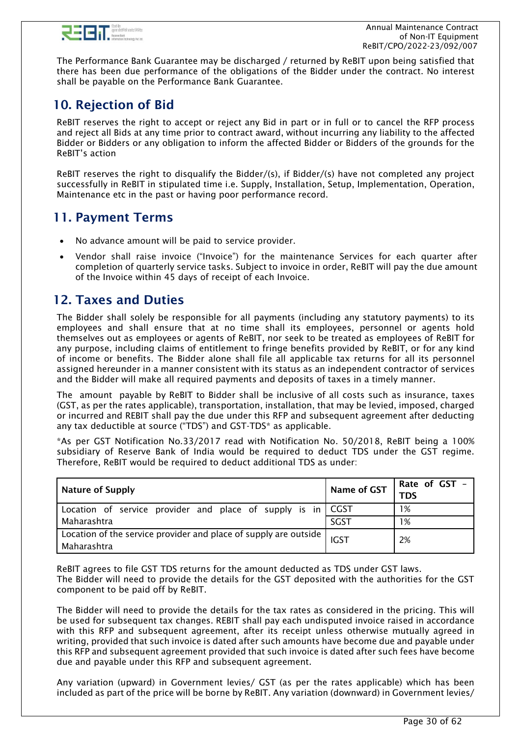

The Performance Bank Guarantee may be discharged / returned by ReBIT upon being satisfied that there has been due performance of the obligations of the Bidder under the contract. No interest shall be payable on the Performance Bank Guarantee.

# <span id="page-29-0"></span>10. Rejection of Bid

ReBIT reserves the right to accept or reject any Bid in part or in full or to cancel the RFP process and reject all Bids at any time prior to contract award, without incurring any liability to the affected Bidder or Bidders or any obligation to inform the affected Bidder or Bidders of the grounds for the ReBIT's action

ReBIT reserves the right to disqualify the Bidder/(s), if Bidder/(s) have not completed any project successfully in ReBIT in stipulated time i.e. Supply, Installation, Setup, Implementation, Operation, Maintenance etc in the past or having poor performance record.

# <span id="page-29-1"></span>11. Payment Terms

- No advance amount will be paid to service provider.
- Vendor shall raise invoice ("Invoice") for the maintenance Services for each quarter after completion of quarterly service tasks. Subject to invoice in order, ReBIT will pay the due amount of the Invoice within 45 days of receipt of each Invoice.

# <span id="page-29-2"></span>12. Taxes and Duties

The Bidder shall solely be responsible for all payments (including any statutory payments) to its employees and shall ensure that at no time shall its employees, personnel or agents hold themselves out as employees or agents of ReBIT, nor seek to be treated as employees of ReBIT for any purpose, including claims of entitlement to fringe benefits provided by ReBIT, or for any kind of income or benefits. The Bidder alone shall file all applicable tax returns for all its personnel assigned hereunder in a manner consistent with its status as an independent contractor of services and the Bidder will make all required payments and deposits of taxes in a timely manner.

The amount payable by ReBIT to Bidder shall be inclusive of all costs such as insurance, taxes (GST, as per the rates applicable), transportation, installation, that may be levied, imposed, charged or incurred and REBIT shall pay the due under this RFP and subsequent agreement after deducting any tax deductible at source ("TDS") and GST-TDS\* as applicable.

\*As per GST Notification No.33/2017 read with Notification No. 50/2018, ReBIT being a 100% subsidiary of Reserve Bank of India would be required to deduct TDS under the GST regime. Therefore, ReBIT would be required to deduct additional TDS as under:

| Nature of Supply                                                                  | Name of GST | Rate of GST -<br>TDS |
|-----------------------------------------------------------------------------------|-------------|----------------------|
| Location of service provider and place of supply is in CGST                       |             | 1%                   |
| Maharashtra                                                                       | SGST        | 1%                   |
| Location of the service provider and place of supply are outside  <br>Maharashtra | <b>IGST</b> | 2%                   |

ReBIT agrees to file GST TDS returns for the amount deducted as TDS under GST laws. The Bidder will need to provide the details for the GST deposited with the authorities for the GST component to be paid off by ReBIT.

The Bidder will need to provide the details for the tax rates as considered in the pricing. This will be used for subsequent tax changes. REBIT shall pay each undisputed invoice raised in accordance with this RFP and subsequent agreement, after its receipt unless otherwise mutually agreed in writing, provided that such invoice is dated after such amounts have become due and payable under this RFP and subsequent agreement provided that such invoice is dated after such fees have become due and payable under this RFP and subsequent agreement.

Any variation (upward) in Government levies/ GST (as per the rates applicable) which has been included as part of the price will be borne by ReBIT. Any variation (downward) in Government levies/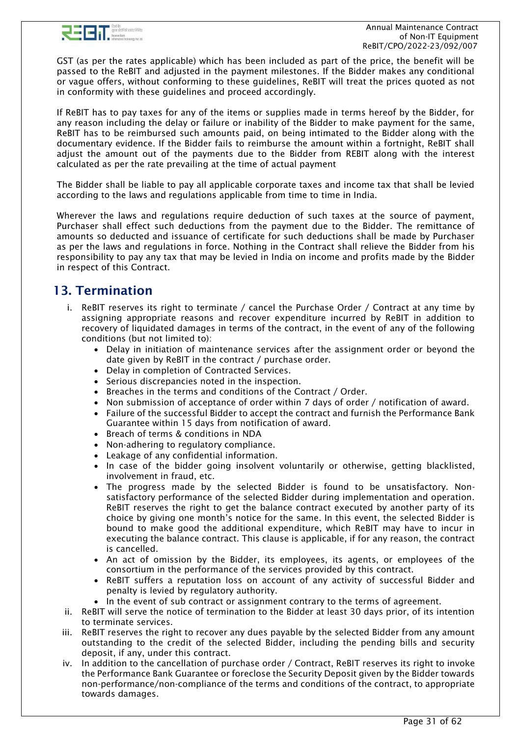

GST (as per the rates applicable) which has been included as part of the price, the benefit will be passed to the ReBIT and adjusted in the payment milestones. If the Bidder makes any conditional or vague offers, without conforming to these guidelines, ReBIT will treat the prices quoted as not in conformity with these guidelines and proceed accordingly.

If ReBIT has to pay taxes for any of the items or supplies made in terms hereof by the Bidder, for any reason including the delay or failure or inability of the Bidder to make payment for the same, ReBIT has to be reimbursed such amounts paid, on being intimated to the Bidder along with the documentary evidence. If the Bidder fails to reimburse the amount within a fortnight, ReBIT shall adjust the amount out of the payments due to the Bidder from REBIT along with the interest calculated as per the rate prevailing at the time of actual payment

The Bidder shall be liable to pay all applicable corporate taxes and income tax that shall be levied according to the laws and regulations applicable from time to time in India.

Wherever the laws and regulations require deduction of such taxes at the source of payment, Purchaser shall effect such deductions from the payment due to the Bidder. The remittance of amounts so deducted and issuance of certificate for such deductions shall be made by Purchaser as per the laws and regulations in force. Nothing in the Contract shall relieve the Bidder from his responsibility to pay any tax that may be levied in India on income and profits made by the Bidder in respect of this Contract.

# <span id="page-30-0"></span>13. Termination

- i. ReBIT reserves its right to terminate / cancel the Purchase Order / Contract at any time by assigning appropriate reasons and recover expenditure incurred by ReBIT in addition to recovery of liquidated damages in terms of the contract, in the event of any of the following conditions (but not limited to):
	- Delay in initiation of maintenance services after the assignment order or beyond the date given by ReBIT in the contract / purchase order.
	- Delay in completion of Contracted Services.
	- Serious discrepancies noted in the inspection.
	- Breaches in the terms and conditions of the Contract / Order.
	- Non submission of acceptance of order within 7 days of order / notification of award.
	- Failure of the successful Bidder to accept the contract and furnish the Performance Bank Guarantee within 15 days from notification of award.
	- Breach of terms & conditions in NDA
	- Non-adhering to regulatory compliance.
	- Leakage of any confidential information.
	- In case of the bidder going insolvent voluntarily or otherwise, getting blacklisted, involvement in fraud, etc.
	- The progress made by the selected Bidder is found to be unsatisfactory. Nonsatisfactory performance of the selected Bidder during implementation and operation. ReBIT reserves the right to get the balance contract executed by another party of its choice by giving one month's notice for the same. In this event, the selected Bidder is bound to make good the additional expenditure, which ReBIT may have to incur in executing the balance contract. This clause is applicable, if for any reason, the contract is cancelled.
	- An act of omission by the Bidder, its employees, its agents, or employees of the consortium in the performance of the services provided by this contract.
	- ReBIT suffers a reputation loss on account of any activity of successful Bidder and penalty is levied by regulatory authority.
	- In the event of sub contract or assignment contrary to the terms of agreement.
- ii. ReBIT will serve the notice of termination to the Bidder at least 30 days prior, of its intention to terminate services.
- iii. ReBIT reserves the right to recover any dues payable by the selected Bidder from any amount outstanding to the credit of the selected Bidder, including the pending bills and security deposit, if any, under this contract.
- iv. In addition to the cancellation of purchase order / Contract, ReBIT reserves its right to invoke the Performance Bank Guarantee or foreclose the Security Deposit given by the Bidder towards non-performance/non-compliance of the terms and conditions of the contract, to appropriate towards damages.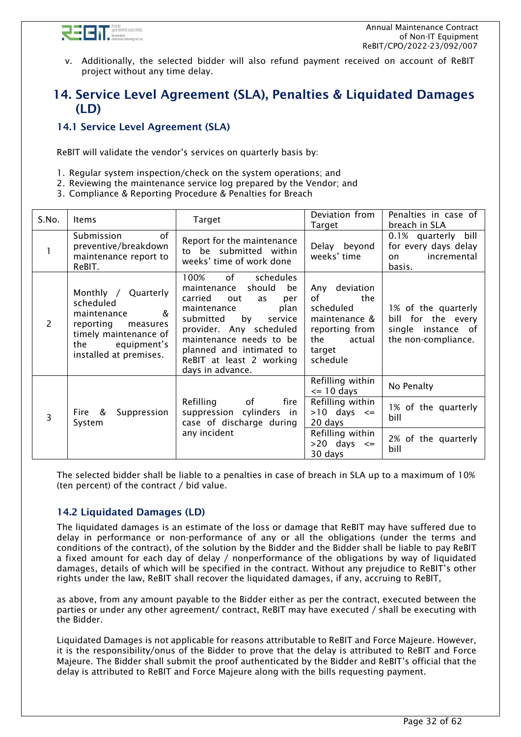

v. Additionally, the selected bidder will also refund payment received on account of ReBIT project without any time delay.

# <span id="page-31-0"></span>14. Service Level Agreement (SLA), Penalties & Liquidated Damages (LD)

# <span id="page-31-1"></span>14.1 Service Level Agreement (SLA)

ReBIT will validate the vendor's services on quarterly basis by:

- 1. Regular system inspection/check on the system operations; and
- 2. Reviewing the maintenance service log prepared by the Vendor; and
- 3. Compliance & Reporting Procedure & Penalties for Breach

| S.No.         | <b>Items</b>                                                                                                                                                                    | <b>Target</b>                                                                                                                                                                                                                                                                | Deviation from<br>Target                                                                                          | Penalties in case of<br>breach in SLA                                                  |
|---------------|---------------------------------------------------------------------------------------------------------------------------------------------------------------------------------|------------------------------------------------------------------------------------------------------------------------------------------------------------------------------------------------------------------------------------------------------------------------------|-------------------------------------------------------------------------------------------------------------------|----------------------------------------------------------------------------------------|
|               | of<br>Submission<br>preventive/breakdown<br>maintenance report to<br>ReBIT.                                                                                                     | Report for the maintenance<br>to be submitted within<br>weeks' time of work done                                                                                                                                                                                             | Delay beyond<br>weeks' time                                                                                       | 0.1% quarterly<br>bill<br>for every days delay<br>incremental<br>on.<br>basis.         |
| $\mathcal{P}$ | Monthly / Quarterly<br>scheduled<br>$\boldsymbol{\mathcal{R}}$<br>maintenance<br>reporting<br>measures<br>timely maintenance of<br>equipment's<br>the<br>installed at premises. | 100%<br>of<br>schedules<br>should<br>be<br>maintenance<br>carried<br>out<br>per<br>as<br>plan<br>maintenance<br>submitted<br>by<br>service<br>provider. Any scheduled<br>maintenance needs to be<br>planned and intimated to<br>ReBIT at least 2 working<br>days in advance. | Any deviation<br>of<br>the<br>scheduled<br>maintenance &<br>reporting from<br>actual<br>the<br>target<br>schedule | 1% of the quarterly<br>bill for the every<br>single instance of<br>the non-compliance. |
|               |                                                                                                                                                                                 | Refilling<br>of<br>fire                                                                                                                                                                                                                                                      | Refilling within<br>$\le$ 10 days<br>Refilling within                                                             | No Penalty                                                                             |
| 3             | Fire &<br>Suppression<br>System                                                                                                                                                 | suppression<br>cylinders<br>in.<br>case of discharge during                                                                                                                                                                                                                  | $>10$ days $\leq$<br>20 days                                                                                      | 1% of the quarterly<br>bill                                                            |
|               |                                                                                                                                                                                 | any incident                                                                                                                                                                                                                                                                 | Refilling within<br>$>20$ days $\leq$<br>30 days                                                                  | 2% of the quarterly<br>bill                                                            |

The selected bidder shall be liable to a penalties in case of breach in SLA up to a maximum of 10% (ten percent) of the contract / bid value.

## <span id="page-31-2"></span>14.2 Liquidated Damages (LD)

The liquidated damages is an estimate of the loss or damage that ReBIT may have suffered due to delay in performance or non-performance of any or all the obligations (under the terms and conditions of the contract), of the solution by the Bidder and the Bidder shall be liable to pay ReBIT a fixed amount for each day of delay / nonperformance of the obligations by way of liquidated damages, details of which will be specified in the contract. Without any prejudice to ReBIT's other rights under the law, ReBIT shall recover the liquidated damages, if any, accruing to ReBIT,

as above, from any amount payable to the Bidder either as per the contract, executed between the parties or under any other agreement/ contract, ReBIT may have executed / shall be executing with the Bidder.

Liquidated Damages is not applicable for reasons attributable to ReBIT and Force Majeure. However, it is the responsibility/onus of the Bidder to prove that the delay is attributed to ReBIT and Force Majeure. The Bidder shall submit the proof authenticated by the Bidder and ReBIT's official that the delay is attributed to ReBIT and Force Majeure along with the bills requesting payment.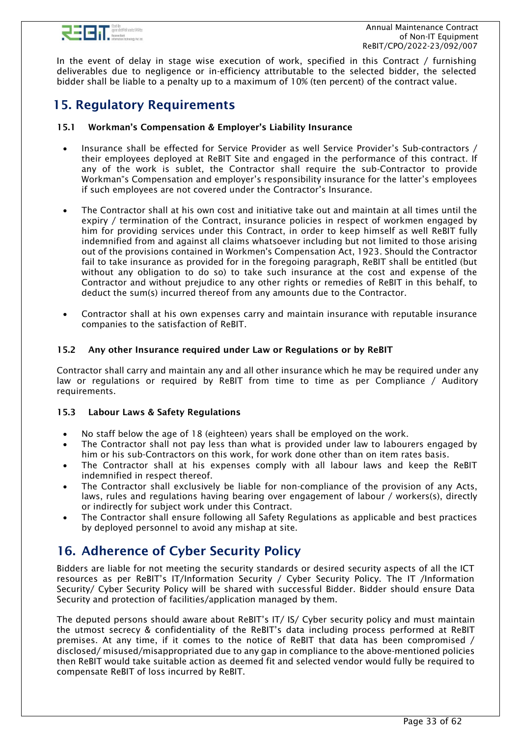

In the event of delay in stage wise execution of work, specified in this Contract / furnishing deliverables due to negligence or in-efficiency attributable to the selected bidder, the selected bidder shall be liable to a penalty up to a maximum of 10% (ten percent) of the contract value.

# <span id="page-32-0"></span>15. Regulatory Requirements

### 15.1 Workman's Compensation & Employer's Liability Insurance

- Insurance shall be effected for Service Provider as well Service Provider's Sub-contractors / their employees deployed at ReBIT Site and engaged in the performance of this contract. If any of the work is sublet, the Contractor shall require the sub-Contractor to provide Workman"s Compensation and employer's responsibility insurance for the latter's employees if such employees are not covered under the Contractor's Insurance.
- The Contractor shall at his own cost and initiative take out and maintain at all times until the expiry / termination of the Contract, insurance policies in respect of workmen engaged by him for providing services under this Contract, in order to keep himself as well ReBIT fully indemnified from and against all claims whatsoever including but not limited to those arising out of the provisions contained in Workmen's Compensation Act, 1923. Should the Contractor fail to take insurance as provided for in the foregoing paragraph, ReBIT shall be entitled (but without any obligation to do so) to take such insurance at the cost and expense of the Contractor and without prejudice to any other rights or remedies of ReBIT in this behalf, to deduct the sum(s) incurred thereof from any amounts due to the Contractor.
- Contractor shall at his own expenses carry and maintain insurance with reputable insurance companies to the satisfaction of ReBIT.

### 15.2 Any other Insurance required under Law or Regulations or by ReBIT

Contractor shall carry and maintain any and all other insurance which he may be required under any law or regulations or required by ReBIT from time to time as per Compliance / Auditory requirements.

### 15.3 Labour Laws & Safety Regulations

- No staff below the age of 18 (eighteen) years shall be employed on the work.
- The Contractor shall not pay less than what is provided under law to labourers engaged by him or his sub-Contractors on this work, for work done other than on item rates basis.
- The Contractor shall at his expenses comply with all labour laws and keep the ReBIT indemnified in respect thereof.
- The Contractor shall exclusively be liable for non-compliance of the provision of any Acts, laws, rules and regulations having bearing over engagement of labour / workers(s), directly or indirectly for subject work under this Contract.
- The Contractor shall ensure following all Safety Regulations as applicable and best practices by deployed personnel to avoid any mishap at site.

# <span id="page-32-1"></span>16. Adherence of Cyber Security Policy

Bidders are liable for not meeting the security standards or desired security aspects of all the ICT resources as per ReBIT's IT/Information Security / Cyber Security Policy. The IT /Information Security/ Cyber Security Policy will be shared with successful Bidder. Bidder should ensure Data Security and protection of facilities/application managed by them.

The deputed persons should aware about ReBIT's IT/ IS/ Cyber security policy and must maintain the utmost secrecy & confidentiality of the ReBIT's data including process performed at ReBIT premises. At any time, if it comes to the notice of ReBIT that data has been compromised / disclosed/ misused/misappropriated due to any gap in compliance to the above-mentioned policies then ReBIT would take suitable action as deemed fit and selected vendor would fully be required to compensate ReBIT of loss incurred by ReBIT.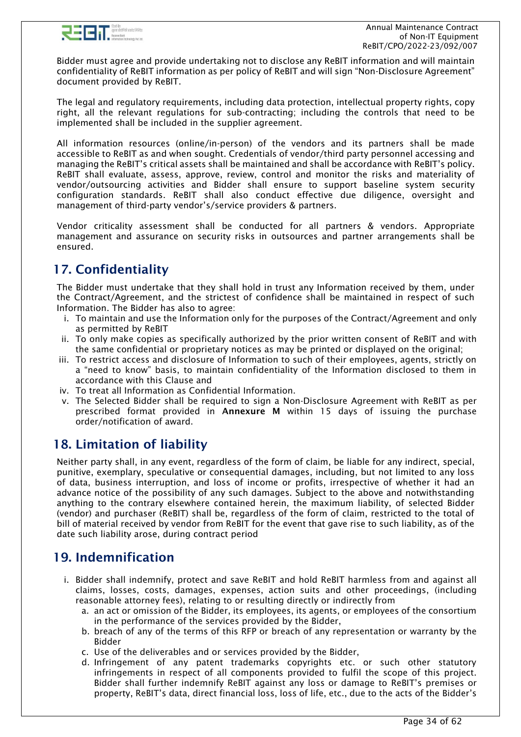

Bidder must agree and provide undertaking not to disclose any ReBIT information and will maintain confidentiality of ReBIT information as per policy of ReBIT and will sign "Non-Disclosure Agreement" document provided by ReBIT.

The legal and regulatory requirements, including data protection, intellectual property rights, copy right, all the relevant regulations for sub-contracting; including the controls that need to be implemented shall be included in the supplier agreement.

All information resources (online/in-person) of the vendors and its partners shall be made accessible to ReBIT as and when sought. Credentials of vendor/third party personnel accessing and managing the ReBIT's critical assets shall be maintained and shall be accordance with ReBIT's policy. ReBIT shall evaluate, assess, approve, review, control and monitor the risks and materiality of vendor/outsourcing activities and Bidder shall ensure to support baseline system security configuration standards. ReBIT shall also conduct effective due diligence, oversight and management of third-party vendor's/service providers & partners.

Vendor criticality assessment shall be conducted for all partners & vendors. Appropriate management and assurance on security risks in outsources and partner arrangements shall be ensured.

# <span id="page-33-0"></span>17. Confidentiality

The Bidder must undertake that they shall hold in trust any Information received by them, under the Contract/Agreement, and the strictest of confidence shall be maintained in respect of such Information. The Bidder has also to agree:

- i. To maintain and use the Information only for the purposes of the Contract/Agreement and only as permitted by ReBIT
- ii. To only make copies as specifically authorized by the prior written consent of ReBIT and with the same confidential or proprietary notices as may be printed or displayed on the original;
- iii. To restrict access and disclosure of Information to such of their employees, agents, strictly on a "need to know" basis, to maintain confidentiality of the Information disclosed to them in accordance with this Clause and
- iv. To treat all Information as Confidential Information.
- v. The Selected Bidder shall be required to sign a Non-Disclosure Agreement with ReBIT as per prescribed format provided in Annexure M within 15 days of issuing the purchase order/notification of award.

# <span id="page-33-1"></span>18. Limitation of liability

Neither party shall, in any event, regardless of the form of claim, be liable for any indirect, special, punitive, exemplary, speculative or consequential damages, including, but not limited to any loss of data, business interruption, and loss of income or profits, irrespective of whether it had an advance notice of the possibility of any such damages. Subject to the above and notwithstanding anything to the contrary elsewhere contained herein, the maximum liability, of selected Bidder (vendor) and purchaser (ReBIT) shall be, regardless of the form of claim, restricted to the total of bill of material received by vendor from ReBIT for the event that gave rise to such liability, as of the date such liability arose, during contract period

# <span id="page-33-2"></span>19. Indemnification

- i. Bidder shall indemnify, protect and save ReBIT and hold ReBIT harmless from and against all claims, losses, costs, damages, expenses, action suits and other proceedings, (including reasonable attorney fees), relating to or resulting directly or indirectly from
	- a. an act or omission of the Bidder, its employees, its agents, or employees of the consortium in the performance of the services provided by the Bidder,
	- b. breach of any of the terms of this RFP or breach of any representation or warranty by the Bidder
	- c. Use of the deliverables and or services provided by the Bidder,
	- d. Infringement of any patent trademarks copyrights etc. or such other statutory infringements in respect of all components provided to fulfil the scope of this project. Bidder shall further indemnify ReBIT against any loss or damage to ReBIT's premises or property, ReBIT's data, direct financial loss, loss of life, etc., due to the acts of the Bidder's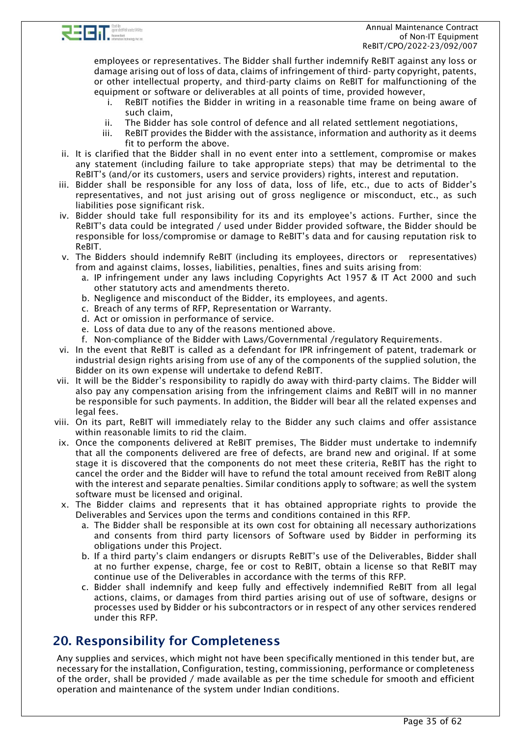

employees or representatives. The Bidder shall further indemnify ReBIT against any loss or damage arising out of loss of data, claims of infringement of third- party copyright, patents, or other intellectual property, and third-party claims on ReBIT for malfunctioning of the equipment or software or deliverables at all points of time, provided however,

- i. ReBIT notifies the Bidder in writing in a reasonable time frame on being aware of such claim,
- ii. The Bidder has sole control of defence and all related settlement negotiations,
- iii. ReBIT provides the Bidder with the assistance, information and authority as it deems fit to perform the above.
- ii. It is clarified that the Bidder shall in no event enter into a settlement, compromise or makes any statement (including failure to take appropriate steps) that may be detrimental to the ReBIT's (and/or its customers, users and service providers) rights, interest and reputation.
- iii. Bidder shall be responsible for any loss of data, loss of life, etc., due to acts of Bidder's representatives, and not just arising out of gross negligence or misconduct, etc., as such liabilities pose significant risk.
- iv. Bidder should take full responsibility for its and its employee's actions. Further, since the ReBIT's data could be integrated / used under Bidder provided software, the Bidder should be responsible for loss/compromise or damage to ReBIT's data and for causing reputation risk to ReBIT.
- v. The Bidders should indemnify ReBIT (including its employees, directors or representatives) from and against claims, losses, liabilities, penalties, fines and suits arising from:
	- a. IP infringement under any laws including Copyrights Act 1957 & IT Act 2000 and such other statutory acts and amendments thereto.
	- b. Negligence and misconduct of the Bidder, its employees, and agents.
	- c. Breach of any terms of RFP, Representation or Warranty.
	- d. Act or omission in performance of service.
	- e. Loss of data due to any of the reasons mentioned above.
	- f. Non-compliance of the Bidder with Laws/Governmental /regulatory Requirements.
- vi. In the event that ReBIT is called as a defendant for IPR infringement of patent, trademark or industrial design rights arising from use of any of the components of the supplied solution, the Bidder on its own expense will undertake to defend ReBIT.
- vii. It will be the Bidder's responsibility to rapidly do away with third-party claims. The Bidder will also pay any compensation arising from the infringement claims and ReBIT will in no manner be responsible for such payments. In addition, the Bidder will bear all the related expenses and legal fees.
- viii. On its part, ReBIT will immediately relay to the Bidder any such claims and offer assistance within reasonable limits to rid the claim.
- ix. Once the components delivered at ReBIT premises, The Bidder must undertake to indemnify that all the components delivered are free of defects, are brand new and original. If at some stage it is discovered that the components do not meet these criteria, ReBIT has the right to cancel the order and the Bidder will have to refund the total amount received from ReBIT along with the interest and separate penalties. Similar conditions apply to software; as well the system software must be licensed and original.
- x. The Bidder claims and represents that it has obtained appropriate rights to provide the Deliverables and Services upon the terms and conditions contained in this RFP.
	- a. The Bidder shall be responsible at its own cost for obtaining all necessary authorizations and consents from third party licensors of Software used by Bidder in performing its obligations under this Project.
	- b. If a third party's claim endangers or disrupts ReBIT's use of the Deliverables, Bidder shall at no further expense, charge, fee or cost to ReBIT, obtain a license so that ReBIT may continue use of the Deliverables in accordance with the terms of this RFP.
	- c. Bidder shall indemnify and keep fully and effectively indemnified ReBIT from all legal actions, claims, or damages from third parties arising out of use of software, designs or processes used by Bidder or his subcontractors or in respect of any other services rendered under this RFP.

# <span id="page-34-0"></span>20. Responsibility for Completeness

Any supplies and services, which might not have been specifically mentioned in this tender but, are necessary for the installation, Configuration, testing, commissioning, performance or completeness of the order, shall be provided / made available as per the time schedule for smooth and efficient operation and maintenance of the system under Indian conditions.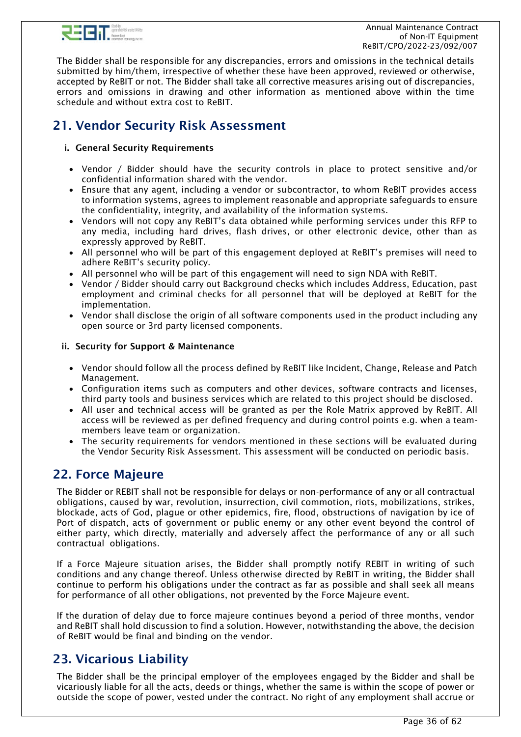

The Bidder shall be responsible for any discrepancies, errors and omissions in the technical details submitted by him/them, irrespective of whether these have been approved, reviewed or otherwise, accepted by ReBIT or not. The Bidder shall take all corrective measures arising out of discrepancies, errors and omissions in drawing and other information as mentioned above within the time schedule and without extra cost to ReBIT.

# <span id="page-35-0"></span>21. Vendor Security Risk Assessment

## i. General Security Requirements

- Vendor / Bidder should have the security controls in place to protect sensitive and/or confidential information shared with the vendor.
- Ensure that any agent, including a vendor or subcontractor, to whom ReBIT provides access to information systems, agrees to implement reasonable and appropriate safeguards to ensure the confidentiality, integrity, and availability of the information systems.
- Vendors will not copy any ReBIT's data obtained while performing services under this RFP to any media, including hard drives, flash drives, or other electronic device, other than as expressly approved by ReBIT.
- All personnel who will be part of this engagement deployed at ReBIT's premises will need to adhere ReBIT's security policy.
- All personnel who will be part of this engagement will need to sign NDA with ReBIT.
- Vendor / Bidder should carry out Background checks which includes Address, Education, past employment and criminal checks for all personnel that will be deployed at ReBIT for the implementation.
- Vendor shall disclose the origin of all software components used in the product including any open source or 3rd party licensed components.

### ii. Security for Support & Maintenance

- Vendor should follow all the process defined by ReBIT like Incident, Change, Release and Patch Management.
- Configuration items such as computers and other devices, software contracts and licenses, third party tools and business services which are related to this project should be disclosed.
- All user and technical access will be granted as per the Role Matrix approved by ReBIT. All access will be reviewed as per defined frequency and during control points e.g. when a teammembers leave team or organization.
- The security requirements for vendors mentioned in these sections will be evaluated during the Vendor Security Risk Assessment. This assessment will be conducted on periodic basis.

# <span id="page-35-1"></span>22. Force Majeure

The Bidder or REBIT shall not be responsible for delays or non-performance of any or all contractual obligations, caused by war, revolution, insurrection, civil commotion, riots, mobilizations, strikes, blockade, acts of God, plague or other epidemics, fire, flood, obstructions of navigation by ice of Port of dispatch, acts of government or public enemy or any other event beyond the control of either party, which directly, materially and adversely affect the performance of any or all such contractual obligations.

If a Force Majeure situation arises, the Bidder shall promptly notify REBIT in writing of such conditions and any change thereof. Unless otherwise directed by ReBIT in writing, the Bidder shall continue to perform his obligations under the contract as far as possible and shall seek all means for performance of all other obligations, not prevented by the Force Majeure event.

If the duration of delay due to force majeure continues beyond a period of three months, vendor and ReBIT shall hold discussion to find a solution. However, notwithstanding the above, the decision of ReBIT would be final and binding on the vendor.

# <span id="page-35-2"></span>23. Vicarious Liability

The Bidder shall be the principal employer of the employees engaged by the Bidder and shall be vicariously liable for all the acts, deeds or things, whether the same is within the scope of power or outside the scope of power, vested under the contract. No right of any employment shall accrue or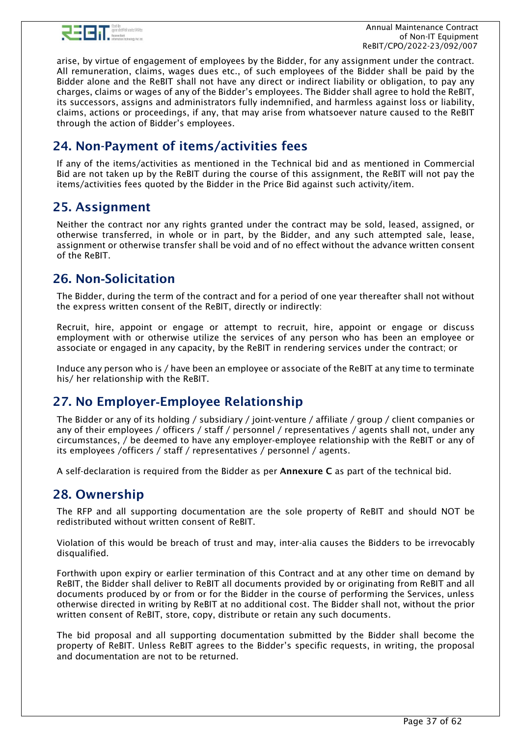

 Annual Maintenance Contract of Non-IT Equipment ReBIT/CPO/2022-23/092/007

arise, by virtue of engagement of employees by the Bidder, for any assignment under the contract. All remuneration, claims, wages dues etc., of such employees of the Bidder shall be paid by the Bidder alone and the ReBIT shall not have any direct or indirect liability or obligation, to pay any charges, claims or wages of any of the Bidder's employees. The Bidder shall agree to hold the ReBIT, its successors, assigns and administrators fully indemnified, and harmless against loss or liability, claims, actions or proceedings, if any, that may arise from whatsoever nature caused to the ReBIT through the action of Bidder's employees.

# <span id="page-36-0"></span>24. Non-Payment of items/activities fees

If any of the items/activities as mentioned in the Technical bid and as mentioned in Commercial Bid are not taken up by the ReBIT during the course of this assignment, the ReBIT will not pay the items/activities fees quoted by the Bidder in the Price Bid against such activity/item.

# <span id="page-36-1"></span>25. Assignment

Neither the contract nor any rights granted under the contract may be sold, leased, assigned, or otherwise transferred, in whole or in part, by the Bidder, and any such attempted sale, lease, assignment or otherwise transfer shall be void and of no effect without the advance written consent of the ReBIT.

# <span id="page-36-2"></span>26. Non‐Solicitation

The Bidder, during the term of the contract and for a period of one year thereafter shall not without the express written consent of the ReBIT, directly or indirectly:

Recruit, hire, appoint or engage or attempt to recruit, hire, appoint or engage or discuss employment with or otherwise utilize the services of any person who has been an employee or associate or engaged in any capacity, by the ReBIT in rendering services under the contract; or

Induce any person who is / have been an employee or associate of the ReBIT at any time to terminate his/ her relationship with the ReBIT.

# <span id="page-36-3"></span>27. No Employer‐Employee Relationship

The Bidder or any of its holding / subsidiary / joint‐venture / affiliate / group / client companies or any of their employees / officers / staff / personnel / representatives / agents shall not, under any circumstances, / be deemed to have any employer‐employee relationship with the ReBIT or any of its employees /officers / staff / representatives / personnel / agents.

<span id="page-36-4"></span>A self-declaration is required from the Bidder as per Annexure C as part of the technical bid.

# 28. Ownership

The RFP and all supporting documentation are the sole property of ReBIT and should NOT be redistributed without written consent of ReBIT.

Violation of this would be breach of trust and may, inter-alia causes the Bidders to be irrevocably disqualified.

Forthwith upon expiry or earlier termination of this Contract and at any other time on demand by ReBIT, the Bidder shall deliver to ReBIT all documents provided by or originating from ReBIT and all documents produced by or from or for the Bidder in the course of performing the Services, unless otherwise directed in writing by ReBIT at no additional cost. The Bidder shall not, without the prior written consent of ReBIT, store, copy, distribute or retain any such documents.

The bid proposal and all supporting documentation submitted by the Bidder shall become the property of ReBIT. Unless ReBIT agrees to the Bidder's specific requests, in writing, the proposal and documentation are not to be returned.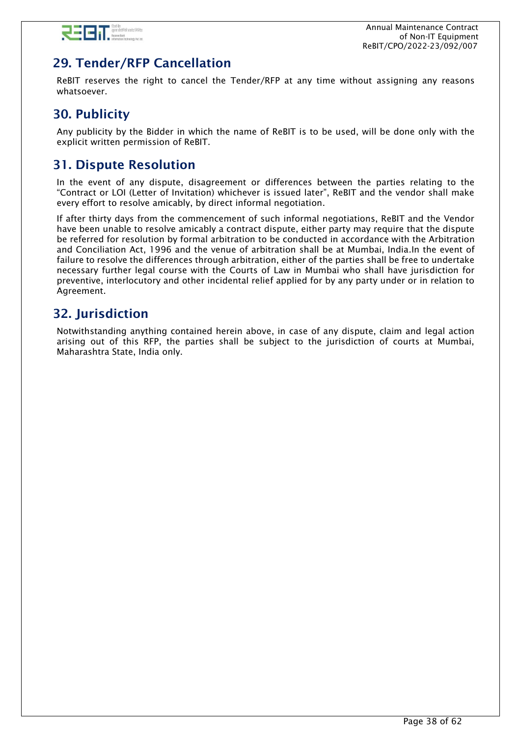

# <span id="page-37-0"></span>29. Tender/RFP Cancellation

ReBIT reserves the right to cancel the Tender/RFP at any time without assigning any reasons whatsoever.

# <span id="page-37-1"></span>30. Publicity

Any publicity by the Bidder in which the name of ReBIT is to be used, will be done only with the explicit written permission of ReBIT.

# <span id="page-37-2"></span>31. Dispute Resolution

In the event of any dispute, disagreement or differences between the parties relating to the "Contract or LOI (Letter of Invitation) whichever is issued later", ReBIT and the vendor shall make every effort to resolve amicably, by direct informal negotiation.

If after thirty days from the commencement of such informal negotiations, ReBIT and the Vendor have been unable to resolve amicably a contract dispute, either party may require that the dispute be referred for resolution by formal arbitration to be conducted in accordance with the Arbitration and Conciliation Act, 1996 and the venue of arbitration shall be at Mumbai, India.In the event of failure to resolve the differences through arbitration, either of the parties shall be free to undertake necessary further legal course with the Courts of Law in Mumbai who shall have jurisdiction for preventive, interlocutory and other incidental relief applied for by any party under or in relation to Agreement.

# <span id="page-37-3"></span>32. Jurisdiction

Notwithstanding anything contained herein above, in case of any dispute, claim and legal action arising out of this RFP, the parties shall be subject to the jurisdiction of courts at Mumbai, Maharashtra State, India only.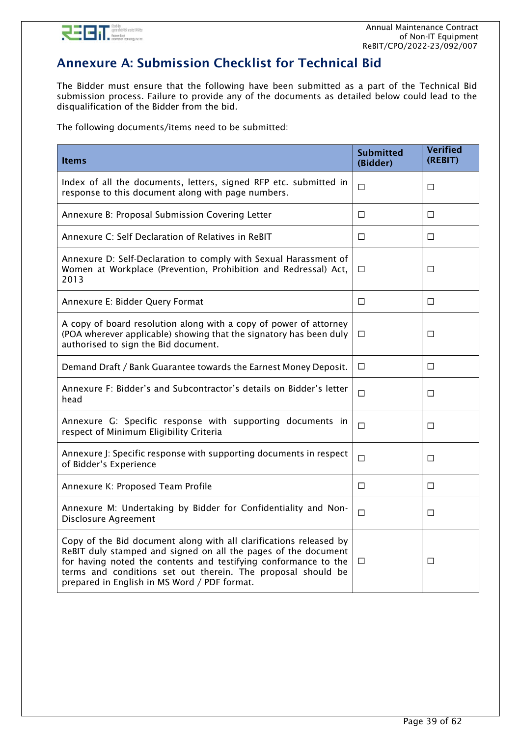

# <span id="page-38-0"></span>Annexure A: Submission Checklist for Technical Bid

The Bidder must ensure that the following have been submitted as a part of the Technical Bid submission process. Failure to provide any of the documents as detailed below could lead to the disqualification of the Bidder from the bid.

The following documents/items need to be submitted:

| <b>Items</b>                                                                                                                                                                                                                                                                                                            | <b>Submitted</b><br>(Bidder) | <b>Verified</b><br>(REBIT) |
|-------------------------------------------------------------------------------------------------------------------------------------------------------------------------------------------------------------------------------------------------------------------------------------------------------------------------|------------------------------|----------------------------|
| Index of all the documents, letters, signed RFP etc. submitted in<br>response to this document along with page numbers.                                                                                                                                                                                                 | $\Box$                       | П                          |
| Annexure B: Proposal Submission Covering Letter                                                                                                                                                                                                                                                                         | П                            | П                          |
| Annexure C: Self Declaration of Relatives in ReBIT                                                                                                                                                                                                                                                                      | □                            | □                          |
| Annexure D: Self-Declaration to comply with Sexual Harassment of<br>Women at Workplace (Prevention, Prohibition and Redressal) Act,<br>2013                                                                                                                                                                             | $\Box$                       | □                          |
| Annexure E: Bidder Query Format                                                                                                                                                                                                                                                                                         | □                            | □                          |
| A copy of board resolution along with a copy of power of attorney<br>(POA wherever applicable) showing that the signatory has been duly<br>authorised to sign the Bid document.                                                                                                                                         | $\Box$                       | П                          |
| Demand Draft / Bank Guarantee towards the Earnest Money Deposit.                                                                                                                                                                                                                                                        | П                            | П                          |
| Annexure F: Bidder's and Subcontractor's details on Bidder's letter<br>head                                                                                                                                                                                                                                             | $\Box$                       | □                          |
| Annexure G: Specific response with supporting documents in<br>respect of Minimum Eligibility Criteria                                                                                                                                                                                                                   | $\Box$                       | П                          |
| Annexure J: Specific response with supporting documents in respect<br>of Bidder's Experience                                                                                                                                                                                                                            | $\Box$                       | □                          |
| Annexure K: Proposed Team Profile                                                                                                                                                                                                                                                                                       | $\Box$                       | П                          |
| Annexure M: Undertaking by Bidder for Confidentiality and Non-<br>Disclosure Agreement                                                                                                                                                                                                                                  | $\Box$                       | □                          |
| Copy of the Bid document along with all clarifications released by<br>ReBIT duly stamped and signed on all the pages of the document<br>for having noted the contents and testifying conformance to the<br>terms and conditions set out therein. The proposal should be<br>prepared in English in MS Word / PDF format. | □                            | □                          |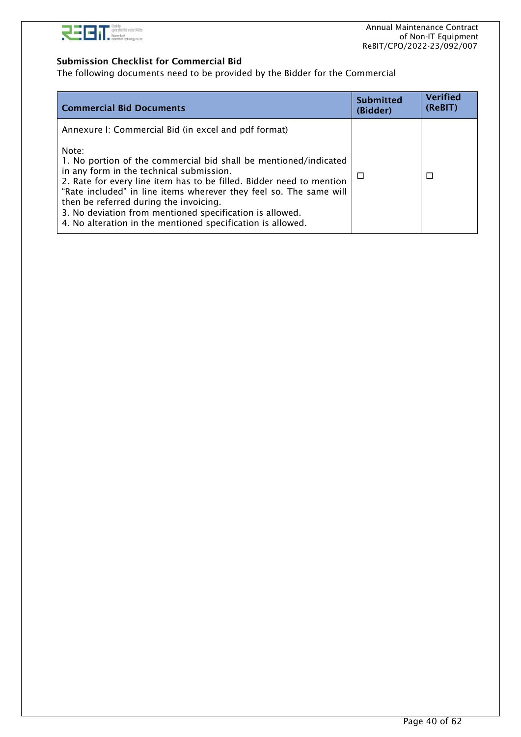

### Submission Checklist for Commercial Bid

The following documents need to be provided by the Bidder for the Commercial

| <b>Commercial Bid Documents</b>                                                                                                                                                                                                                                                                                                                                                                                                          | <b>Submitted</b><br>(Bidder) | <b>Verified</b><br>(ReBIT) |
|------------------------------------------------------------------------------------------------------------------------------------------------------------------------------------------------------------------------------------------------------------------------------------------------------------------------------------------------------------------------------------------------------------------------------------------|------------------------------|----------------------------|
| Annexure I: Commercial Bid (in excel and pdf format)                                                                                                                                                                                                                                                                                                                                                                                     |                              |                            |
| Note:<br>1. No portion of the commercial bid shall be mentioned/indicated<br>in any form in the technical submission.<br>2. Rate for every line item has to be filled. Bidder need to mention<br>"Rate included" in line items wherever they feel so. The same will<br>then be referred during the invoicing.<br>3. No deviation from mentioned specification is allowed.<br>4. No alteration in the mentioned specification is allowed. | ⊔                            | П                          |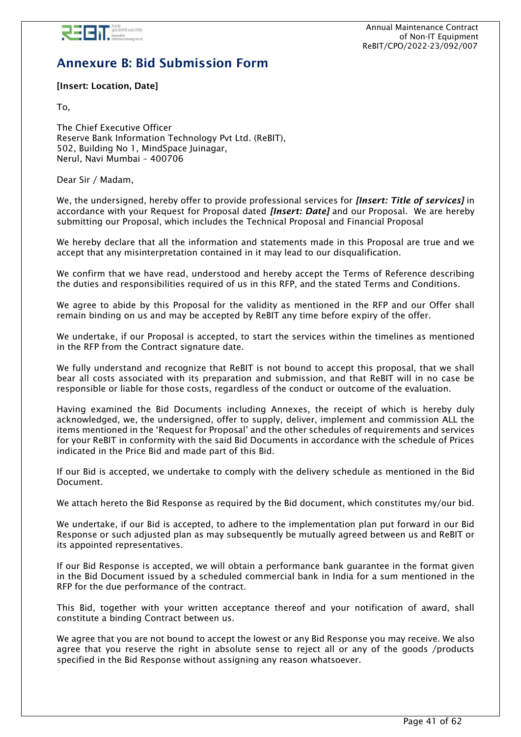

# <span id="page-40-0"></span>Annexure B: Bid Submission Form

### [Insert: Location, Date]

To,

The Chief Executive Officer Reserve Bank Information Technology Pvt Ltd. (ReBIT), 502, Building No 1, MindSpace Juinagar, Nerul, Navi Mumbai – 400706

Dear Sir / Madam,

We, the undersigned, hereby offer to provide professional services for *[Insert: Title of services]* in accordance with your Request for Proposal dated *[Insert: Date]* and our Proposal. We are hereby submitting our Proposal, which includes the Technical Proposal and Financial Proposal

We hereby declare that all the information and statements made in this Proposal are true and we accept that any misinterpretation contained in it may lead to our disqualification.

We confirm that we have read, understood and hereby accept the Terms of Reference describing the duties and responsibilities required of us in this RFP, and the stated Terms and Conditions.

We agree to abide by this Proposal for the validity as mentioned in the RFP and our Offer shall remain binding on us and may be accepted by ReBIT any time before expiry of the offer.

We undertake, if our Proposal is accepted, to start the services within the timelines as mentioned in the RFP from the Contract signature date.

We fully understand and recognize that ReBIT is not bound to accept this proposal, that we shall bear all costs associated with its preparation and submission, and that ReBIT will in no case be responsible or liable for those costs, regardless of the conduct or outcome of the evaluation.

Having examined the Bid Documents including Annexes, the receipt of which is hereby duly acknowledged, we, the undersigned, offer to supply, deliver, implement and commission ALL the items mentioned in the 'Request for Proposal' and the other schedules of requirements and services for your ReBIT in conformity with the said Bid Documents in accordance with the schedule of Prices indicated in the Price Bid and made part of this Bid.

If our Bid is accepted, we undertake to comply with the delivery schedule as mentioned in the Bid Document.

We attach hereto the Bid Response as required by the Bid document, which constitutes my/our bid.

We undertake, if our Bid is accepted, to adhere to the implementation plan put forward in our Bid Response or such adjusted plan as may subsequently be mutually agreed between us and ReBIT or its appointed representatives.

If our Bid Response is accepted, we will obtain a performance bank guarantee in the format given in the Bid Document issued by a scheduled commercial bank in India for a sum mentioned in the RFP for the due performance of the contract.

This Bid, together with your written acceptance thereof and your notification of award, shall constitute a binding Contract between us.

We agree that you are not bound to accept the lowest or any Bid Response you may receive. We also agree that you reserve the right in absolute sense to reject all or any of the goods /products specified in the Bid Response without assigning any reason whatsoever.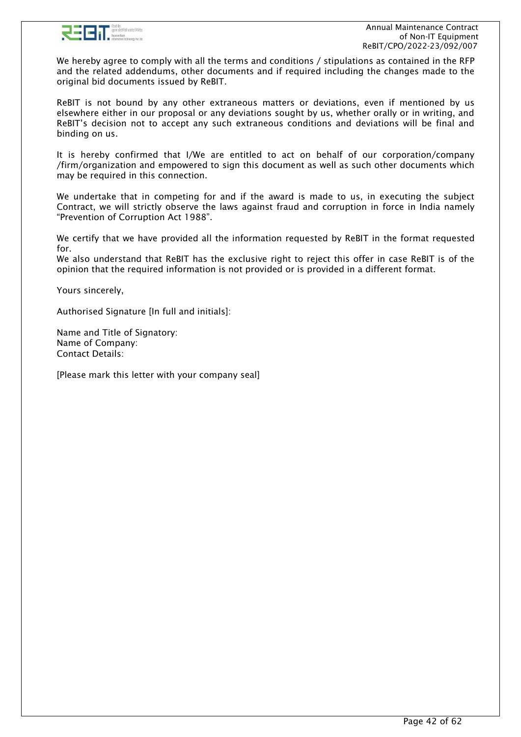

We hereby agree to comply with all the terms and conditions / stipulations as contained in the RFP and the related addendums, other documents and if required including the changes made to the original bid documents issued by ReBIT.

ReBIT is not bound by any other extraneous matters or deviations, even if mentioned by us elsewhere either in our proposal or any deviations sought by us, whether orally or in writing, and ReBIT's decision not to accept any such extraneous conditions and deviations will be final and binding on us.

It is hereby confirmed that I/We are entitled to act on behalf of our corporation/company /firm/organization and empowered to sign this document as well as such other documents which may be required in this connection.

We undertake that in competing for and if the award is made to us, in executing the subject Contract, we will strictly observe the laws against fraud and corruption in force in India namely "Prevention of Corruption Act 1988".

We certify that we have provided all the information requested by ReBIT in the format requested for.

We also understand that ReBIT has the exclusive right to reject this offer in case ReBIT is of the opinion that the required information is not provided or is provided in a different format.

Yours sincerely,

Authorised Signature [In full and initials]:

Name and Title of Signatory: Name of Company: Contact Details:

[Please mark this letter with your company seal]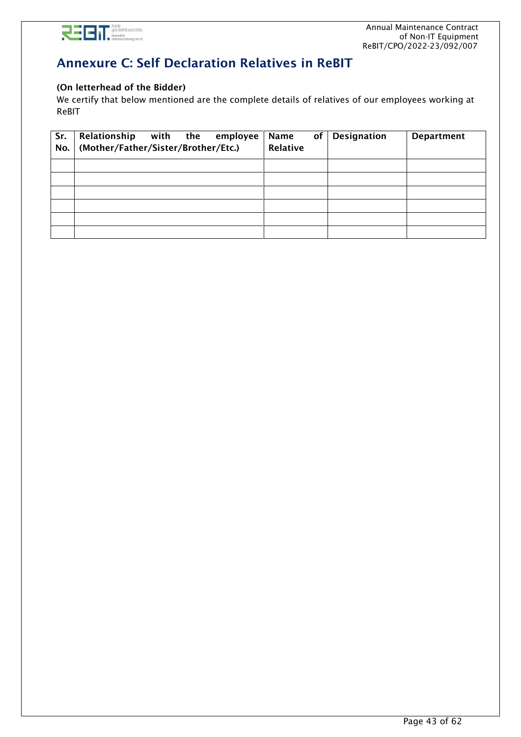

# <span id="page-42-0"></span>Annexure C: Self Declaration Relatives in ReBIT

### (On letterhead of the Bidder)

We certify that below mentioned are the complete details of relatives of our employees working at ReBIT

| Sr.<br>No. | Relationship<br>with the<br>employee<br>(Mother/Father/Sister/Brother/Etc.) | of<br><b>Name</b><br>Relative | <b>Designation</b> | <b>Department</b> |
|------------|-----------------------------------------------------------------------------|-------------------------------|--------------------|-------------------|
|            |                                                                             |                               |                    |                   |
|            |                                                                             |                               |                    |                   |
|            |                                                                             |                               |                    |                   |
|            |                                                                             |                               |                    |                   |
|            |                                                                             |                               |                    |                   |
|            |                                                                             |                               |                    |                   |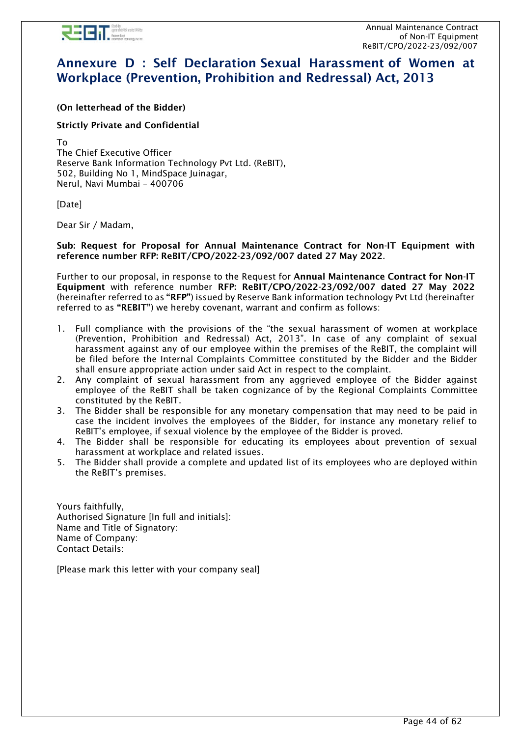

# <span id="page-43-0"></span>Annexure D : Self Declaration Sexual Harassment of Women at Workplace (Prevention, Prohibition and Redressal) Act, 2013

(On letterhead of the Bidder)

### Strictly Private and Confidential

To The Chief Executive Officer Reserve Bank Information Technology Pvt Ltd. (ReBIT), 502, Building No 1, MindSpace Juinagar, Nerul, Navi Mumbai – 400706

[Date]

Dear Sir / Madam,

Sub: Request for Proposal for Annual Maintenance Contract for Non-IT Equipment with reference number RFP: ReBIT/CPO/2022-23/092/007 dated 27 May 2022.

Further to our proposal, in response to the Request for Annual Maintenance Contract for Non-IT Equipment with reference number RFP: ReBIT/CPO/2022-23/092/007 dated 27 May 2022 (hereinafter referred to as "RFP") issued by Reserve Bank information technology Pvt Ltd (hereinafter referred to as "REBIT") we hereby covenant, warrant and confirm as follows:

- 1. Full compliance with the provisions of the "the sexual harassment of women at workplace (Prevention, Prohibition and Redressal) Act, 2013". In case of any complaint of sexual harassment against any of our employee within the premises of the ReBIT, the complaint will be filed before the Internal Complaints Committee constituted by the Bidder and the Bidder shall ensure appropriate action under said Act in respect to the complaint.
- 2. Any complaint of sexual harassment from any aggrieved employee of the Bidder against employee of the ReBIT shall be taken cognizance of by the Regional Complaints Committee constituted by the ReBIT.
- 3. The Bidder shall be responsible for any monetary compensation that may need to be paid in case the incident involves the employees of the Bidder, for instance any monetary relief to ReBIT's employee, if sexual violence by the employee of the Bidder is proved.
- 4. The Bidder shall be responsible for educating its employees about prevention of sexual harassment at workplace and related issues.
- 5. The Bidder shall provide a complete and updated list of its employees who are deployed within the ReBIT's premises.

Yours faithfully, Authorised Signature [In full and initials]: Name and Title of Signatory: Name of Company: Contact Details:

[Please mark this letter with your company seal]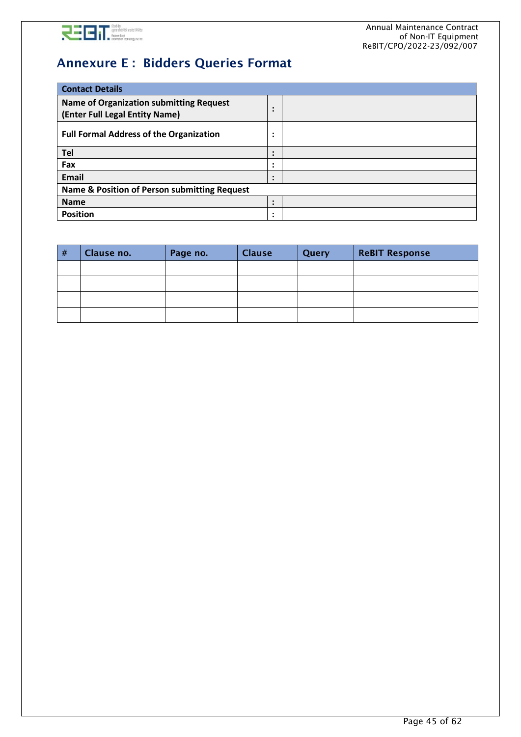

# <span id="page-44-0"></span>Annexure E : Bidders Queries Format

| <b>Contact Details</b>                                                           |                             |  |  |  |
|----------------------------------------------------------------------------------|-----------------------------|--|--|--|
| <b>Name of Organization submitting Request</b><br>(Enter Full Legal Entity Name) | ٠                           |  |  |  |
| <b>Full Formal Address of the Organization</b>                                   | $\bullet$<br>٠              |  |  |  |
| Tel                                                                              |                             |  |  |  |
| Fax                                                                              |                             |  |  |  |
| Email                                                                            | $\bullet$<br>$\blacksquare$ |  |  |  |
| Name & Position of Person submitting Request                                     |                             |  |  |  |
| <b>Name</b>                                                                      | $\blacksquare$              |  |  |  |
| <b>Position</b>                                                                  | $\bullet$<br>$\blacksquare$ |  |  |  |

| # | Clause no. | Page no. | <b>Clause</b> | Query | <b>ReBIT Response</b> |
|---|------------|----------|---------------|-------|-----------------------|
|   |            |          |               |       |                       |
|   |            |          |               |       |                       |
|   |            |          |               |       |                       |
|   |            |          |               |       |                       |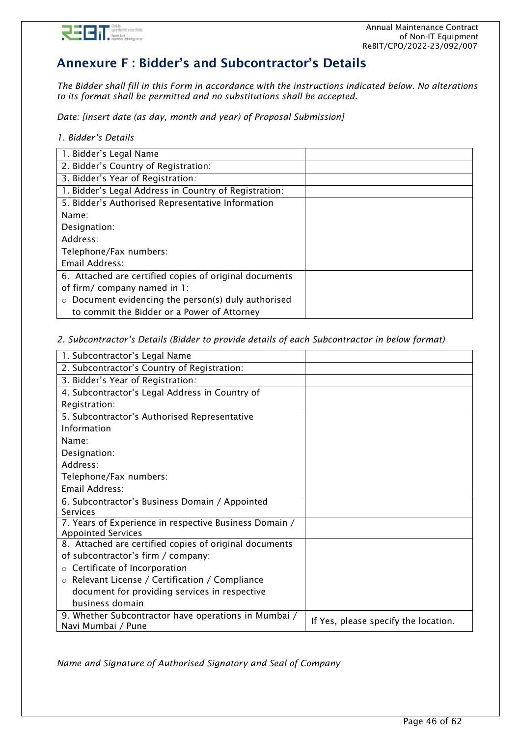

# <span id="page-45-0"></span>Annexure F : Bidder's and Subcontractor's Details

*The Bidder shall fill in this Form in accordance with the instructions indicated below. No alterations to its format shall be permitted and no substitutions shall be accepted.*

*Date: [insert date (as day, month and year) of Proposal Submission]* 

*1. Bidder's Details*

| 1. Bidder's Legal Name                                       |  |
|--------------------------------------------------------------|--|
| 2. Bidder's Country of Registration:                         |  |
| 3. Bidder's Year of Registration:                            |  |
| 1. Bidder's Legal Address in Country of Registration:        |  |
| 5. Bidder's Authorised Representative Information            |  |
| Name:                                                        |  |
| Designation:                                                 |  |
| Address:                                                     |  |
| Telephone/Fax numbers:                                       |  |
| Email Address:                                               |  |
| 6. Attached are certified copies of original documents       |  |
| of firm/company named in 1:                                  |  |
| Document evidencing the person(s) duly authorised<br>$\circ$ |  |
| to commit the Bidder or a Power of Attorney                  |  |

#### *2. Subcontractor's Details (Bidder to provide details of each Subcontractor in below format)*

| 1. Subcontractor's Legal Name                          |                                      |
|--------------------------------------------------------|--------------------------------------|
| 2. Subcontractor's Country of Registration:            |                                      |
| 3. Bidder's Year of Registration:                      |                                      |
| 4. Subcontractor's Legal Address in Country of         |                                      |
| Registration:                                          |                                      |
| 5. Subcontractor's Authorised Representative           |                                      |
| Information                                            |                                      |
| Name:                                                  |                                      |
| Designation:                                           |                                      |
| Address:                                               |                                      |
| Telephone/Fax numbers:                                 |                                      |
| Email Address:                                         |                                      |
| 6. Subcontractor's Business Domain / Appointed         |                                      |
| Services                                               |                                      |
| 7. Years of Experience in respective Business Domain / |                                      |
| <b>Appointed Services</b>                              |                                      |
| 8. Attached are certified copies of original documents |                                      |
| of subcontractor's firm / company:                     |                                      |
| $\circ$ Certificate of Incorporation                   |                                      |
| ○ Relevant License / Certification / Compliance        |                                      |
| document for providing services in respective          |                                      |
| business domain                                        |                                      |
| 9. Whether Subcontractor have operations in Mumbai /   | If Yes, please specify the location. |
| Navi Mumbai / Pune                                     |                                      |

*Name and Signature of Authorised Signatory and Seal of Company*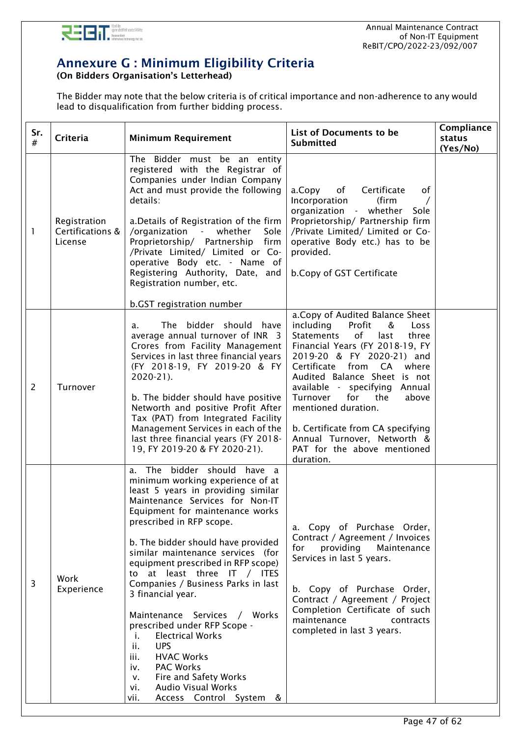

# <span id="page-46-0"></span>Annexure G : Minimum Eligibility Criteria

(On Bidders Organisation's Letterhead)

The Bidder may note that the below criteria is of critical importance and non-adherence to any would lead to disqualification from further bidding process.

| Sr.<br>#       | Criteria                                    | <b>Minimum Requirement</b>                                                                                                                                                                                                                                                                                                                                                                                                                                                                                                                                                                                                                                                                               | List of Documents to be<br><b>Submitted</b>                                                                                                                                                                                                                                                                                                                                                                                                          | Compliance<br>status<br>(Yes/No) |
|----------------|---------------------------------------------|----------------------------------------------------------------------------------------------------------------------------------------------------------------------------------------------------------------------------------------------------------------------------------------------------------------------------------------------------------------------------------------------------------------------------------------------------------------------------------------------------------------------------------------------------------------------------------------------------------------------------------------------------------------------------------------------------------|------------------------------------------------------------------------------------------------------------------------------------------------------------------------------------------------------------------------------------------------------------------------------------------------------------------------------------------------------------------------------------------------------------------------------------------------------|----------------------------------|
| 1              | Registration<br>Certifications &<br>License | The Bidder must be an entity<br>registered with the Registrar of<br>Companies under Indian Company<br>Act and must provide the following<br>details:<br>a. Details of Registration of the firm<br>/organization - whether<br>Sole<br>Proprietorship/ Partnership<br>firm<br>/Private Limited/ Limited or Co-<br>operative Body etc. - Name of<br>Registering Authority, Date, and<br>Registration number, etc.<br>b.GST registration number                                                                                                                                                                                                                                                              | a.Copy of Certificate<br>оf<br>Incorporation<br>(firm<br>organization - whether<br>Sole<br>Proprietorship/ Partnership firm<br>/Private Limited/ Limited or Co-<br>operative Body etc.) has to be<br>provided.<br>b.Copy of GST Certificate                                                                                                                                                                                                          |                                  |
| $\overline{2}$ | Turnover                                    | The bidder should have<br>a.<br>average annual turnover of INR 3<br>Crores from Facility Management<br>Services in last three financial years<br>(FY 2018-19, FY 2019-20 & FY<br>2020-21).<br>b. The bidder should have positive<br>Networth and positive Profit After<br>Tax (PAT) from Integrated Facility<br>Management Services in each of the<br>last three financial years (FY 2018-<br>19, FY 2019-20 & FY 2020-21).                                                                                                                                                                                                                                                                              | a. Copy of Audited Balance Sheet<br>including<br>Profit<br>&<br>Loss<br>Statements<br>of<br>last<br>three<br>Financial Years (FY 2018-19, FY<br>2019-20 & FY 2020-21) and<br>Certificate from CA<br>where<br>Audited Balance Sheet is not<br>available - specifying Annual<br>Turnover<br>for<br>the<br>above<br>mentioned duration.<br>b. Certificate from CA specifying<br>Annual Turnover, Networth &<br>PAT for the above mentioned<br>duration. |                                  |
| 3              | Work<br>Experience                          | a. The bidder should have a<br>minimum working experience of at<br>least 5 years in providing similar<br>Maintenance Services for Non-IT<br>Equipment for maintenance works<br>prescribed in RFP scope.<br>b. The bidder should have provided<br>similar maintenance services (for<br>equipment prescribed in RFP scope)<br>to at least three IT / ITES<br>Companies / Business Parks in last<br>3 financial year.<br>Maintenance Services / Works<br>prescribed under RFP Scope -<br><b>Electrical Works</b><br>i.<br><b>UPS</b><br>ii.<br>iii.<br><b>HVAC Works</b><br>PAC Works<br>iv.<br>Fire and Safety Works<br>$V_{\star}$<br><b>Audio Visual Works</b><br>vi.<br>Access Control System &<br>vii. | a. Copy of Purchase Order,<br>Contract / Agreement / Invoices<br>for<br>providing<br>Maintenance<br>Services in last 5 years.<br>b. Copy of Purchase Order,<br>Contract / Agreement / Project<br>Completion Certificate of such<br>maintenance<br>contracts<br>completed in last 3 years.                                                                                                                                                            |                                  |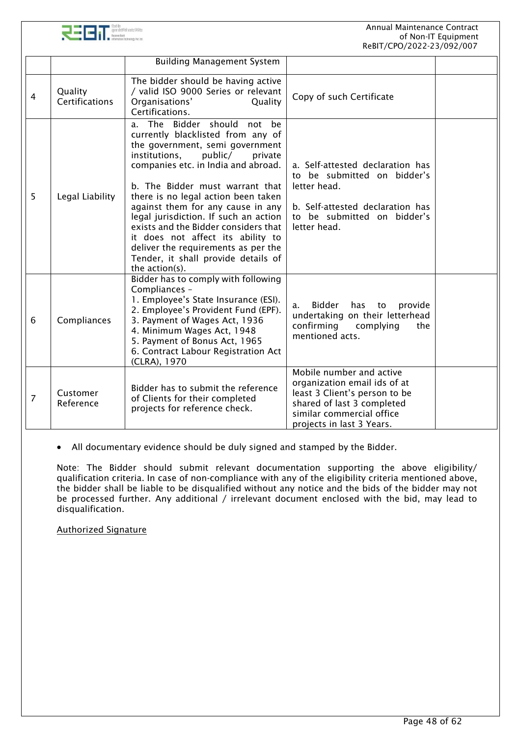



|   |                           | <b>Building Management System</b>                                                                                                                                                                                                                                                                                                                                                                                                                                                                                      |                                                                                                                                                                                   |  |
|---|---------------------------|------------------------------------------------------------------------------------------------------------------------------------------------------------------------------------------------------------------------------------------------------------------------------------------------------------------------------------------------------------------------------------------------------------------------------------------------------------------------------------------------------------------------|-----------------------------------------------------------------------------------------------------------------------------------------------------------------------------------|--|
| 4 | Quality<br>Certifications | The bidder should be having active<br>/ valid ISO 9000 Series or relevant<br>Organisations'<br>Quality<br>Certifications.                                                                                                                                                                                                                                                                                                                                                                                              | Copy of such Certificate                                                                                                                                                          |  |
| 5 | Legal Liability           | a. The Bidder should not be<br>currently blacklisted from any of<br>the government, semi government<br>institutions,<br>public/<br>private<br>companies etc. in India and abroad.<br>b. The Bidder must warrant that<br>there is no legal action been taken<br>against them for any cause in any<br>legal jurisdiction. If such an action<br>exists and the Bidder considers that<br>it does not affect its ability to<br>deliver the requirements as per the<br>Tender, it shall provide details of<br>the action(s). | a. Self-attested declaration has<br>to be submitted on bidder's<br>letter head.<br>b. Self-attested declaration has<br>to be submitted on bidder's<br>letter head.                |  |
| 6 | Compliances               | Bidder has to comply with following<br>Compliances -<br>1. Employee's State Insurance (ESI).<br>2. Employee's Provident Fund (EPF).<br>3. Payment of Wages Act, 1936<br>4. Minimum Wages Act, 1948<br>5. Payment of Bonus Act, 1965<br>6. Contract Labour Registration Act<br>(CLRA), 1970                                                                                                                                                                                                                             | Bidder<br>has to<br>provide<br>a.<br>undertaking on their letterhead<br>confirming<br>complying<br>the<br>mentioned acts.                                                         |  |
| 7 | Customer<br>Reference     | Bidder has to submit the reference<br>of Clients for their completed<br>projects for reference check.                                                                                                                                                                                                                                                                                                                                                                                                                  | Mobile number and active<br>organization email ids of at<br>least 3 Client's person to be<br>shared of last 3 completed<br>similar commercial office<br>projects in last 3 Years. |  |

• All documentary evidence should be duly signed and stamped by the Bidder.

Note: The Bidder should submit relevant documentation supporting the above eligibility/ qualification criteria. In case of non-compliance with any of the eligibility criteria mentioned above, the bidder shall be liable to be disqualified without any notice and the bids of the bidder may not be processed further. Any additional / irrelevant document enclosed with the bid, may lead to disqualification.

#### Authorized Signature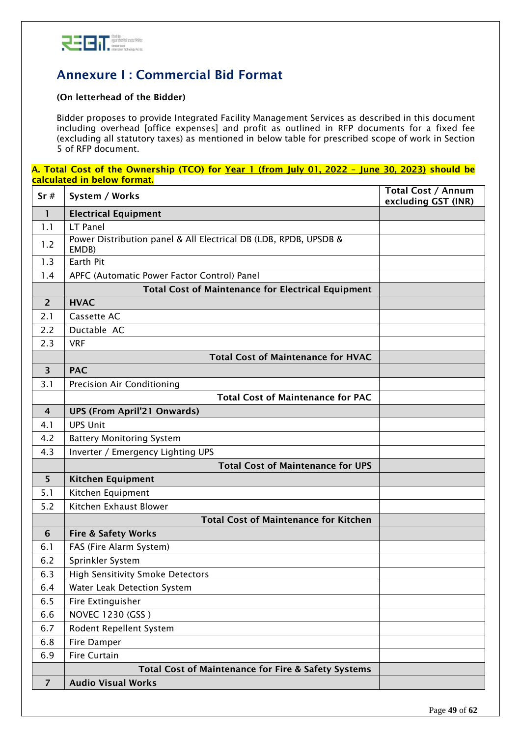

# <span id="page-48-0"></span>Annexure I : Commercial Bid Format

## (On letterhead of the Bidder)

Bidder proposes to provide Integrated Facility Management Services as described in this document including overhead [office expenses] and profit as outlined in RFP documents for a fixed fee (excluding all statutory taxes) as mentioned in below table for prescribed scope of work in Section 5 of RFP document.

#### A. Total Cost of the Ownership (TCO) for Year 1 (from July 01, 2022 - June 30, 2023) should be calculated in below format.

| Sr#                     | System / Works                                                            | <b>Total Cost / Annum</b><br>excluding GST (INR) |
|-------------------------|---------------------------------------------------------------------------|--------------------------------------------------|
| 1                       | <b>Electrical Equipment</b>                                               |                                                  |
| 1.1                     | LT Panel                                                                  |                                                  |
| 1.2                     | Power Distribution panel & All Electrical DB (LDB, RPDB, UPSDB &<br>EMDB) |                                                  |
| 1.3                     | Earth Pit                                                                 |                                                  |
| 1.4                     | APFC (Automatic Power Factor Control) Panel                               |                                                  |
|                         | <b>Total Cost of Maintenance for Electrical Equipment</b>                 |                                                  |
| $\overline{2}$          | <b>HVAC</b>                                                               |                                                  |
| 2.1                     | Cassette AC                                                               |                                                  |
| 2.2                     | Ductable AC                                                               |                                                  |
| 2.3                     | <b>VRF</b>                                                                |                                                  |
|                         | <b>Total Cost of Maintenance for HVAC</b>                                 |                                                  |
| $\overline{\mathbf{3}}$ | <b>PAC</b>                                                                |                                                  |
| 3.1                     | <b>Precision Air Conditioning</b>                                         |                                                  |
|                         | <b>Total Cost of Maintenance for PAC</b>                                  |                                                  |
| $\overline{4}$          | <b>UPS (From April'21 Onwards)</b>                                        |                                                  |
| 4.1                     | <b>UPS Unit</b>                                                           |                                                  |
| 4.2                     | <b>Battery Monitoring System</b>                                          |                                                  |
| 4.3                     | Inverter / Emergency Lighting UPS                                         |                                                  |
|                         | <b>Total Cost of Maintenance for UPS</b>                                  |                                                  |
| 5                       | <b>Kitchen Equipment</b>                                                  |                                                  |
| 5.1                     | Kitchen Equipment                                                         |                                                  |
| 5.2                     | Kitchen Exhaust Blower                                                    |                                                  |
|                         | <b>Total Cost of Maintenance for Kitchen</b>                              |                                                  |
| 6                       | <b>Fire &amp; Safety Works</b>                                            |                                                  |
| 6.1                     | FAS (Fire Alarm System)                                                   |                                                  |
| 6.2                     | Sprinkler System                                                          |                                                  |
| 6.3                     | <b>High Sensitivity Smoke Detectors</b>                                   |                                                  |
| 6.4                     | Water Leak Detection System                                               |                                                  |
| 6.5                     | Fire Extinguisher                                                         |                                                  |
| 6.6                     | NOVEC 1230 (GSS)                                                          |                                                  |
| 6.7                     | Rodent Repellent System                                                   |                                                  |
| 6.8                     | Fire Damper                                                               |                                                  |
| 6.9                     | Fire Curtain                                                              |                                                  |
|                         | Total Cost of Maintenance for Fire & Safety Systems                       |                                                  |
| $\overline{7}$          | <b>Audio Visual Works</b>                                                 |                                                  |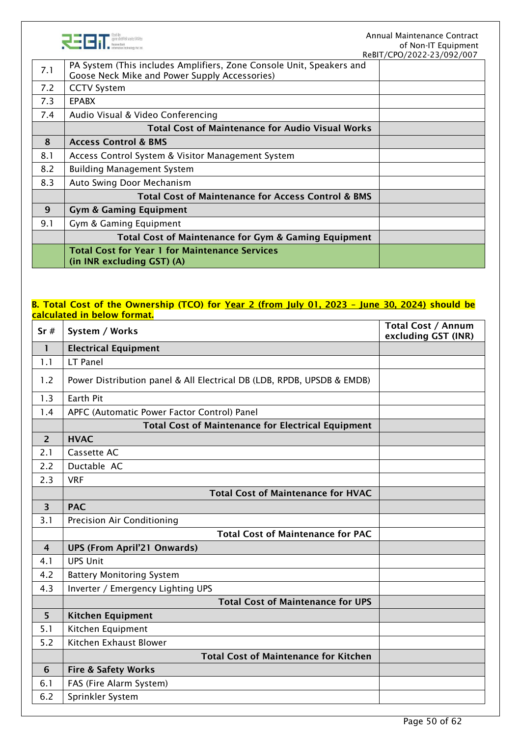

|     |                                                                                                                       | ReBIT/CPO/2022-23/092/007 |
|-----|-----------------------------------------------------------------------------------------------------------------------|---------------------------|
| 7.1 | PA System (This includes Amplifiers, Zone Console Unit, Speakers and<br>Goose Neck Mike and Power Supply Accessories) |                           |
| 7.2 | <b>CCTV System</b>                                                                                                    |                           |
| 7.3 | <b>EPABX</b>                                                                                                          |                           |
| 7.4 | Audio Visual & Video Conferencing                                                                                     |                           |
|     | <b>Total Cost of Maintenance for Audio Visual Works</b>                                                               |                           |
| 8   | <b>Access Control &amp; BMS</b>                                                                                       |                           |
| 8.1 | Access Control System & Visitor Management System                                                                     |                           |
| 8.2 | <b>Building Management System</b>                                                                                     |                           |
| 8.3 | Auto Swing Door Mechanism                                                                                             |                           |
|     | <b>Total Cost of Maintenance for Access Control &amp; BMS</b>                                                         |                           |
| 9   | <b>Gym &amp; Gaming Equipment</b>                                                                                     |                           |
| 9.1 | Gym & Gaming Equipment                                                                                                |                           |
|     | Total Cost of Maintenance for Gym & Gaming Equipment                                                                  |                           |
|     | <b>Total Cost for Year 1 for Maintenance Services</b><br>(in INR excluding GST) (A)                                   |                           |

### B. Total Cost of the Ownership (TCO) for Year 2 (from July 01, 2023 - June 30, 2024) should be calculated in below format.

| $\mathbf{1}$<br><b>Electrical Equipment</b><br>LT Panel<br>1.1<br>1.2<br>Power Distribution panel & All Electrical DB (LDB, RPDB, UPSDB & EMDB)<br><b>Earth Pit</b><br>1.3<br>APFC (Automatic Power Factor Control) Panel<br>1.4<br><b>Total Cost of Maintenance for Electrical Equipment</b><br><b>HVAC</b><br>$\overline{2}$<br>2.1<br>Cassette AC<br>Ductable AC<br>2.2<br>2.3<br><b>VRF</b><br><b>Total Cost of Maintenance for HVAC</b><br>$\overline{\mathbf{3}}$<br><b>PAC</b><br>3.1<br><b>Precision Air Conditioning</b><br><b>Total Cost of Maintenance for PAC</b><br><b>UPS (From April'21 Onwards)</b><br>4<br><b>UPS Unit</b><br>4.1<br>4.2<br><b>Battery Monitoring System</b><br>4.3<br>Inverter / Emergency Lighting UPS<br><b>Total Cost of Maintenance for UPS</b><br>5<br><b>Kitchen Equipment</b><br>5.1<br>Kitchen Equipment<br>Kitchen Exhaust Blower<br>5.2 | Total Cost / Annum<br>excluding GST (INR) |
|-------------------------------------------------------------------------------------------------------------------------------------------------------------------------------------------------------------------------------------------------------------------------------------------------------------------------------------------------------------------------------------------------------------------------------------------------------------------------------------------------------------------------------------------------------------------------------------------------------------------------------------------------------------------------------------------------------------------------------------------------------------------------------------------------------------------------------------------------------------------------------------|-------------------------------------------|
|                                                                                                                                                                                                                                                                                                                                                                                                                                                                                                                                                                                                                                                                                                                                                                                                                                                                                     |                                           |
|                                                                                                                                                                                                                                                                                                                                                                                                                                                                                                                                                                                                                                                                                                                                                                                                                                                                                     |                                           |
|                                                                                                                                                                                                                                                                                                                                                                                                                                                                                                                                                                                                                                                                                                                                                                                                                                                                                     |                                           |
|                                                                                                                                                                                                                                                                                                                                                                                                                                                                                                                                                                                                                                                                                                                                                                                                                                                                                     |                                           |
|                                                                                                                                                                                                                                                                                                                                                                                                                                                                                                                                                                                                                                                                                                                                                                                                                                                                                     |                                           |
|                                                                                                                                                                                                                                                                                                                                                                                                                                                                                                                                                                                                                                                                                                                                                                                                                                                                                     |                                           |
|                                                                                                                                                                                                                                                                                                                                                                                                                                                                                                                                                                                                                                                                                                                                                                                                                                                                                     |                                           |
|                                                                                                                                                                                                                                                                                                                                                                                                                                                                                                                                                                                                                                                                                                                                                                                                                                                                                     |                                           |
|                                                                                                                                                                                                                                                                                                                                                                                                                                                                                                                                                                                                                                                                                                                                                                                                                                                                                     |                                           |
|                                                                                                                                                                                                                                                                                                                                                                                                                                                                                                                                                                                                                                                                                                                                                                                                                                                                                     |                                           |
|                                                                                                                                                                                                                                                                                                                                                                                                                                                                                                                                                                                                                                                                                                                                                                                                                                                                                     |                                           |
|                                                                                                                                                                                                                                                                                                                                                                                                                                                                                                                                                                                                                                                                                                                                                                                                                                                                                     |                                           |
|                                                                                                                                                                                                                                                                                                                                                                                                                                                                                                                                                                                                                                                                                                                                                                                                                                                                                     |                                           |
|                                                                                                                                                                                                                                                                                                                                                                                                                                                                                                                                                                                                                                                                                                                                                                                                                                                                                     |                                           |
|                                                                                                                                                                                                                                                                                                                                                                                                                                                                                                                                                                                                                                                                                                                                                                                                                                                                                     |                                           |
|                                                                                                                                                                                                                                                                                                                                                                                                                                                                                                                                                                                                                                                                                                                                                                                                                                                                                     |                                           |
|                                                                                                                                                                                                                                                                                                                                                                                                                                                                                                                                                                                                                                                                                                                                                                                                                                                                                     |                                           |
|                                                                                                                                                                                                                                                                                                                                                                                                                                                                                                                                                                                                                                                                                                                                                                                                                                                                                     |                                           |
|                                                                                                                                                                                                                                                                                                                                                                                                                                                                                                                                                                                                                                                                                                                                                                                                                                                                                     |                                           |
|                                                                                                                                                                                                                                                                                                                                                                                                                                                                                                                                                                                                                                                                                                                                                                                                                                                                                     |                                           |
|                                                                                                                                                                                                                                                                                                                                                                                                                                                                                                                                                                                                                                                                                                                                                                                                                                                                                     |                                           |
|                                                                                                                                                                                                                                                                                                                                                                                                                                                                                                                                                                                                                                                                                                                                                                                                                                                                                     |                                           |
| <b>Total Cost of Maintenance for Kitchen</b>                                                                                                                                                                                                                                                                                                                                                                                                                                                                                                                                                                                                                                                                                                                                                                                                                                        |                                           |
| <b>Fire &amp; Safety Works</b><br>6                                                                                                                                                                                                                                                                                                                                                                                                                                                                                                                                                                                                                                                                                                                                                                                                                                                 |                                           |
| FAS (Fire Alarm System)<br>6.1                                                                                                                                                                                                                                                                                                                                                                                                                                                                                                                                                                                                                                                                                                                                                                                                                                                      |                                           |
| 6.2<br>Sprinkler System                                                                                                                                                                                                                                                                                                                                                                                                                                                                                                                                                                                                                                                                                                                                                                                                                                                             |                                           |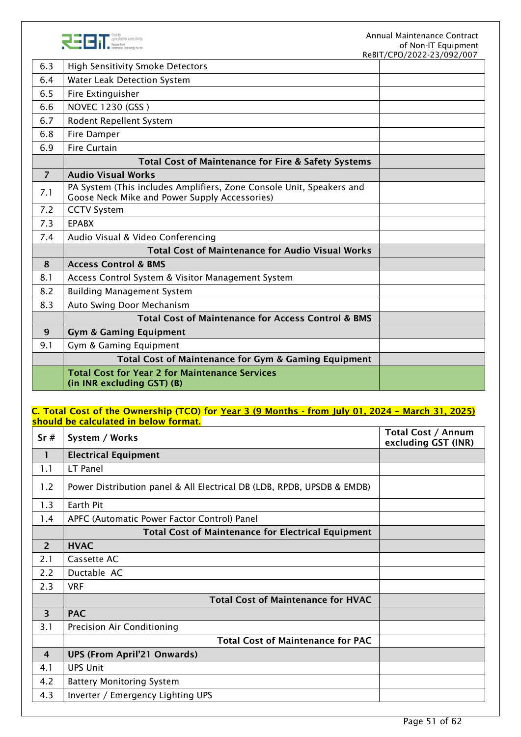

|                |                                                                                                                       | REDIT/CPU/ZUZZ-Z3/U9Z/UUT |
|----------------|-----------------------------------------------------------------------------------------------------------------------|---------------------------|
| 6.3            | <b>High Sensitivity Smoke Detectors</b>                                                                               |                           |
| 6.4            | Water Leak Detection System                                                                                           |                           |
| 6.5            | Fire Extinguisher                                                                                                     |                           |
| 6.6            | NOVEC 1230 (GSS)                                                                                                      |                           |
| 6.7            | Rodent Repellent System                                                                                               |                           |
| 6.8            | Fire Damper                                                                                                           |                           |
| 6.9            | <b>Fire Curtain</b>                                                                                                   |                           |
|                | <b>Total Cost of Maintenance for Fire &amp; Safety Systems</b>                                                        |                           |
| $\overline{7}$ | <b>Audio Visual Works</b>                                                                                             |                           |
| 7.1            | PA System (This includes Amplifiers, Zone Console Unit, Speakers and<br>Goose Neck Mike and Power Supply Accessories) |                           |
| 7.2            | <b>CCTV System</b>                                                                                                    |                           |
| 7.3            | <b>EPABX</b>                                                                                                          |                           |
| 7.4            | Audio Visual & Video Conferencing                                                                                     |                           |
|                | <b>Total Cost of Maintenance for Audio Visual Works</b>                                                               |                           |
| 8              | <b>Access Control &amp; BMS</b>                                                                                       |                           |
| 8.1            | Access Control System & Visitor Management System                                                                     |                           |
| 8.2            | <b>Building Management System</b>                                                                                     |                           |
| 8.3            | Auto Swing Door Mechanism                                                                                             |                           |
|                | <b>Total Cost of Maintenance for Access Control &amp; BMS</b>                                                         |                           |
| 9              | <b>Gym &amp; Gaming Equipment</b>                                                                                     |                           |
| 9.1            | Gym & Gaming Equipment                                                                                                |                           |
|                | Total Cost of Maintenance for Gym & Gaming Equipment                                                                  |                           |
|                | <b>Total Cost for Year 2 for Maintenance Services</b><br>(in INR excluding GST) (B)                                   |                           |
|                |                                                                                                                       |                           |

## C. Total Cost of the Ownership (TCO) for Year 3 (9 Months - from July 01, 2024 – March 31, 2025) should be calculated in below format.

| Sr#                     | System / Works                                                         | <b>Total Cost / Annum</b><br>excluding GST (INR) |
|-------------------------|------------------------------------------------------------------------|--------------------------------------------------|
| 1                       | <b>Electrical Equipment</b>                                            |                                                  |
| 1.1                     | LT Panel                                                               |                                                  |
| 1.2                     | Power Distribution panel & All Electrical DB (LDB, RPDB, UPSDB & EMDB) |                                                  |
| 1.3                     | Earth Pit                                                              |                                                  |
| 1.4                     | APFC (Automatic Power Factor Control) Panel                            |                                                  |
|                         | <b>Total Cost of Maintenance for Electrical Equipment</b>              |                                                  |
| 2                       | <b>HVAC</b>                                                            |                                                  |
| 2.1                     | Cassette AC                                                            |                                                  |
| 2.2                     | Ductable AC                                                            |                                                  |
| 2.3                     | <b>VRF</b>                                                             |                                                  |
|                         | <b>Total Cost of Maintenance for HVAC</b>                              |                                                  |
| $\overline{\mathbf{3}}$ | <b>PAC</b>                                                             |                                                  |
| 3.1                     | Precision Air Conditioning                                             |                                                  |
|                         | <b>Total Cost of Maintenance for PAC</b>                               |                                                  |
| 4                       | <b>UPS (From April'21 Onwards)</b>                                     |                                                  |
| 4.1                     | <b>UPS Unit</b>                                                        |                                                  |
| 4.2                     | <b>Battery Monitoring System</b>                                       |                                                  |
| 4.3                     | Inverter / Emergency Lighting UPS                                      |                                                  |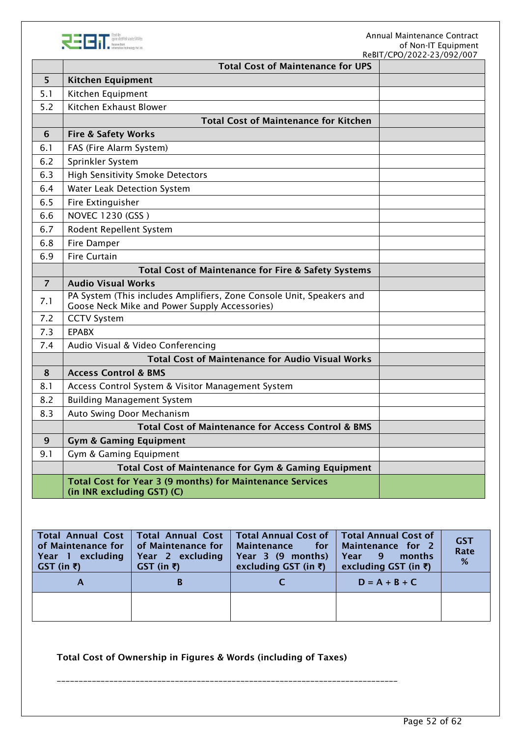

|                | <b>Total Cost of Maintenance for UPS</b>                                                                              | ReBIT/CPO/2022-23/092/007 |
|----------------|-----------------------------------------------------------------------------------------------------------------------|---------------------------|
| 5              | <b>Kitchen Equipment</b>                                                                                              |                           |
| 5.1            | Kitchen Equipment                                                                                                     |                           |
| 5.2            | Kitchen Exhaust Blower                                                                                                |                           |
|                | <b>Total Cost of Maintenance for Kitchen</b>                                                                          |                           |
| 6              | <b>Fire &amp; Safety Works</b>                                                                                        |                           |
| 6.1            | FAS (Fire Alarm System)                                                                                               |                           |
| 6.2            | Sprinkler System                                                                                                      |                           |
| 6.3            | <b>High Sensitivity Smoke Detectors</b>                                                                               |                           |
| 6.4            | Water Leak Detection System                                                                                           |                           |
| 6.5            | Fire Extinguisher                                                                                                     |                           |
| 6.6            | NOVEC 1230 (GSS)                                                                                                      |                           |
| 6.7            | Rodent Repellent System                                                                                               |                           |
| 6.8            | Fire Damper                                                                                                           |                           |
| 6.9            | <b>Fire Curtain</b>                                                                                                   |                           |
|                | Total Cost of Maintenance for Fire & Safety Systems                                                                   |                           |
| $\overline{7}$ | <b>Audio Visual Works</b>                                                                                             |                           |
| 7.1            | PA System (This includes Amplifiers, Zone Console Unit, Speakers and<br>Goose Neck Mike and Power Supply Accessories) |                           |
| 7.2            | <b>CCTV System</b>                                                                                                    |                           |
| 7.3            | <b>EPABX</b>                                                                                                          |                           |
| 7.4            | Audio Visual & Video Conferencing                                                                                     |                           |
|                | <b>Total Cost of Maintenance for Audio Visual Works</b>                                                               |                           |
| 8              | <b>Access Control &amp; BMS</b>                                                                                       |                           |
| 8.1            | Access Control System & Visitor Management System                                                                     |                           |
| 8.2            | <b>Building Management System</b>                                                                                     |                           |
| 8.3            | Auto Swing Door Mechanism                                                                                             |                           |
|                | <b>Total Cost of Maintenance for Access Control &amp; BMS</b>                                                         |                           |
| 9              | <b>Gym &amp; Gaming Equipment</b>                                                                                     |                           |
| 9.1            | Gym & Gaming Equipment                                                                                                |                           |
|                | Total Cost of Maintenance for Gym & Gaming Equipment                                                                  |                           |
|                | <b>Total Cost for Year 3 (9 months) for Maintenance Services</b><br>(in INR excluding GST) (C)                        |                           |

| Total Annual Cost  <br>of Maintenance for   of Maintenance for<br>Year 1 excluding<br>$GST$ (in $\bar{z}$ ) | Year 2 excluding<br>$GST$ (in $\bar{z}$ ) | Total Annual Cost   Total Annual Cost of  <br>Maintenance for<br>Year 3 (9 months)<br>excluding GST (in $\bar{\epsilon}$ ) | <b>Total Annual Cost of</b><br>Maintenance for 2<br>Year<br>- 9<br>months<br>excluding GST (in ₹) | <b>GST</b><br>Rate<br>% |
|-------------------------------------------------------------------------------------------------------------|-------------------------------------------|----------------------------------------------------------------------------------------------------------------------------|---------------------------------------------------------------------------------------------------|-------------------------|
| A                                                                                                           | В                                         |                                                                                                                            | $D = A + B + C$                                                                                   |                         |
|                                                                                                             |                                           |                                                                                                                            |                                                                                                   |                         |

Total Cost of Ownership in Figures & Words (including of Taxes)

\_\_\_\_\_\_\_\_\_\_\_\_\_\_\_\_\_\_\_\_\_\_\_\_\_\_\_\_\_\_\_\_\_\_\_\_\_\_\_\_\_\_\_\_\_\_\_\_\_\_\_\_\_\_\_\_\_\_\_\_\_\_\_\_\_\_\_\_\_\_\_\_\_\_\_\_\_\_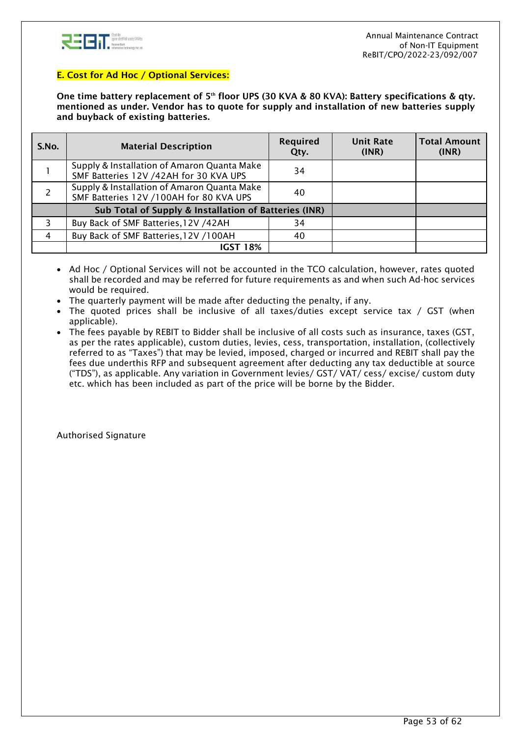

### E. Cost for Ad Hoc / Optional Services:

One time battery replacement of 5<sup>th</sup> floor UPS (30 KVA & 80 KVA): Battery specifications & qty. mentioned as under. Vendor has to quote for supply and installation of new batteries supply and buyback of existing batteries.

| S.No. | <b>Material Description</b>                                                            | <b>Required</b><br>Qty. | <b>Unit Rate</b><br>(INR) | <b>Total Amount</b><br>(INR) |
|-------|----------------------------------------------------------------------------------------|-------------------------|---------------------------|------------------------------|
|       | Supply & Installation of Amaron Quanta Make<br>SMF Batteries 12V /42AH for 30 KVA UPS  | 34                      |                           |                              |
|       | Supply & Installation of Amaron Quanta Make<br>SMF Batteries 12V /100AH for 80 KVA UPS | 40                      |                           |                              |
|       | Sub Total of Supply & Installation of Batteries (INR)                                  |                         |                           |                              |
|       | Buy Back of SMF Batteries, 12V /42AH                                                   | 34                      |                           |                              |
| 4     | Buy Back of SMF Batteries, 12V /100AH                                                  | 40                      |                           |                              |
|       | <b>IGST 18%</b>                                                                        |                         |                           |                              |

- Ad Hoc / Optional Services will not be accounted in the TCO calculation, however, rates quoted shall be recorded and may be referred for future requirements as and when such Ad-hoc services would be required.
- The quarterly payment will be made after deducting the penalty, if any.
- The quoted prices shall be inclusive of all taxes/duties except service tax / GST (when applicable).
- The fees payable by REBIT to Bidder shall be inclusive of all costs such as insurance, taxes (GST, as per the rates applicable), custom duties, levies, cess, transportation, installation, (collectively referred to as "Taxes") that may be levied, imposed, charged or incurred and REBIT shall pay the fees due underthis RFP and subsequent agreement after deducting any tax deductible at source ("TDS"), as applicable. Any variation in Government levies/ GST/ VAT/ cess/ excise/ custom duty etc. which has been included as part of the price will be borne by the Bidder.

Authorised Signature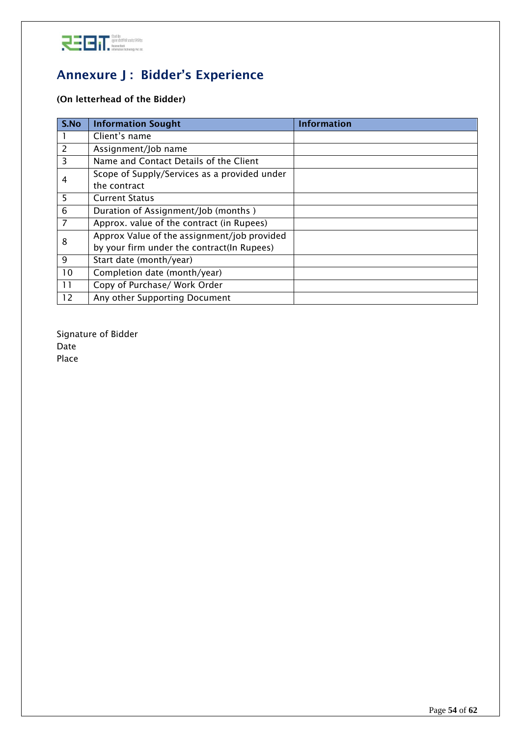

# <span id="page-53-0"></span>Annexure J : Bidder's Experience

# (On letterhead of the Bidder)

| S.No           | <b>Information Sought</b>                    | <b>Information</b> |
|----------------|----------------------------------------------|--------------------|
|                | Client's name                                |                    |
| 2              | Assignment/Job name                          |                    |
| 3              | Name and Contact Details of the Client       |                    |
| 4              | Scope of Supply/Services as a provided under |                    |
|                | the contract                                 |                    |
| 5              | <b>Current Status</b>                        |                    |
| 6              | Duration of Assignment/Job (months)          |                    |
| $\overline{7}$ | Approx. value of the contract (in Rupees)    |                    |
| 8              | Approx Value of the assignment/job provided  |                    |
|                | by your firm under the contract(In Rupees)   |                    |
| 9              | Start date (month/year)                      |                    |
| 10             | Completion date (month/year)                 |                    |
| 11             | Copy of Purchase/ Work Order                 |                    |
| 12             | Any other Supporting Document                |                    |

Signature of Bidder Date Place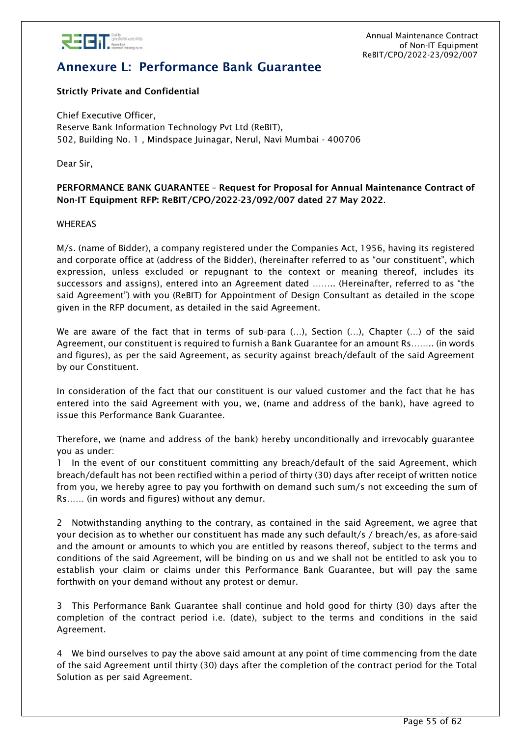

# <span id="page-54-0"></span>Annexure L: Performance Bank Guarantee

## Strictly Private and Confidential

Chief Executive Officer, Reserve Bank Information Technology Pvt Ltd (ReBIT), 502, Building No. 1 , Mindspace Juinagar, Nerul, Navi Mumbai - 400706

Dear Sir,

### PERFORMANCE BANK GUARANTEE – Request for Proposal for Annual Maintenance Contract of Non-IT Equipment RFP: ReBIT/CPO/2022-23/092/007 dated 27 May 2022.

### WHEREAS

M/s. (name of Bidder), a company registered under the Companies Act, 1956, having its registered and corporate office at (address of the Bidder), (hereinafter referred to as "our constituent", which expression, unless excluded or repugnant to the context or meaning thereof, includes its successors and assigns), entered into an Agreement dated …….. (Hereinafter, referred to as "the said Agreement") with you (ReBIT) for Appointment of Design Consultant as detailed in the scope given in the RFP document, as detailed in the said Agreement.

We are aware of the fact that in terms of sub-para (…), Section (…), Chapter (…) of the said Agreement, our constituent is required to furnish a Bank Guarantee for an amount Rs…….. (in words and figures), as per the said Agreement, as security against breach/default of the said Agreement by our Constituent.

In consideration of the fact that our constituent is our valued customer and the fact that he has entered into the said Agreement with you, we, (name and address of the bank), have agreed to issue this Performance Bank Guarantee.

Therefore, we (name and address of the bank) hereby unconditionally and irrevocably guarantee you as under:

1 In the event of our constituent committing any breach/default of the said Agreement, which breach/default has not been rectified within a period of thirty (30) days after receipt of written notice from you, we hereby agree to pay you forthwith on demand such sum/s not exceeding the sum of Rs…… (in words and figures) without any demur.

2 Notwithstanding anything to the contrary, as contained in the said Agreement, we agree that your decision as to whether our constituent has made any such default/s / breach/es, as afore-said and the amount or amounts to which you are entitled by reasons thereof, subject to the terms and conditions of the said Agreement, will be binding on us and we shall not be entitled to ask you to establish your claim or claims under this Performance Bank Guarantee, but will pay the same forthwith on your demand without any protest or demur.

3 This Performance Bank Guarantee shall continue and hold good for thirty (30) days after the completion of the contract period i.e. (date), subject to the terms and conditions in the said Agreement.

4 We bind ourselves to pay the above said amount at any point of time commencing from the date of the said Agreement until thirty (30) days after the completion of the contract period for the Total Solution as per said Agreement.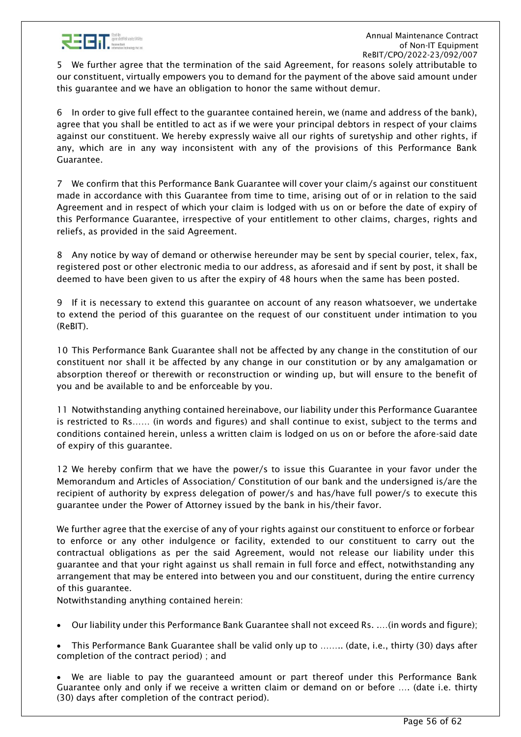

5 We further agree that the termination of the said Agreement, for reasons solely attributable to our constituent, virtually empowers you to demand for the payment of the above said amount under this guarantee and we have an obligation to honor the same without demur.

6 In order to give full effect to the guarantee contained herein, we (name and address of the bank), agree that you shall be entitled to act as if we were your principal debtors in respect of your claims against our constituent. We hereby expressly waive all our rights of suretyship and other rights, if any, which are in any way inconsistent with any of the provisions of this Performance Bank Guarantee.

7 We confirm that this Performance Bank Guarantee will cover your claim/s against our constituent made in accordance with this Guarantee from time to time, arising out of or in relation to the said Agreement and in respect of which your claim is lodged with us on or before the date of expiry of this Performance Guarantee, irrespective of your entitlement to other claims, charges, rights and reliefs, as provided in the said Agreement.

8 Any notice by way of demand or otherwise hereunder may be sent by special courier, telex, fax, registered post or other electronic media to our address, as aforesaid and if sent by post, it shall be deemed to have been given to us after the expiry of 48 hours when the same has been posted.

9 If it is necessary to extend this guarantee on account of any reason whatsoever, we undertake to extend the period of this guarantee on the request of our constituent under intimation to you (ReBIT).

10 This Performance Bank Guarantee shall not be affected by any change in the constitution of our constituent nor shall it be affected by any change in our constitution or by any amalgamation or absorption thereof or therewith or reconstruction or winding up, but will ensure to the benefit of you and be available to and be enforceable by you.

11 Notwithstanding anything contained hereinabove, our liability under this Performance Guarantee is restricted to Rs…… (in words and figures) and shall continue to exist, subject to the terms and conditions contained herein, unless a written claim is lodged on us on or before the afore-said date of expiry of this guarantee.

12 We hereby confirm that we have the power/s to issue this Guarantee in your favor under the Memorandum and Articles of Association/ Constitution of our bank and the undersigned is/are the recipient of authority by express delegation of power/s and has/have full power/s to execute this guarantee under the Power of Attorney issued by the bank in his/their favor.

We further agree that the exercise of any of your rights against our constituent to enforce or forbear to enforce or any other indulgence or facility, extended to our constituent to carry out the contractual obligations as per the said Agreement, would not release our liability under this guarantee and that your right against us shall remain in full force and effect, notwithstanding any arrangement that may be entered into between you and our constituent, during the entire currency of this guarantee.

Notwithstanding anything contained herein:

- Our liability under this Performance Bank Guarantee shall not exceed Rs. .…(in words and figure);
- This Performance Bank Guarantee shall be valid only up to …….. (date, i.e., thirty (30) days after completion of the contract period) ; and

• We are liable to pay the guaranteed amount or part thereof under this Performance Bank Guarantee only and only if we receive a written claim or demand on or before …. (date i.e. thirty (30) days after completion of the contract period).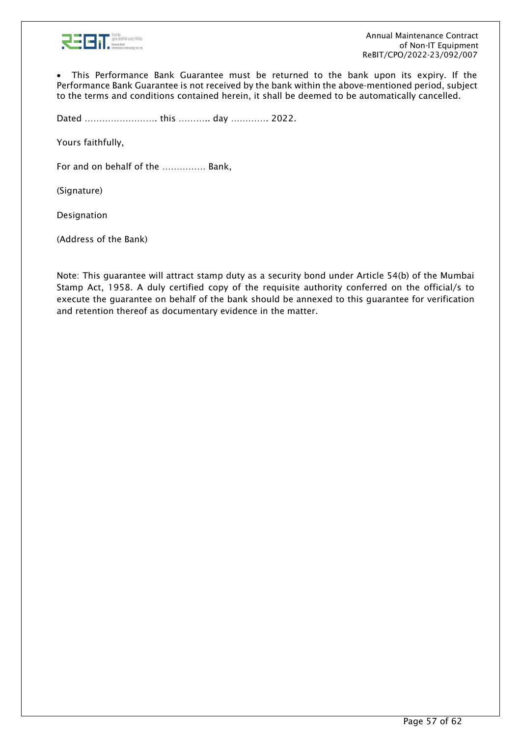

• This Performance Bank Guarantee must be returned to the bank upon its expiry. If the Performance Bank Guarantee is not received by the bank within the above-mentioned period, subject to the terms and conditions contained herein, it shall be deemed to be automatically cancelled.

Dated ……………………. this ……….. day …………. 2022.

Yours faithfully,

For and on behalf of the …………… Bank,

(Signature)

Designation

(Address of the Bank)

Note: This guarantee will attract stamp duty as a security bond under Article 54(b) of the Mumbai Stamp Act, 1958. A duly certified copy of the requisite authority conferred on the official/s to execute the guarantee on behalf of the bank should be annexed to this guarantee for verification and retention thereof as documentary evidence in the matter.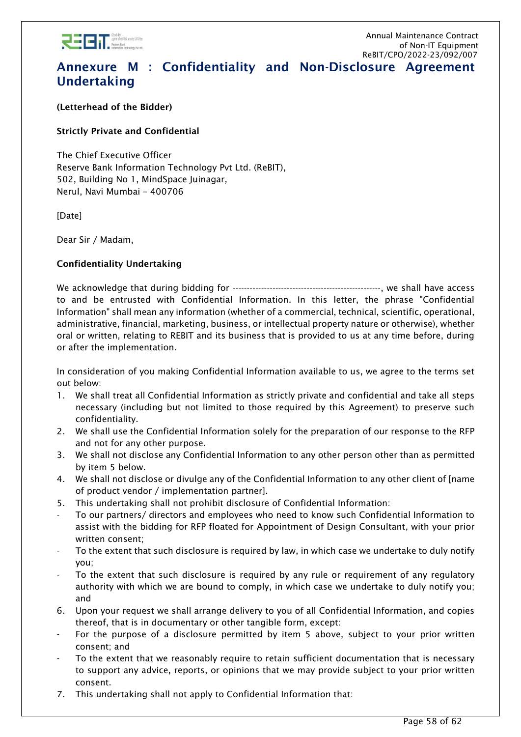

# <span id="page-57-0"></span>Annexure M : Confidentiality and Non-Disclosure Agreement Undertaking

(Letterhead of the Bidder)

## Strictly Private and Confidential

The Chief Executive Officer Reserve Bank Information Technology Pvt Ltd. (ReBIT), 502, Building No 1, MindSpace Juinagar, Nerul, Navi Mumbai – 400706

[Date]

Dear Sir / Madam,

## Confidentiality Undertaking

We acknowledge that during bidding for ----------------------------------------------------, we shall have access to and be entrusted with Confidential Information. In this letter, the phrase "Confidential Information" shall mean any information (whether of a commercial, technical, scientific, operational, administrative, financial, marketing, business, or intellectual property nature or otherwise), whether oral or written, relating to REBIT and its business that is provided to us at any time before, during or after the implementation.

In consideration of you making Confidential Information available to us, we agree to the terms set out below:

- 1. We shall treat all Confidential Information as strictly private and confidential and take all steps necessary (including but not limited to those required by this Agreement) to preserve such confidentiality.
- 2. We shall use the Confidential Information solely for the preparation of our response to the RFP and not for any other purpose.
- 3. We shall not disclose any Confidential Information to any other person other than as permitted by item 5 below.
- 4. We shall not disclose or divulge any of the Confidential Information to any other client of [name of product vendor / implementation partner].
- 5. This undertaking shall not prohibit disclosure of Confidential Information:
- To our partners/ directors and employees who need to know such Confidential Information to assist with the bidding for RFP floated for Appointment of Design Consultant, with your prior written consent;
- To the extent that such disclosure is required by law, in which case we undertake to duly notify you;
- To the extent that such disclosure is required by any rule or requirement of any regulatory authority with which we are bound to comply, in which case we undertake to duly notify you; and
- 6. Upon your request we shall arrange delivery to you of all Confidential Information, and copies thereof, that is in documentary or other tangible form, except:
- For the purpose of a disclosure permitted by item 5 above, subject to your prior written consent; and
- To the extent that we reasonably require to retain sufficient documentation that is necessary to support any advice, reports, or opinions that we may provide subject to your prior written consent.
- 7. This undertaking shall not apply to Confidential Information that: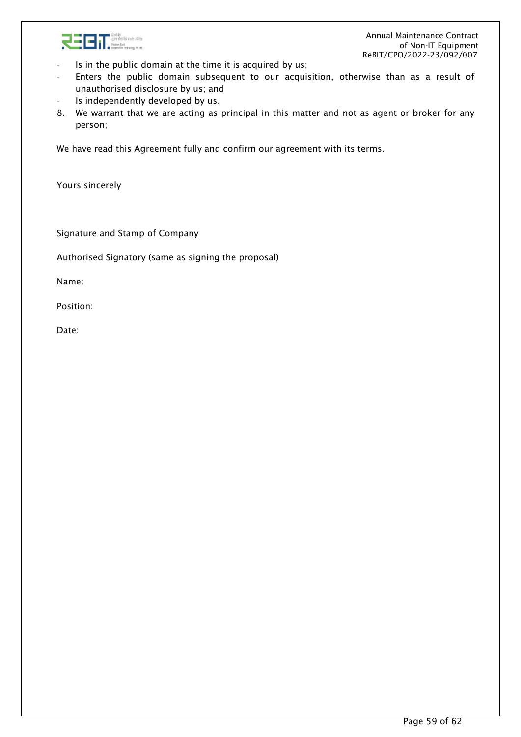

- Is in the public domain at the time it is acquired by us;
- Enters the public domain subsequent to our acquisition, otherwise than as a result of unauthorised disclosure by us; and
- Is independently developed by us.
- 8. We warrant that we are acting as principal in this matter and not as agent or broker for any person;

We have read this Agreement fully and confirm our agreement with its terms.

Yours sincerely

Signature and Stamp of Company

Authorised Signatory (same as signing the proposal)

Name:

Position:

Date: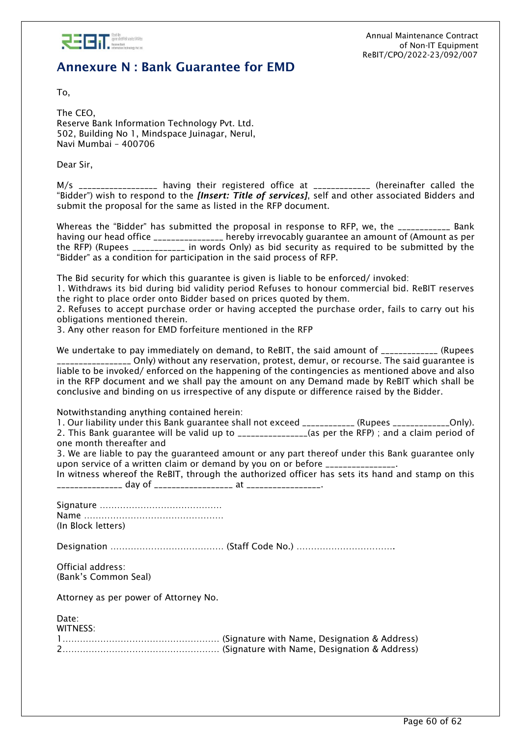

# <span id="page-59-0"></span>Annexure N : Bank Guarantee for EMD

To,

The CEO, Reserve Bank Information Technology Pvt. Ltd. 502, Building No 1, Mindspace Juinagar, Nerul, Navi Mumbai – 400706

Dear Sir,

M/s \_\_\_\_\_\_\_\_\_\_\_\_\_\_\_\_\_ having their registered office at \_\_\_\_\_\_\_\_\_\_\_\_\_\_ (hereinafter called the "Bidder") wish to respond to the *[Insert: Title of services]*, self and other associated Bidders and submit the proposal for the same as listed in the RFP document.

Whereas the "Bidder" has submitted the proposal in response to RFP, we, the \_\_\_\_\_\_\_\_\_\_\_\_ Bank having our head office \_\_\_\_\_\_\_\_\_\_\_\_\_\_\_\_ hereby irrevocably guarantee an amount of (Amount as per the RFP) (Rupees \_\_\_\_\_\_\_\_\_\_\_\_ in words Only) as bid security as required to be submitted by the "Bidder" as a condition for participation in the said process of RFP.

The Bid security for which this guarantee is given is liable to be enforced/ invoked:

1. Withdraws its bid during bid validity period Refuses to honour commercial bid. ReBIT reserves the right to place order onto Bidder based on prices quoted by them.

2. Refuses to accept purchase order or having accepted the purchase order, fails to carry out his obligations mentioned therein.

3. Any other reason for EMD forfeiture mentioned in the RFP

We undertake to pay immediately on demand, to ReBIT, the said amount of \_\_\_\_\_\_\_\_\_\_\_\_\_ (Rupees \_\_\_\_\_\_\_\_\_\_\_\_\_\_\_\_\_ Only) without any reservation, protest, demur, or recourse. The said guarantee is liable to be invoked/ enforced on the happening of the contingencies as mentioned above and also in the RFP document and we shall pay the amount on any Demand made by ReBIT which shall be conclusive and binding on us irrespective of any dispute or difference raised by the Bidder.

Notwithstanding anything contained herein:

1. Our liability under this Bank guarantee shall not exceed \_\_\_\_\_\_\_\_\_\_\_\_ (Rupees \_\_\_\_\_\_\_\_\_\_\_\_Only). 2. This Bank guarantee will be valid up to \_\_\_\_\_\_\_\_\_\_\_\_\_\_\_\_(as per the RFP); and a claim period of one month thereafter and

3. We are liable to pay the guaranteed amount or any part thereof under this Bank guarantee only upon service of a written claim or demand by you on or before \_\_\_\_\_\_\_\_\_\_\_\_\_\_\_.

In witness whereof the ReBIT, through the authorized officer has sets its hand and stamp on this \_\_\_\_\_\_\_\_\_\_\_\_\_\_\_ day of \_\_\_\_\_\_\_\_\_\_\_\_\_\_\_\_\_\_ at \_\_\_\_\_\_\_\_\_\_\_\_\_\_\_\_\_.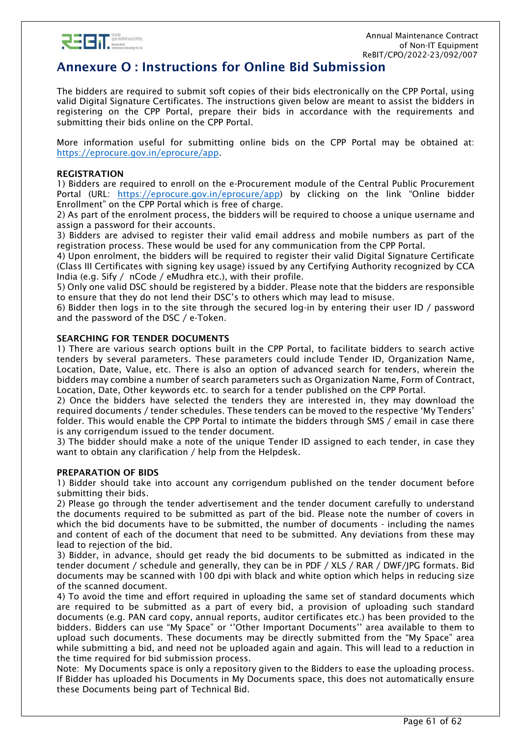

# <span id="page-60-0"></span>Annexure O : Instructions for Online Bid Submission

The bidders are required to submit soft copies of their bids electronically on the CPP Portal, using valid Digital Signature Certificates. The instructions given below are meant to assist the bidders in registering on the CPP Portal, prepare their bids in accordance with the requirements and submitting their bids online on the CPP Portal.

More information useful for submitting online bids on the CPP Portal may be obtained at: [https://eprocure.gov.in/eprocure/app.](https://eprocure.gov.in/eprocure/app)

#### REGISTRATION

1) Bidders are required to enroll on the e-Procurement module of the Central Public Procurement Portal (URL: [https://eprocure.gov.in/eprocure/app\)](https://eprocure.gov.in/eprocure/app) by clicking on the link "Online bidder Enrollment" on the CPP Portal which is free of charge.

2) As part of the enrolment process, the bidders will be required to choose a unique username and assign a password for their accounts.

3) Bidders are advised to register their valid email address and mobile numbers as part of the registration process. These would be used for any communication from the CPP Portal.

4) Upon enrolment, the bidders will be required to register their valid Digital Signature Certificate (Class III Certificates with signing key usage) issued by any Certifying Authority recognized by CCA India (e.g. Sify / nCode / eMudhra etc.), with their profile.

5) Only one valid DSC should be registered by a bidder. Please note that the bidders are responsible to ensure that they do not lend their DSC's to others which may lead to misuse.

6) Bidder then logs in to the site through the secured log-in by entering their user ID / password and the password of the DSC / e-Token.

#### SEARCHING FOR TENDER DOCUMENTS

1) There are various search options built in the CPP Portal, to facilitate bidders to search active tenders by several parameters. These parameters could include Tender ID, Organization Name, Location, Date, Value, etc. There is also an option of advanced search for tenders, wherein the bidders may combine a number of search parameters such as Organization Name, Form of Contract, Location, Date, Other keywords etc. to search for a tender published on the CPP Portal.

2) Once the bidders have selected the tenders they are interested in, they may download the required documents / tender schedules. These tenders can be moved to the respective 'My Tenders' folder. This would enable the CPP Portal to intimate the bidders through SMS / email in case there is any corrigendum issued to the tender document.

3) The bidder should make a note of the unique Tender ID assigned to each tender, in case they want to obtain any clarification / help from the Helpdesk.

#### PREPARATION OF BIDS

1) Bidder should take into account any corrigendum published on the tender document before submitting their bids.

2) Please go through the tender advertisement and the tender document carefully to understand the documents required to be submitted as part of the bid. Please note the number of covers in which the bid documents have to be submitted, the number of documents - including the names and content of each of the document that need to be submitted. Any deviations from these may lead to rejection of the bid.

3) Bidder, in advance, should get ready the bid documents to be submitted as indicated in the tender document / schedule and generally, they can be in PDF / XLS / RAR / DWF/JPG formats. Bid documents may be scanned with 100 dpi with black and white option which helps in reducing size of the scanned document.

4) To avoid the time and effort required in uploading the same set of standard documents which are required to be submitted as a part of every bid, a provision of uploading such standard documents (e.g. PAN card copy, annual reports, auditor certificates etc.) has been provided to the bidders. Bidders can use "My Space" or ''Other Important Documents'' area available to them to upload such documents. These documents may be directly submitted from the "My Space" area while submitting a bid, and need not be uploaded again and again. This will lead to a reduction in the time required for bid submission process.

Note: My Documents space is only a repository given to the Bidders to ease the uploading process. If Bidder has uploaded his Documents in My Documents space, this does not automatically ensure these Documents being part of Technical Bid.